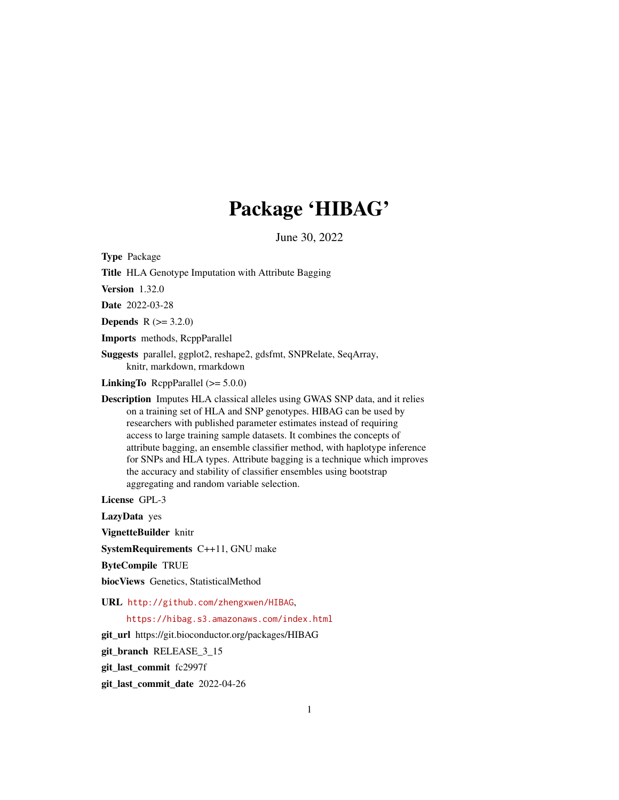# Package 'HIBAG'

June 30, 2022

<span id="page-0-0"></span>Type Package Title HLA Genotype Imputation with Attribute Bagging Version 1.32.0 Date 2022-03-28 **Depends** R  $(>= 3.2.0)$ Imports methods, RcppParallel Suggests parallel, ggplot2, reshape2, gdsfmt, SNPRelate, SeqArray, knitr, markdown, rmarkdown **LinkingTo** RcppParallel  $(>= 5.0.0)$ Description Imputes HLA classical alleles using GWAS SNP data, and it relies on a training set of HLA and SNP genotypes. HIBAG can be used by researchers with published parameter estimates instead of requiring access to large training sample datasets. It combines the concepts of attribute bagging, an ensemble classifier method, with haplotype inference for SNPs and HLA types. Attribute bagging is a technique which improves the accuracy and stability of classifier ensembles using bootstrap aggregating and random variable selection. License GPL-3

LazyData yes

VignetteBuilder knitr

SystemRequirements C++11, GNU make

ByteCompile TRUE

biocViews Genetics, StatisticalMethod

URL <http://github.com/zhengxwen/HIBAG>,

<https://hibag.s3.amazonaws.com/index.html>

git\_url https://git.bioconductor.org/packages/HIBAG

git branch RELEASE 3 15

git\_last\_commit fc2997f

git\_last\_commit\_date 2022-04-26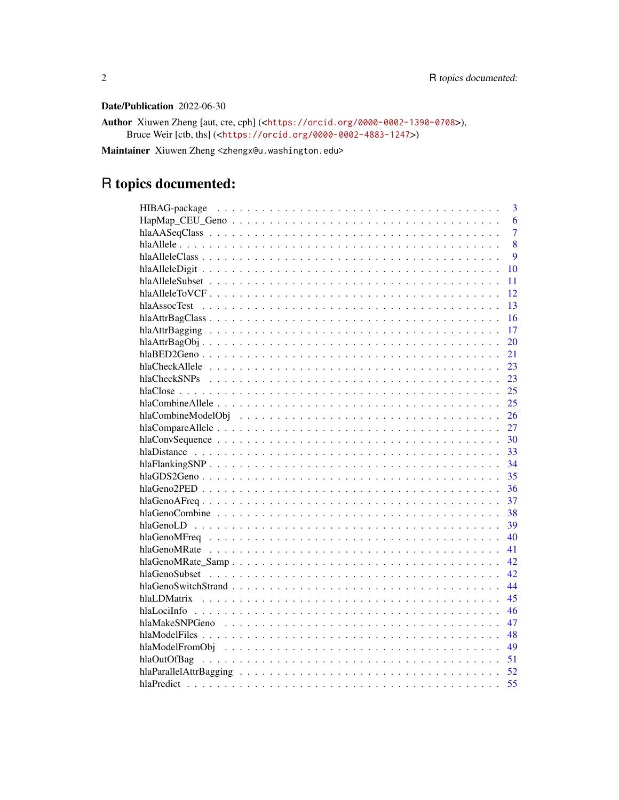# Date/Publication 2022-06-30

Author Xiuwen Zheng [aut, cre, cph] (<<https://orcid.org/0000-0002-1390-0708>>), Bruce Weir [ctb, ths] (<<https://orcid.org/0000-0002-4883-1247>>)

Maintainer Xiuwen Zheng <zhengx@u.washington.edu>

# R topics documented:

| 3              |
|----------------|
| 6              |
| $\overline{7}$ |
| 8              |
| 9              |
| 10             |
| 11             |
| 12             |
| 13             |
| 16             |
| 17             |
| 20             |
| 21             |
| 23             |
| 23             |
| 25             |
| 25             |
| 26             |
| 27             |
| 30             |
|                |
|                |
| 35             |
| 36             |
| 37             |
| 38             |
| 39             |
| 40             |
| 41             |
| 42             |
| 42             |
| 44             |
| 45             |
| 46             |
| 47             |
|                |
|                |
| 51             |
| 52             |
| 55             |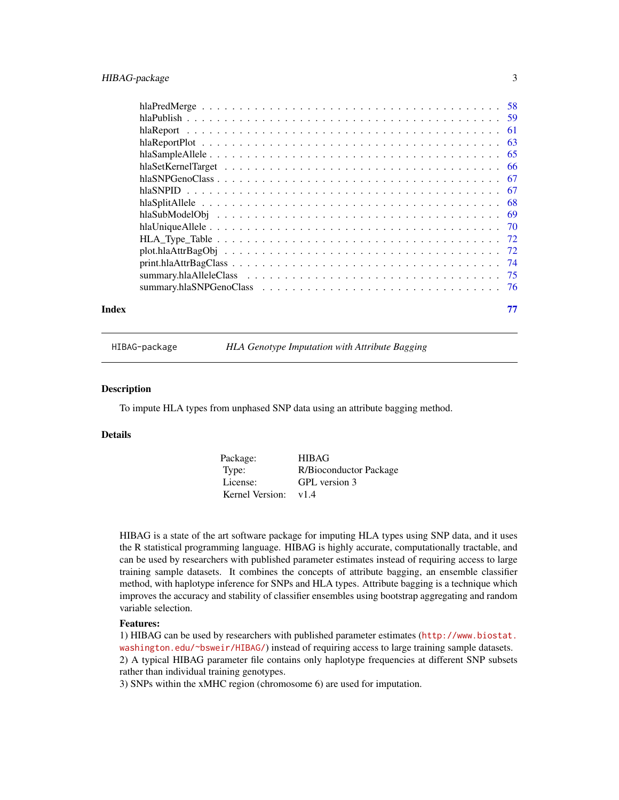# <span id="page-2-0"></span>HIBAG-package 3

| $print.hlaAttrBagClass \ldots \ldots \ldots \ldots \ldots \ldots \ldots \ldots \ldots \ldots \ldots$ |  |
|------------------------------------------------------------------------------------------------------|--|
|                                                                                                      |  |
|                                                                                                      |  |
| Index                                                                                                |  |

HIBAG-package *HLA Genotype Imputation with Attribute Bagging*

#### **Description**

To impute HLA types from unphased SNP data using an attribute bagging method.

# Details

| Package:        | <b>HIBAG</b>           |
|-----------------|------------------------|
| Type:           | R/Bioconductor Package |
| License:        | GPL version 3          |
| Kernel Version: | v1.4                   |

HIBAG is a state of the art software package for imputing HLA types using SNP data, and it uses the R statistical programming language. HIBAG is highly accurate, computationally tractable, and can be used by researchers with published parameter estimates instead of requiring access to large training sample datasets. It combines the concepts of attribute bagging, an ensemble classifier method, with haplotype inference for SNPs and HLA types. Attribute bagging is a technique which improves the accuracy and stability of classifier ensembles using bootstrap aggregating and random variable selection.

#### Features:

1) HIBAG can be used by researchers with published parameter estimates ([http://www.biostat.](http://www.biostat.washington.edu/~bsweir/HIBAG/) [washington.edu/~bsweir/HIBAG/](http://www.biostat.washington.edu/~bsweir/HIBAG/)) instead of requiring access to large training sample datasets. 2) A typical HIBAG parameter file contains only haplotype frequencies at different SNP subsets rather than individual training genotypes.

3) SNPs within the xMHC region (chromosome 6) are used for imputation.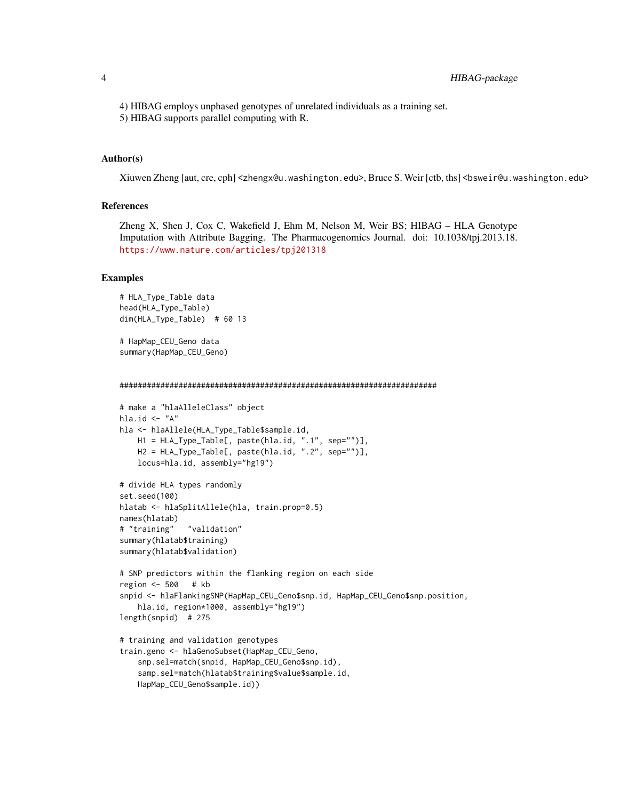4) HIBAG employs unphased genotypes of unrelated individuals as a training set.

5) HIBAG supports parallel computing with R.

#### Author(s)

Xiuwen Zheng [aut, cre, cph] <zhengx@u.washington.edu>, Bruce S. Weir [ctb, ths] <br/>bsweir@u.washington.edu>

# References

Zheng X, Shen J, Cox C, Wakefield J, Ehm M, Nelson M, Weir BS; HIBAG – HLA Genotype Imputation with Attribute Bagging. The Pharmacogenomics Journal. doi: 10.1038/tpj.2013.18. <https://www.nature.com/articles/tpj201318>

```
# HLA_Type_Table data
head(HLA_Type_Table)
dim(HLA_Type_Table) # 60 13
# HapMap_CEU_Geno data
summary(HapMap_CEU_Geno)
######################################################################
# make a "hlaAlleleClass" object
hla.id \leftarrow "A"
hla <- hlaAllele(HLA_Type_Table$sample.id,
   H1 = HLA_Type_Table[, paste(hla.id, ".1", sep="")],
   H2 = HLA_Type_Table[, paste(hla.id, ".2", sep="")],
    locus=hla.id, assembly="hg19")
# divide HLA types randomly
set.seed(100)
hlatab <- hlaSplitAllele(hla, train.prop=0.5)
names(hlatab)
# "training" "validation"
summary(hlatab$training)
summary(hlatab$validation)
# SNP predictors within the flanking region on each side
region <- 500 # kb
snpid <- hlaFlankingSNP(HapMap_CEU_Geno$snp.id, HapMap_CEU_Geno$snp.position,
    hla.id, region*1000, assembly="hg19")
length(snpid) # 275
# training and validation genotypes
train.geno <- hlaGenoSubset(HapMap_CEU_Geno,
    snp.sel=match(snpid, HapMap_CEU_Geno$snp.id),
    samp.sel=match(hlatab$training$value$sample.id,
    HapMap_CEU_Geno$sample.id))
```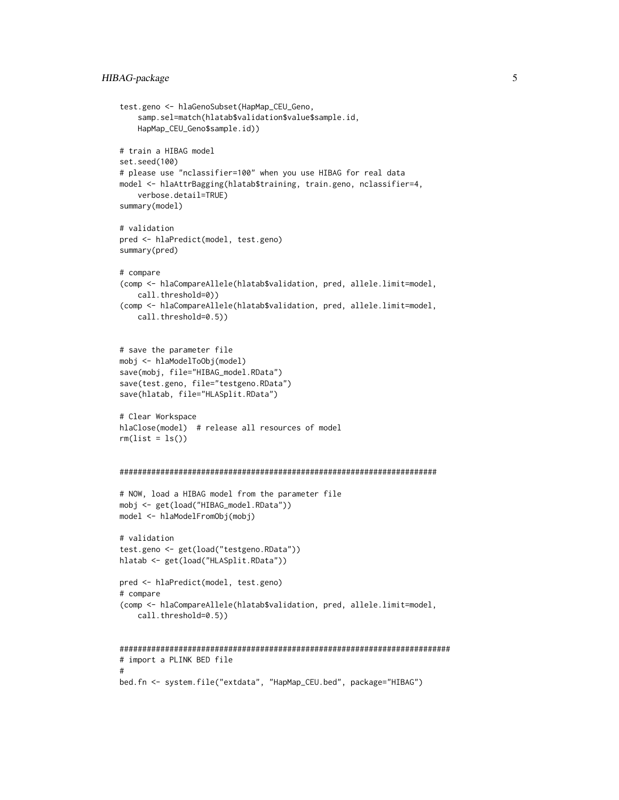#### HIBAG-package 5

```
test.geno <- hlaGenoSubset(HapMap_CEU_Geno,
    samp.sel=match(hlatab$validation$value$sample.id,
   HapMap_CEU_Geno$sample.id))
# train a HIBAG model
set.seed(100)
# please use "nclassifier=100" when you use HIBAG for real data
model <- hlaAttrBagging(hlatab$training, train.geno, nclassifier=4,
   verbose.detail=TRUE)
summary(model)
# validation
pred <- hlaPredict(model, test.geno)
summary(pred)
# compare
(comp <- hlaCompareAllele(hlatab$validation, pred, allele.limit=model,
   call.threshold=0))
(comp <- hlaCompareAllele(hlatab$validation, pred, allele.limit=model,
   call.threshold=0.5))
# save the parameter file
mobj <- hlaModelToObj(model)
save(mobj, file="HIBAG_model.RData")
save(test.geno, file="testgeno.RData")
save(hlatab, file="HLASplit.RData")
# Clear Workspace
hlaClose(model) # release all resources of model
rm(list = ls())######################################################################
# NOW, load a HIBAG model from the parameter file
mobj <- get(load("HIBAG_model.RData"))
model <- hlaModelFromObj(mobj)
# validation
test.geno <- get(load("testgeno.RData"))
hlatab <- get(load("HLASplit.RData"))
pred <- hlaPredict(model, test.geno)
# compare
(comp <- hlaCompareAllele(hlatab$validation, pred, allele.limit=model,
   call.threshold=0.5))
#########################################################################
# import a PLINK BED file
#
bed.fn <- system.file("extdata", "HapMap_CEU.bed", package="HIBAG")
```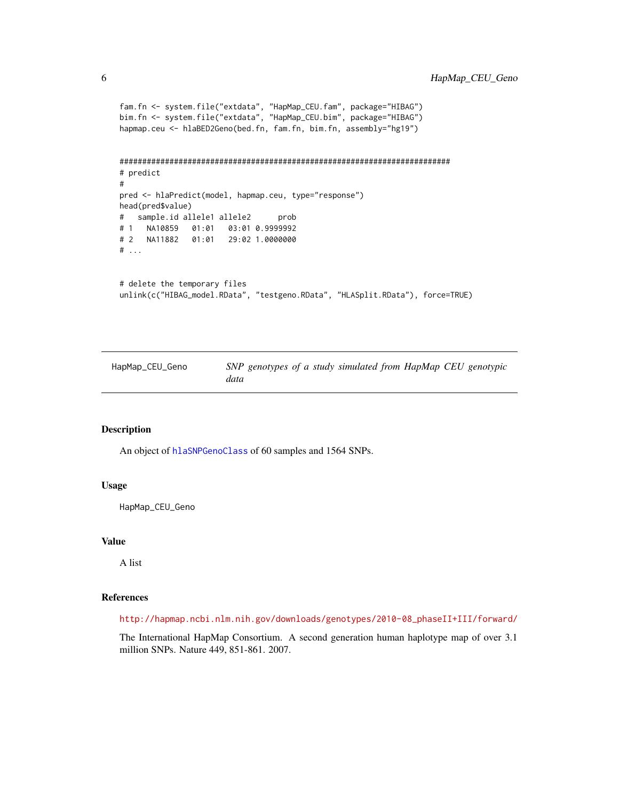```
fam.fn <- system.file("extdata", "HapMap_CEU.fam", package="HIBAG")
bim.fn <- system.file("extdata", "HapMap_CEU.bim", package="HIBAG")
hapmap.ceu <- hlaBED2Geno(bed.fn, fam.fn, bim.fn, assembly="hg19")
#########################################################################
# predict
#
pred <- hlaPredict(model, hapmap.ceu, type="response")
head(pred$value)
# sample.id allele1 allele2 prob
# 1 NA10859 01:01 03:01 0.9999992
# 2 NA11882 01:01 29:02 1.0000000
# ...
# delete the temporary files
unlink(c("HIBAG_model.RData", "testgeno.RData", "HLASplit.RData"), force=TRUE)
```
HapMap\_CEU\_Geno *SNP genotypes of a study simulated from HapMap CEU genotypic data*

#### Description

An object of [hlaSNPGenoClass](#page-66-1) of 60 samples and 1564 SNPs.

#### Usage

HapMap\_CEU\_Geno

#### Value

A list

#### References

[http://hapmap.ncbi.nlm.nih.gov/downloads/genotypes/2010-08\\_phaseII+III/forward/](http://hapmap.ncbi.nlm.nih.gov/downloads/genotypes/2010-08_phaseII+III/forward/)

The International HapMap Consortium. A second generation human haplotype map of over 3.1 million SNPs. Nature 449, 851-861. 2007.

<span id="page-5-0"></span>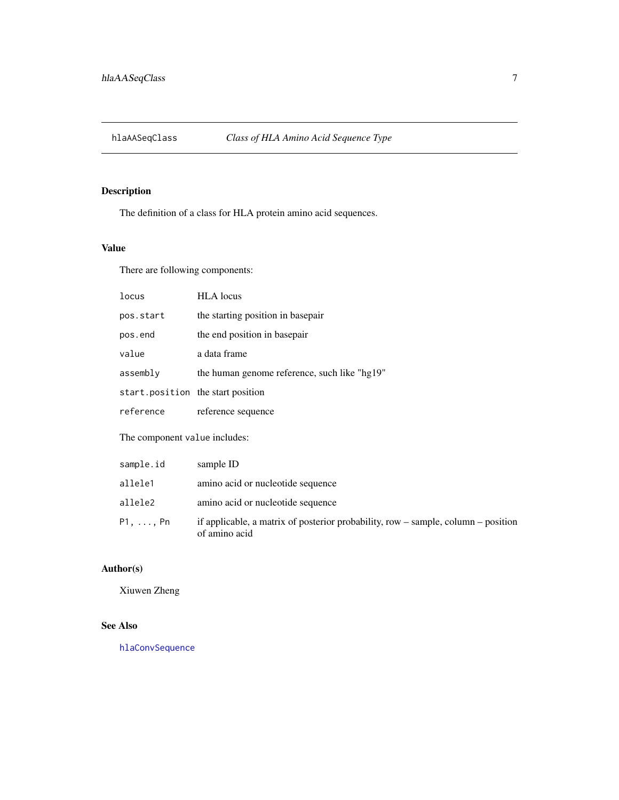<span id="page-6-1"></span><span id="page-6-0"></span>

# Description

The definition of a class for HLA protein amino acid sequences.

#### Value

There are following components:

| <b>locus</b>                      | <b>HLA</b> locus                             |
|-----------------------------------|----------------------------------------------|
| pos.start                         | the starting position in basepair            |
| pos.end                           | the end position in basepair                 |
| value                             | a data frame                                 |
| assembly                          | the human genome reference, such like "hg19" |
| start.position the start position |                                              |
| reference                         | reference sequence                           |
|                                   |                                              |

The component value includes:

| sample.id | sample ID                                                                                          |
|-----------|----------------------------------------------------------------------------------------------------|
| allele1   | amino acid or nucleotide sequence                                                                  |
| allele2   | amino acid or nucleotide sequence                                                                  |
| P1.  Pn   | if applicable, a matrix of posterior probability, row – sample, column – position<br>of amino acid |

# Author(s)

Xiuwen Zheng

# See Also

[hlaConvSequence](#page-29-1)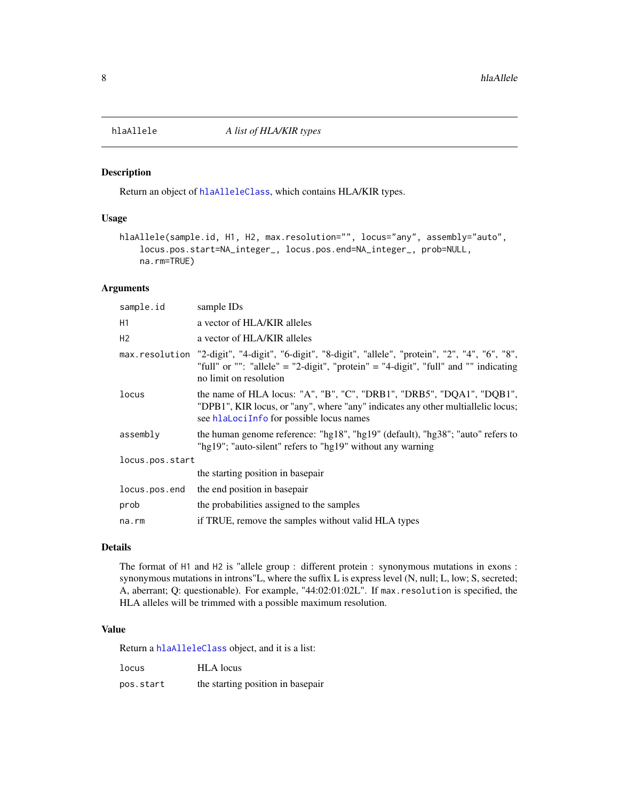<span id="page-7-1"></span><span id="page-7-0"></span>

# Description

Return an object of [hlaAlleleClass](#page-8-1), which contains HLA/KIR types.

#### Usage

```
hlaAllele(sample.id, H1, H2, max.resolution="", locus="any", assembly="auto",
    locus.pos.start=NA_integer_, locus.pos.end=NA_integer_, prob=NULL,
    na.rm=TRUE)
```
#### Arguments

| sample.id       | sample IDs                                                                                                                                                                                                           |
|-----------------|----------------------------------------------------------------------------------------------------------------------------------------------------------------------------------------------------------------------|
| H1              | a vector of HLA/KIR alleles                                                                                                                                                                                          |
| H <sub>2</sub>  | a vector of HLA/KIR alleles                                                                                                                                                                                          |
|                 | max.resolution "2-digit", "4-digit", "6-digit", "8-digit", "allele", "protein", "2", "4", "6", "8",<br>"full" or "": "allele" = "2-digit", "protein" = "4-digit", "full" and "" indicating<br>no limit on resolution |
| locus           | the name of HLA locus: "A", "B", "C", "DRB1", "DRB5", "DQA1", "DQB1",<br>"DPB1", KIR locus, or "any", where "any" indicates any other multiallelic locus;<br>see hlaLociInfo for possible locus names                |
| assembly        | the human genome reference: "hg18", "hg19" (default), "hg38"; "auto" refers to<br>"hg19"; "auto-silent" refers to "hg19" without any warning                                                                         |
| locus.pos.start |                                                                                                                                                                                                                      |
|                 | the starting position in basepair                                                                                                                                                                                    |
| locus.pos.end   | the end position in basepair                                                                                                                                                                                         |
| prob            | the probabilities assigned to the samples                                                                                                                                                                            |
| na.rm           | if TRUE, remove the samples without valid HLA types                                                                                                                                                                  |

#### Details

The format of H1 and H2 is "allele group : different protein : synonymous mutations in exons : synonymous mutations in introns"L, where the suffix L is express level (N, null; L, low; S, secreted; A, aberrant; Q: questionable). For example, "44:02:01:02L". If max.resolution is specified, the HLA alleles will be trimmed with a possible maximum resolution.

#### Value

Return a [hlaAlleleClass](#page-8-1) object, and it is a list:

| locus     | <b>HLA</b> locus                  |
|-----------|-----------------------------------|
| pos.start | the starting position in basepair |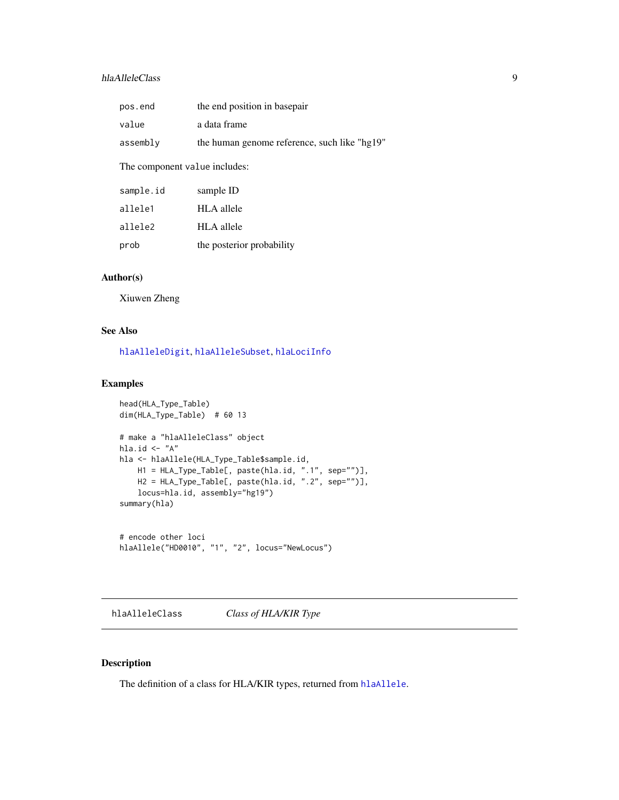# <span id="page-8-0"></span>hlaAlleleClass 9

| pos.end                       | the end position in basepair                 |  |
|-------------------------------|----------------------------------------------|--|
| value                         | a data frame                                 |  |
| assembly                      | the human genome reference, such like "hg19" |  |
| The component value includes: |                                              |  |
| sample.id                     | sample ID                                    |  |
| allele1                       | HLA allele                                   |  |
| allele2                       | HLA allele                                   |  |
|                               |                                              |  |

# Author(s)

Xiuwen Zheng

#### See Also

[hlaAlleleDigit](#page-9-1), [hlaAlleleSubset](#page-10-1), [hlaLociInfo](#page-45-1)

prob the posterior probability

#### Examples

```
head(HLA_Type_Table)
dim(HLA_Type_Table) # 60 13
# make a "hlaAlleleClass" object
hla.id \leftarrow "A"
hla <- hlaAllele(HLA_Type_Table$sample.id,
    H1 = HLA_Type_Table[, paste(hla.id, ".1", sep="")],
    H2 = HLA_Type_Table[, paste(hla.id, ".2", sep="")],
    locus=hla.id, assembly="hg19")
summary(hla)
# encode other loci
```

```
hlaAllele("HD0010", "1", "2", locus="NewLocus")
```
<span id="page-8-1"></span>hlaAlleleClass *Class of HLA/KIR Type*

# Description

The definition of a class for HLA/KIR types, returned from [hlaAllele](#page-7-1).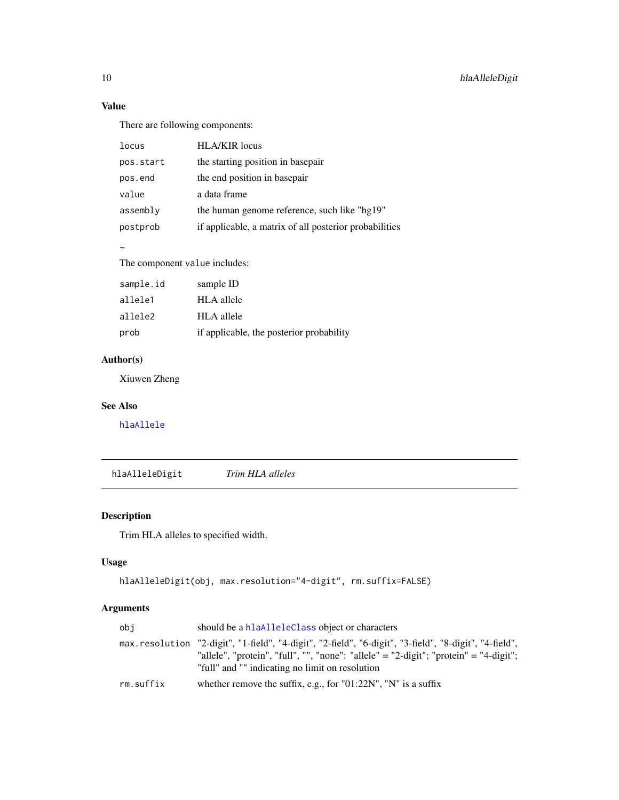# Value

There are following components:

| locus     | <b>HLA/KIR</b> locus                                   |
|-----------|--------------------------------------------------------|
| pos.start | the starting position in basepair                      |
| pos.end   | the end position in basepair                           |
| value     | a data frame                                           |
| assembly  | the human genome reference, such like "hg19"           |
| postprob  | if applicable, a matrix of all posterior probabilities |
|           |                                                        |

#### $\sim$

The component value includes:

| sample.id | sample ID                                |
|-----------|------------------------------------------|
| allele1   | <b>HLA</b> allele                        |
| allele2   | HLA allele                               |
| prob      | if applicable, the posterior probability |

# Author(s)

Xiuwen Zheng

# See Also

[hlaAllele](#page-7-1)

<span id="page-9-1"></span>hlaAlleleDigit *Trim HLA alleles*

# Description

Trim HLA alleles to specified width.

# Usage

```
hlaAlleleDigit(obj, max.resolution="4-digit", rm.suffix=FALSE)
```
# Arguments

| obi       | should be a hlaAlleleClass object or characters                                                                                                                                                                                                    |
|-----------|----------------------------------------------------------------------------------------------------------------------------------------------------------------------------------------------------------------------------------------------------|
|           | max.resolution "2-digit", "1-field", "4-digit", "2-field", "6-digit", "3-field", "8-digit", "4-field",<br>"allele", "protein", "full", "", "none": "allele" = "2-digit"; "protein" = "4-digit";<br>"full" and "" indicating no limit on resolution |
| rm.suffix | whether remove the suffix, e.g., for " $01:22N$ ", "N" is a suffix                                                                                                                                                                                 |

<span id="page-9-0"></span>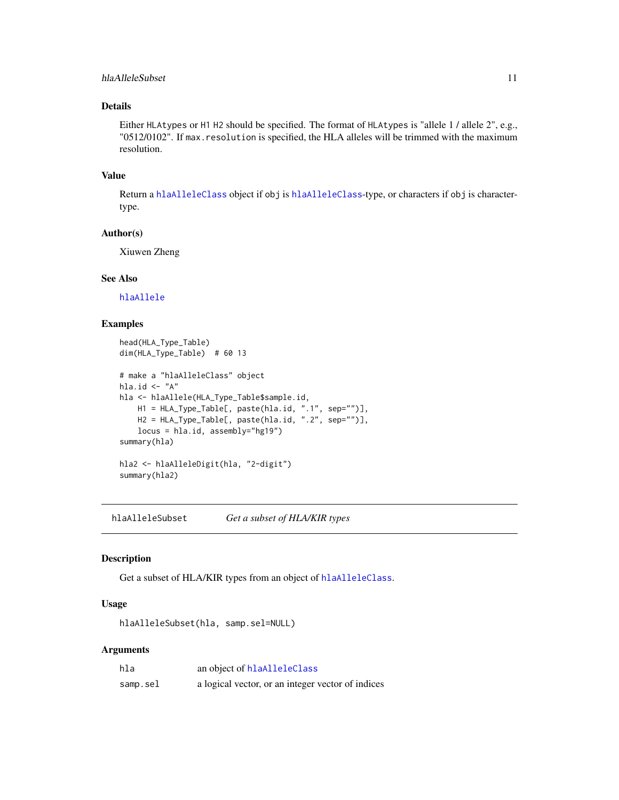#### <span id="page-10-0"></span>hlaAlleleSubset 11

# Details

Either HLAtypes or H1 H2 should be specified. The format of HLAtypes is "allele 1 / allele 2", e.g., "0512/0102". If max.resolution is specified, the HLA alleles will be trimmed with the maximum resolution.

#### Value

Return a [hlaAlleleClass](#page-8-1) object if obj is [hlaAlleleClass](#page-8-1)-type, or characters if obj is charactertype.

# Author(s)

Xiuwen Zheng

#### See Also

[hlaAllele](#page-7-1)

#### Examples

```
head(HLA_Type_Table)
dim(HLA_Type_Table) # 60 13
# make a "hlaAlleleClass" object
hla.id \leftarrow "A"
hla <- hlaAllele(HLA_Type_Table$sample.id,
   H1 = HLA_Type_Table[, paste(hla.id, ".1", sep="")],
   H2 = HLA_Type_Table[, paste(hla.id, ".2", sep="")],
   locus = hla.id, assembly="hg19")
summary(hla)
hla2 <- hlaAlleleDigit(hla, "2-digit")
summary(hla2)
```
<span id="page-10-1"></span>hlaAlleleSubset *Get a subset of HLA/KIR types*

#### Description

Get a subset of HLA/KIR types from an object of [hlaAlleleClass](#page-8-1).

#### Usage

hlaAlleleSubset(hla, samp.sel=NULL)

# Arguments

| hla      | an object of hlaAlleleClass                       |
|----------|---------------------------------------------------|
| samp.sel | a logical vector, or an integer vector of indices |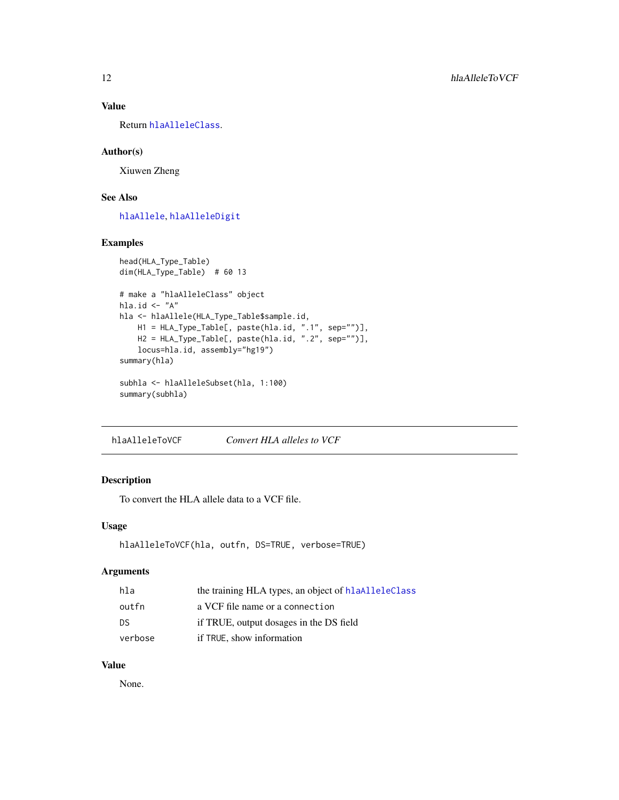# <span id="page-11-0"></span>Value

Return [hlaAlleleClass](#page-8-1).

#### Author(s)

Xiuwen Zheng

#### See Also

[hlaAllele](#page-7-1), [hlaAlleleDigit](#page-9-1)

#### Examples

```
head(HLA_Type_Table)
dim(HLA_Type_Table) # 60 13
# make a "hlaAlleleClass" object
hla.id \leftarrow "A"
hla <- hlaAllele(HLA_Type_Table$sample.id,
   H1 = HLA_Type_Table[, paste(hla.id, ".1", sep="")],
   H2 = HLA_Type_Table[, paste(hla.id, ".2", sep="")],
   locus=hla.id, assembly="hg19")
summary(hla)
subhla <- hlaAlleleSubset(hla, 1:100)
summary(subhla)
```
hlaAlleleToVCF *Convert HLA alleles to VCF*

# Description

To convert the HLA allele data to a VCF file.

#### Usage

```
hlaAlleleToVCF(hla, outfn, DS=TRUE, verbose=TRUE)
```
# Arguments

| hla     | the training HLA types, an object of hlaAlleleClass |
|---------|-----------------------------------------------------|
| outfn   | a VCF file name or a connection                     |
| DS      | if TRUE, output dosages in the DS field             |
| verbose | if TRUE, show information                           |

# Value

None.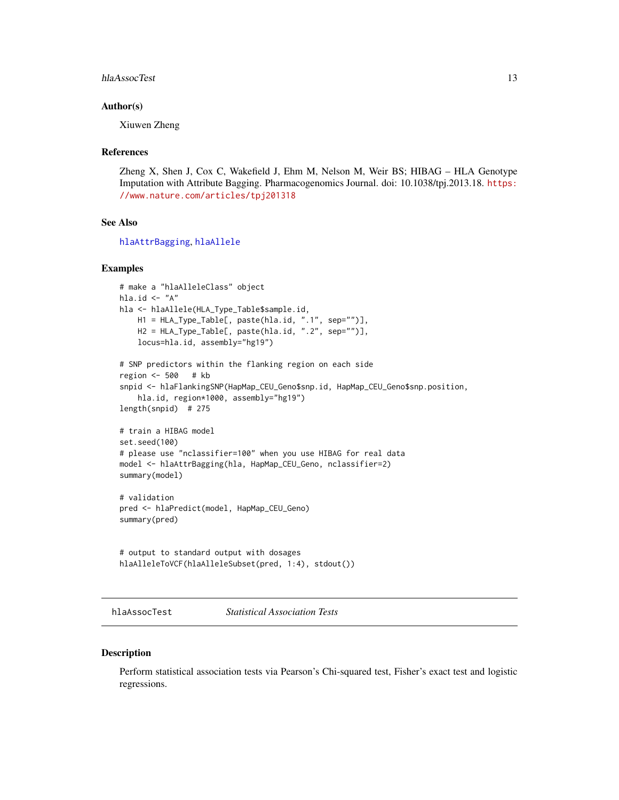#### <span id="page-12-0"></span>hlaAssocTest 13

#### Author(s)

Xiuwen Zheng

#### References

Zheng X, Shen J, Cox C, Wakefield J, Ehm M, Nelson M, Weir BS; HIBAG – HLA Genotype Imputation with Attribute Bagging. Pharmacogenomics Journal. doi: 10.1038/tpj.2013.18. [https:](https://www.nature.com/articles/tpj201318) [//www.nature.com/articles/tpj201318](https://www.nature.com/articles/tpj201318)

# See Also

[hlaAttrBagging](#page-16-1), [hlaAllele](#page-7-1)

#### Examples

```
# make a "hlaAlleleClass" object
hla.id \leq "A"
hla <- hlaAllele(HLA_Type_Table$sample.id,
   H1 = HLA_Type_Table[, paste(hla.id, ".1", sep="")],
    H2 = HLA_Type_Table[, paste(hla.id, ".2", sep="")],
    locus=hla.id, assembly="hg19")
# SNP predictors within the flanking region on each side
region <- 500 # kb
snpid <- hlaFlankingSNP(HapMap_CEU_Geno$snp.id, HapMap_CEU_Geno$snp.position,
    hla.id, region*1000, assembly="hg19")
length(snpid) # 275
# train a HIBAG model
set.seed(100)
# please use "nclassifier=100" when you use HIBAG for real data
model <- hlaAttrBagging(hla, HapMap_CEU_Geno, nclassifier=2)
summary(model)
# validation
pred <- hlaPredict(model, HapMap_CEU_Geno)
summary(pred)
# output to standard output with dosages
hlaAlleleToVCF(hlaAlleleSubset(pred, 1:4), stdout())
```
hlaAssocTest *Statistical Association Tests*

#### Description

Perform statistical association tests via Pearson's Chi-squared test, Fisher's exact test and logistic regressions.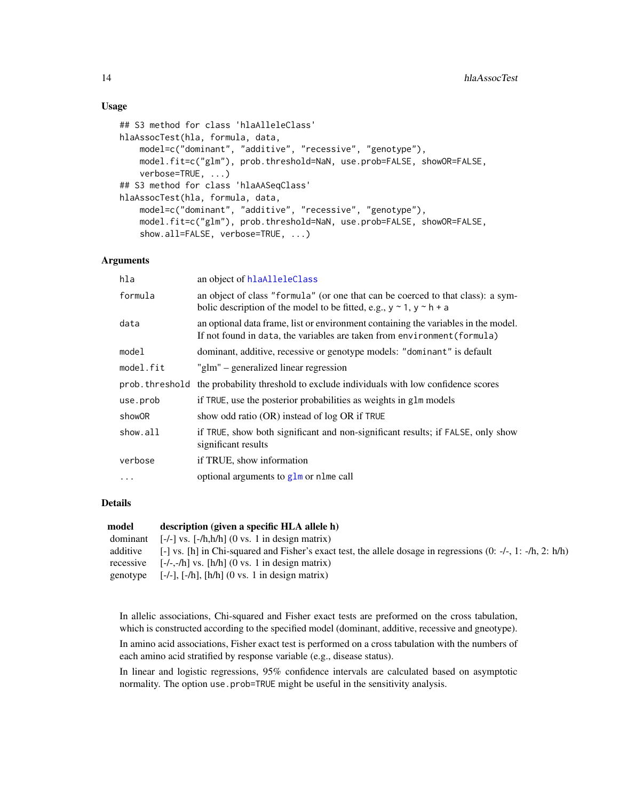#### Usage

```
## S3 method for class 'hlaAlleleClass'
hlaAssocTest(hla, formula, data,
   model=c("dominant", "additive", "recessive", "genotype"),
   model.fit=c("glm"), prob.threshold=NaN, use.prob=FALSE, showOR=FALSE,
    verbose=TRUE, ...)
## S3 method for class 'hlaAASeqClass'
hlaAssocTest(hla, formula, data,
   model=c("dominant", "additive", "recessive", "genotype"),
   model.fit=c("glm"), prob.threshold=NaN, use.prob=FALSE, showOR=FALSE,
    show.all=FALSE, verbose=TRUE, ...)
```
#### Arguments

| hla            | an object of hlaAlleleClass                                                                                                                                       |
|----------------|-------------------------------------------------------------------------------------------------------------------------------------------------------------------|
| formula        | an object of class "formula" (or one that can be coerced to that class): a sym-<br>bolic description of the model to be fitted, e.g., $y \sim 1$ , $y \sim h + a$ |
| data           | an optional data frame, list or environment containing the variables in the model.<br>If not found in data, the variables are taken from environment (formula)    |
| model          | dominant, additive, recessive or genotype models: "dominant" is default                                                                                           |
| model.fit      | "glm" – generalized linear regression                                                                                                                             |
| prob.threshold | the probability threshold to exclude individuals with low confidence scores                                                                                       |
| use.prob       | if TRUE, use the posterior probabilities as weights in glm models                                                                                                 |
| showOR         | show odd ratio (OR) instead of log OR if TRUE                                                                                                                     |
| show.all       | if TRUE, show both significant and non-significant results; if FALSE, only show<br>significant results                                                            |
| verbose        | if TRUE, show information                                                                                                                                         |
| .              | optional arguments to glm or nlme call                                                                                                                            |

#### Details

| model     | description (given a specific HLA allele h)                                                                              |
|-----------|--------------------------------------------------------------------------------------------------------------------------|
| dominant  | $[-/-]$ vs. $[-/h,h/h]$ (0 vs. 1 in design matrix)                                                                       |
| additive  | $[-]$ vs. [h] in Chi-squared and Fisher's exact test, the allele dosage in regressions $(0: -/-]$ , 1: $-h$ , 2: $h/h$ ) |
| recessive | $[-/-,-/h]$ vs. $[h/h]$ (0 vs. 1 in design matrix)                                                                       |
| genotype  | $[-/-]$ , $[-/h]$ , $[h/h]$ $(0 \text{ vs. } 1 \text{ in design matrix})$                                                |

In allelic associations, Chi-squared and Fisher exact tests are preformed on the cross tabulation, which is constructed according to the specified model (dominant, additive, recessive and gneotype).

In amino acid associations, Fisher exact test is performed on a cross tabulation with the numbers of each amino acid stratified by response variable (e.g., disease status).

In linear and logistic regressions, 95% confidence intervals are calculated based on asymptotic normality. The option use.prob=TRUE might be useful in the sensitivity analysis.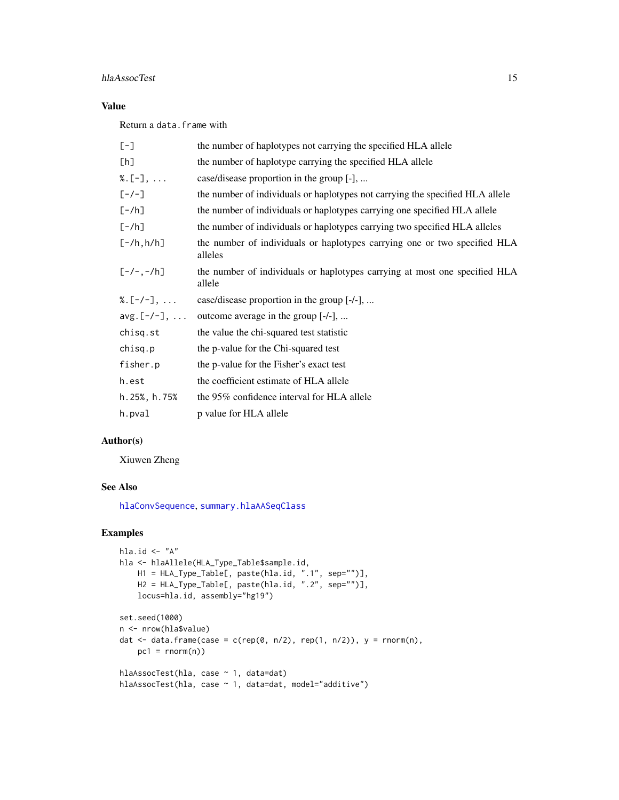# hlaAssocTest 15

# Value

Return a data.frame with

| $[-]$               | the number of haplotypes not carrying the specified HLA allele                       |
|---------------------|--------------------------------------------------------------------------------------|
| [h]                 | the number of haplotype carrying the specified HLA allele                            |
| $%$ . [-],          | case/disease proportion in the group [-],                                            |
| $[-/-]$             | the number of individuals or haplotypes not carrying the specified HLA allele        |
| $[-/h]$             | the number of individuals or haplotypes carrying one specified HLA allele            |
| $[-/h]$             | the number of individuals or haplotypes carrying two specified HLA alleles           |
| $[-/h,h/h]$         | the number of individuals or haplotypes carrying one or two specified HLA<br>alleles |
| $[-/-,-/h]$         | the number of individuals or haplotypes carrying at most one specified HLA<br>allele |
| %. $[-/-]$ ,        | case/disease proportion in the group [-/-],                                          |
| $avg.[-/-], \ldots$ | outcome average in the group [-/-],                                                  |
| chisq.st            | the value the chi-squared test statistic                                             |
| chisq.p             | the p-value for the Chi-squared test                                                 |
| fisher.p            | the p-value for the Fisher's exact test                                              |
| h.est               | the coefficient estimate of HLA allele                                               |
| h.25%, h.75%        | the 95% confidence interval for HLA allele                                           |
| h.pval              | p value for HLA allele                                                               |

# Author(s)

Xiuwen Zheng

# See Also

[hlaConvSequence](#page-29-1), [summary.hlaAASeqClass](#page-74-1)

```
hla.id \leftarrow "A"
hla <- hlaAllele(HLA_Type_Table$sample.id,
    H1 = HLA_Type_Table[, paste(hla.id, ".1", sep="")],
    H2 = HLA_Type_Table[, paste(hla.id, ".2", sep="")],
    locus=hla.id, assembly="hg19")
set.seed(1000)
n <- nrow(hla$value)
dat <- data.frame(case = c(rep(0, n/2), rep(1, n/2)), y = rnorm(n),
    pc1 = rnorm(n)hlaAssocTest(hla, case ~ 1, data=dat)
hlaAssocTest(hla, case ~ 1, data=dat, model="additive")
```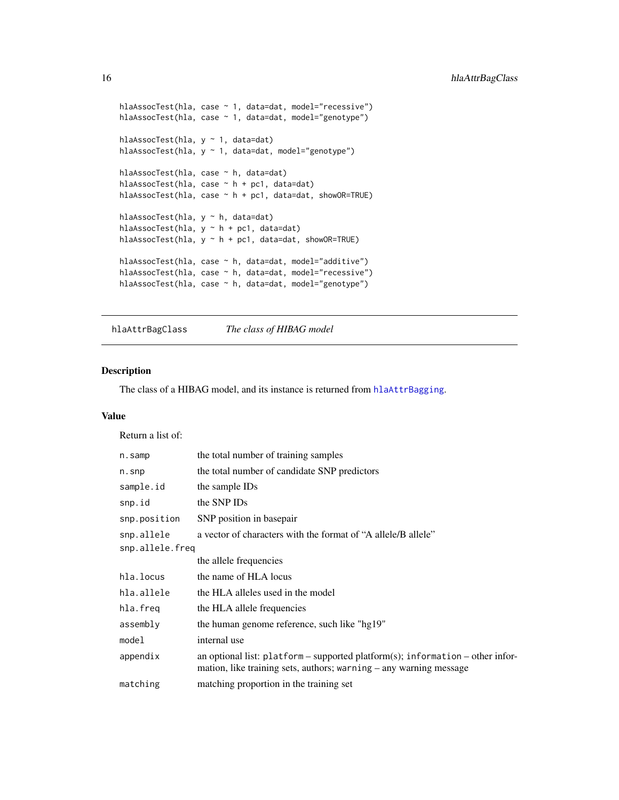```
hlaAssocTest(hla, case ~ 1, data=dat, model="recessive")
hlaAssocTest(hla, case ~ 1, data=dat, model="genotype")
hlaAssocTest(hla, y ~ 1, data=dat)
hlaAssocTest(hla, y ~ 1, data=dat, model="genotype")
hlaAssocTest(hla, case ~ h, data=dat)
hlaAssocTest(hla, case ~ h + pc1, data=dat)
hlaAssocTest(hla, case ~ h + pc1, data=dat, showOR=TRUE)
hlaAssocTest(hla, y ~ h, data=dat)
hlaAssocTest(hla, y \sim h + pc1, data=dat)
hlaAssocTest(hla, y \sim h + p c 1, data=dat, showOR=TRUE)
hlaAssocTest(hla, case ~ h, data=dat, model="additive")
hlaAssocTest(hla, case ~ h, data=dat, model="recessive")
hlaAssocTest(hla, case ~ h, data=dat, model="genotype")
```
<span id="page-15-1"></span>hlaAttrBagClass *The class of HIBAG model*

#### Description

The class of a HIBAG model, and its instance is returned from [hlaAttrBagging](#page-16-1).

# Value

Return a list of:

| n.samp          | the total number of training samples                                                                                                                     |  |
|-----------------|----------------------------------------------------------------------------------------------------------------------------------------------------------|--|
| $n.s$ np        | the total number of candidate SNP predictors                                                                                                             |  |
| sample.id       | the sample IDs                                                                                                                                           |  |
| snp.id          | the SNP IDs                                                                                                                                              |  |
| snp.position    | SNP position in basepair                                                                                                                                 |  |
| snp.allele      | a vector of characters with the format of "A allele/B allele"                                                                                            |  |
| snp.allele.freq |                                                                                                                                                          |  |
|                 | the allele frequencies                                                                                                                                   |  |
| hla.locus       | the name of HLA locus                                                                                                                                    |  |
| hla.allele      | the HLA alleles used in the model                                                                                                                        |  |
| hla.freq        | the HLA allele frequencies                                                                                                                               |  |
| assembly        | the human genome reference, such like "hg19"                                                                                                             |  |
| model           | internal use                                                                                                                                             |  |
| appendix        | an optional list: $platform$ – supported platform(s); information – other infor-<br>mation, like training sets, authors; warning $-$ any warning message |  |
| matching        | matching proportion in the training set                                                                                                                  |  |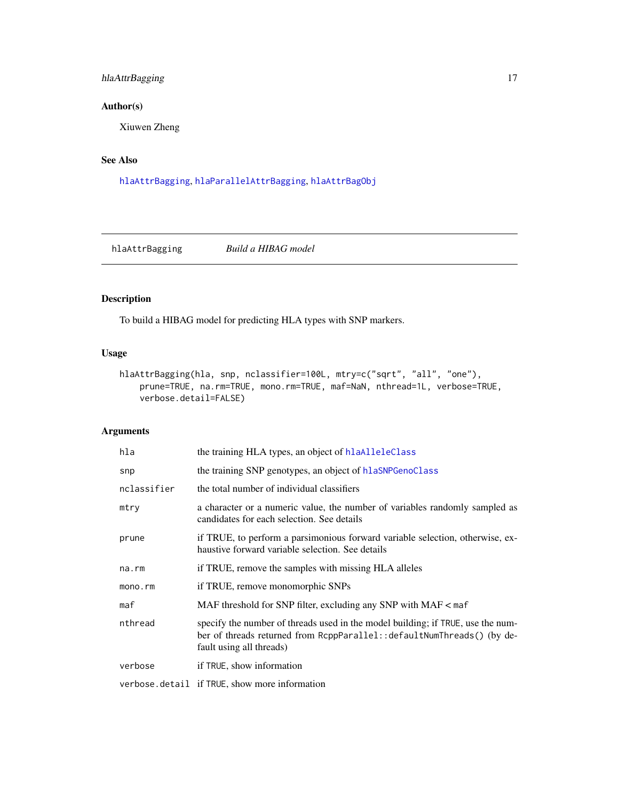# <span id="page-16-0"></span>hlaAttrBagging 17

# Author(s)

Xiuwen Zheng

# See Also

[hlaAttrBagging](#page-16-1), [hlaParallelAttrBagging](#page-51-1), [hlaAttrBagObj](#page-19-1)

<span id="page-16-1"></span>hlaAttrBagging *Build a HIBAG model*

# Description

To build a HIBAG model for predicting HLA types with SNP markers.

# Usage

```
hlaAttrBagging(hla, snp, nclassifier=100L, mtry=c("sqrt", "all", "one"),
   prune=TRUE, na.rm=TRUE, mono.rm=TRUE, maf=NaN, nthread=1L, verbose=TRUE,
   verbose.detail=FALSE)
```
# Arguments

| hla         | the training HLA types, an object of hlaAlleleClass                                                                                                                                    |
|-------------|----------------------------------------------------------------------------------------------------------------------------------------------------------------------------------------|
| snp         | the training SNP genotypes, an object of hlaSNPGenoClass                                                                                                                               |
| nclassifier | the total number of individual classifiers                                                                                                                                             |
| mtry        | a character or a numeric value, the number of variables randomly sampled as<br>candidates for each selection. See details                                                              |
| prune       | if TRUE, to perform a parsimonious forward variable selection, otherwise, ex-<br>haustive forward variable selection. See details                                                      |
| na.rm       | if TRUE, remove the samples with missing HLA alleles                                                                                                                                   |
| mono.rm     | if TRUE, remove monomorphic SNPs                                                                                                                                                       |
| maf         | MAF threshold for SNP filter, excluding any SNP with $MAF < \text{maf}$                                                                                                                |
| nthread     | specify the number of threads used in the model building; if TRUE, use the num-<br>ber of threads returned from RcppParallel:: defaultNumThreads() (by de-<br>fault using all threads) |
| verbose     | if TRUE, show information                                                                                                                                                              |
|             | verbose.detail if TRUE, show more information                                                                                                                                          |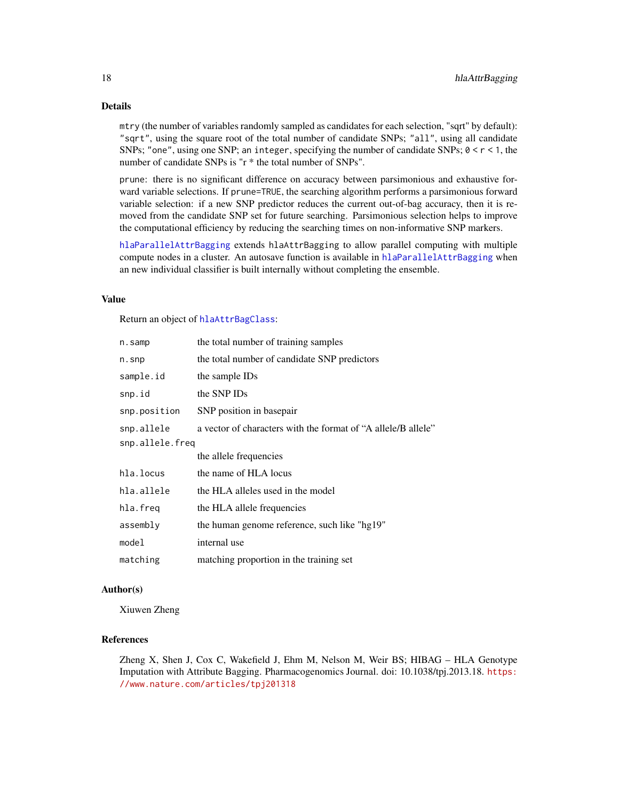#### Details

mtry (the number of variables randomly sampled as candidates for each selection, "sqrt" by default): "sqrt", using the square root of the total number of candidate SNPs; "all", using all candidate SNPs; "one", using one SNP; an integer, specifying the number of candidate SNPs;  $0 < r < 1$ , the number of candidate SNPs is "r \* the total number of SNPs".

prune: there is no significant difference on accuracy between parsimonious and exhaustive forward variable selections. If prune=TRUE, the searching algorithm performs a parsimonious forward variable selection: if a new SNP predictor reduces the current out-of-bag accuracy, then it is removed from the candidate SNP set for future searching. Parsimonious selection helps to improve the computational efficiency by reducing the searching times on non-informative SNP markers.

[hlaParallelAttrBagging](#page-51-1) extends hlaAttrBagging to allow parallel computing with multiple compute nodes in a cluster. An autosave function is available in [hlaParallelAttrBagging](#page-51-1) when an new individual classifier is built internally without completing the ensemble.

#### Value

Return an object of [hlaAttrBagClass](#page-15-1):

| n.samp          | the total number of training samples                          |
|-----------------|---------------------------------------------------------------|
| $n.s$ np        | the total number of candidate SNP predictors                  |
| sample.id       | the sample IDs                                                |
| snp.id          | the SNP IDs                                                   |
| snp.position    | SNP position in basepair                                      |
| snp.allele      | a vector of characters with the format of "A allele/B allele" |
| snp.allele.freq |                                                               |
|                 | the allele frequencies                                        |
| hla.locus       | the name of HLA locus                                         |
| hla.allele      | the HLA alleles used in the model                             |
| hla.freq        | the HLA allele frequencies                                    |
| assembly        | the human genome reference, such like "hg19"                  |
| model           | internal use                                                  |
| matching        | matching proportion in the training set                       |

#### Author(s)

Xiuwen Zheng

#### References

Zheng X, Shen J, Cox C, Wakefield J, Ehm M, Nelson M, Weir BS; HIBAG – HLA Genotype Imputation with Attribute Bagging. Pharmacogenomics Journal. doi: 10.1038/tpj.2013.18. [https:](https://www.nature.com/articles/tpj201318) [//www.nature.com/articles/tpj201318](https://www.nature.com/articles/tpj201318)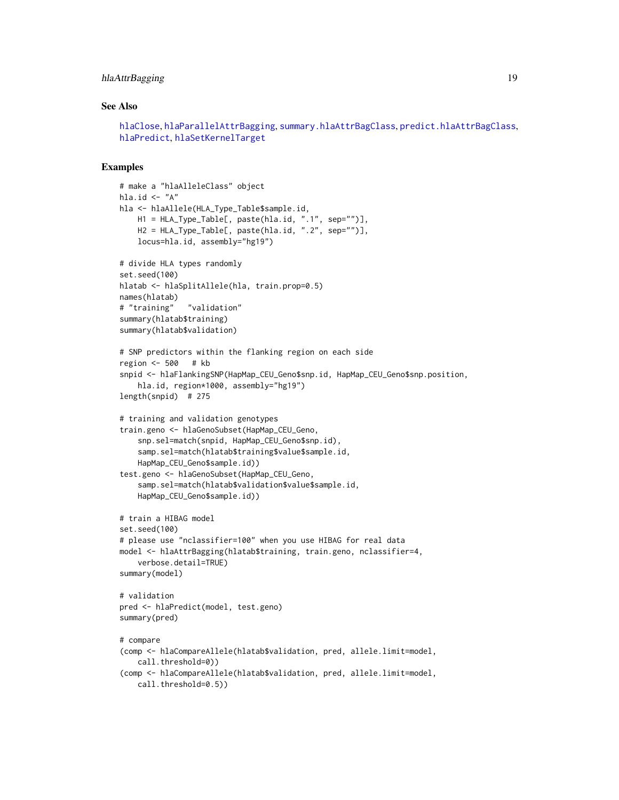# hlaAttrBagging 19

# See Also

```
hlaClose, hlaParallelAttrBagging, summary.hlaAttrBagClass, predict.hlaAttrBagClass,
hlaPredict, hlaSetKernelTarget
```

```
# make a "hlaAlleleClass" object
hla.id \leq "A"
hla <- hlaAllele(HLA_Type_Table$sample.id,
    H1 = HLA_Type_Table[, paste(hla.id, ".1", sep="")],
    H2 = HLA_Type_Table[, paste(hla.id, ".2", sep="")],
    locus=hla.id, assembly="hg19")
# divide HLA types randomly
set.seed(100)
hlatab <- hlaSplitAllele(hla, train.prop=0.5)
names(hlatab)
# "training" "validation"
summary(hlatab$training)
summary(hlatab$validation)
# SNP predictors within the flanking region on each side
region <- 500 # kb
snpid <- hlaFlankingSNP(HapMap_CEU_Geno$snp.id, HapMap_CEU_Geno$snp.position,
    hla.id, region*1000, assembly="hg19")
length(snpid) # 275
# training and validation genotypes
train.geno <- hlaGenoSubset(HapMap_CEU_Geno,
    snp.sel=match(snpid, HapMap_CEU_Geno$snp.id),
    samp.sel=match(hlatab$training$value$sample.id,
    HapMap_CEU_Geno$sample.id))
test.geno <- hlaGenoSubset(HapMap_CEU_Geno,
    samp.sel=match(hlatab$validation$value$sample.id,
    HapMap_CEU_Geno$sample.id))
# train a HIBAG model
set.seed(100)
# please use "nclassifier=100" when you use HIBAG for real data
model <- hlaAttrBagging(hlatab$training, train.geno, nclassifier=4,
    verbose.detail=TRUE)
summary(model)
# validation
pred <- hlaPredict(model, test.geno)
summary(pred)
# compare
(comp <- hlaCompareAllele(hlatab$validation, pred, allele.limit=model,
    call.threshold=0))
(comp <- hlaCompareAllele(hlatab$validation, pred, allele.limit=model,
   call.threshold=0.5))
```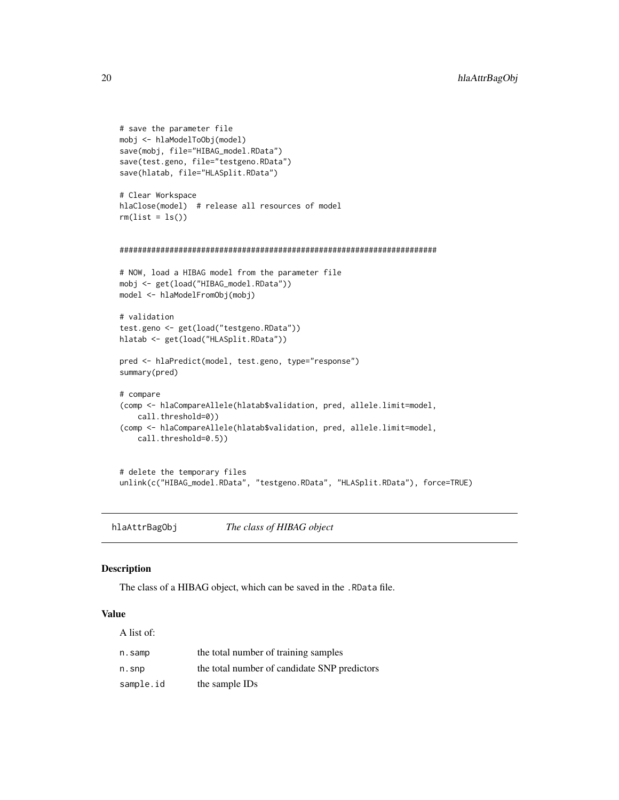```
# save the parameter file
mobj <- hlaModelToObj(model)
save(mobj, file="HIBAG_model.RData")
save(test.geno, file="testgeno.RData")
save(hlatab, file="HLASplit.RData")
# Clear Workspace
hlaClose(model) # release all resources of model
rm(list = ls())######################################################################
# NOW, load a HIBAG model from the parameter file
mobj <- get(load("HIBAG_model.RData"))
model <- hlaModelFromObj(mobj)
# validation
test.geno <- get(load("testgeno.RData"))
hlatab <- get(load("HLASplit.RData"))
pred <- hlaPredict(model, test.geno, type="response")
summary(pred)
# compare
(comp <- hlaCompareAllele(hlatab$validation, pred, allele.limit=model,
    call.threshold=0))
(comp <- hlaCompareAllele(hlatab$validation, pred, allele.limit=model,
   call.threshold=0.5))
# delete the temporary files
unlink(c("HIBAG_model.RData", "testgeno.RData", "HLASplit.RData"), force=TRUE)
```
<span id="page-19-1"></span>hlaAttrBagObj *The class of HIBAG object*

#### Description

The class of a HIBAG object, which can be saved in the .RData file.

#### Value

| A list of: |                                              |
|------------|----------------------------------------------|
| n.samp     | the total number of training samples         |
| n.snp      | the total number of candidate SNP predictors |
| sample.id  | the sample IDs                               |

<span id="page-19-0"></span>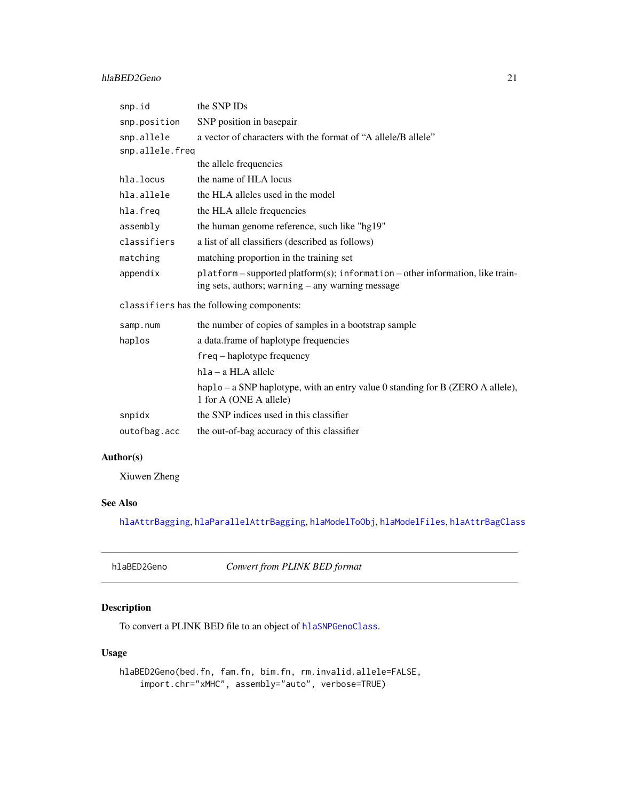#### <span id="page-20-0"></span>hlaBED2Geno 21

| snp.id                                    | the SNP IDs                                                                                                                        |  |
|-------------------------------------------|------------------------------------------------------------------------------------------------------------------------------------|--|
| snp.position                              | SNP position in basepair                                                                                                           |  |
| snp.allele                                | a vector of characters with the format of "A allele/B allele"                                                                      |  |
| snp.allele.freq                           |                                                                                                                                    |  |
|                                           | the allele frequencies                                                                                                             |  |
| hla.locus                                 | the name of HLA locus                                                                                                              |  |
| hla.allele                                | the HLA alleles used in the model                                                                                                  |  |
| hla.freq                                  | the HLA allele frequencies                                                                                                         |  |
| assembly                                  | the human genome reference, such like "hg19"                                                                                       |  |
| classifiers                               | a list of all classifiers (described as follows)                                                                                   |  |
| matching                                  | matching proportion in the training set                                                                                            |  |
| appendix                                  | platform - supported platform(s); information - other information, like train-<br>ing sets, authors; warning – any warning message |  |
| classifiers has the following components: |                                                                                                                                    |  |
| samp.num                                  | the number of copies of samples in a bootstrap sample                                                                              |  |
| haplos                                    | a data.frame of haplotype frequencies                                                                                              |  |
|                                           | $freq - haplotype frequency$                                                                                                       |  |
|                                           | hla – a HLA allele                                                                                                                 |  |
|                                           | haplo – a SNP haplotype, with an entry value 0 standing for B (ZERO A allele),<br>1 for A (ONE A allele)                           |  |
| snpidx                                    | the SNP indices used in this classifier                                                                                            |  |
| outofbag.acc                              | the out-of-bag accuracy of this classifier                                                                                         |  |

# Author(s)

Xiuwen Zheng

# See Also

[hlaAttrBagging](#page-16-1), [hlaParallelAttrBagging](#page-51-1), [hlaModelToObj](#page-48-1), [hlaModelFiles](#page-47-1), [hlaAttrBagClass](#page-15-1)

<span id="page-20-1"></span>

| hlaBED2Geno | Convert from PLINK BED format |
|-------------|-------------------------------|
|-------------|-------------------------------|

# Description

To convert a PLINK BED file to an object of [hlaSNPGenoClass](#page-66-1).

# Usage

hlaBED2Geno(bed.fn, fam.fn, bim.fn, rm.invalid.allele=FALSE, import.chr="xMHC", assembly="auto", verbose=TRUE)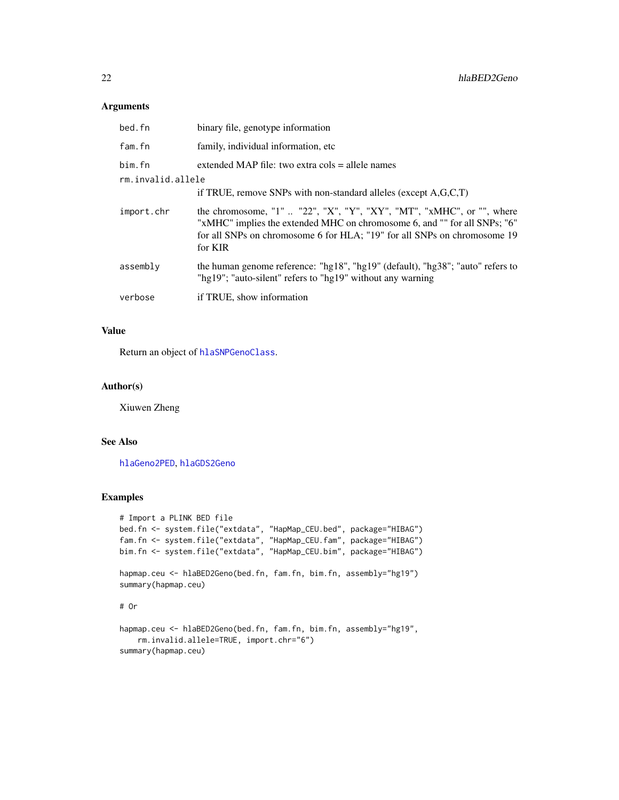#### Arguments

| bed.fn            | binary file, genotype information                                                                                                                                                                                                         |
|-------------------|-------------------------------------------------------------------------------------------------------------------------------------------------------------------------------------------------------------------------------------------|
| fam.fn            | family, individual information, etc.                                                                                                                                                                                                      |
| bim.fn            | extended MAP file: two extra cols $=$ allele names                                                                                                                                                                                        |
| rm.invalid.allele |                                                                                                                                                                                                                                           |
|                   | if TRUE, remove SNPs with non-standard alleles (except $A, G, C, T$ )                                                                                                                                                                     |
| import.chr        | the chromosome, "1"  "22", "X", "Y", "XY", "MT", "xMHC", or "", where<br>"xMHC" implies the extended MHC on chromosome 6, and "" for all SNPs; "6"<br>for all SNPs on chromosome 6 for HLA; "19" for all SNPs on chromosome 19<br>for KIR |
| assembly          | the human genome reference: "hg18", "hg19" (default), "hg38"; "auto" refers to<br>"hg19"; "auto-silent" refers to "hg19" without any warning                                                                                              |
| verbose           | if TRUE, show information                                                                                                                                                                                                                 |

#### Value

Return an object of [hlaSNPGenoClass](#page-66-1).

#### Author(s)

Xiuwen Zheng

# See Also

[hlaGeno2PED](#page-35-1), [hlaGDS2Geno](#page-34-1)

summary(hapmap.ceu)

```
# Import a PLINK BED file
bed.fn <- system.file("extdata", "HapMap_CEU.bed", package="HIBAG")
fam.fn <- system.file("extdata", "HapMap_CEU.fam", package="HIBAG")
bim.fn <- system.file("extdata", "HapMap_CEU.bim", package="HIBAG")
hapmap.ceu <- hlaBED2Geno(bed.fn, fam.fn, bim.fn, assembly="hg19")
summary(hapmap.ceu)
# Or
hapmap.ceu <- hlaBED2Geno(bed.fn, fam.fn, bim.fn, assembly="hg19",
   rm.invalid.allele=TRUE, import.chr="6")
```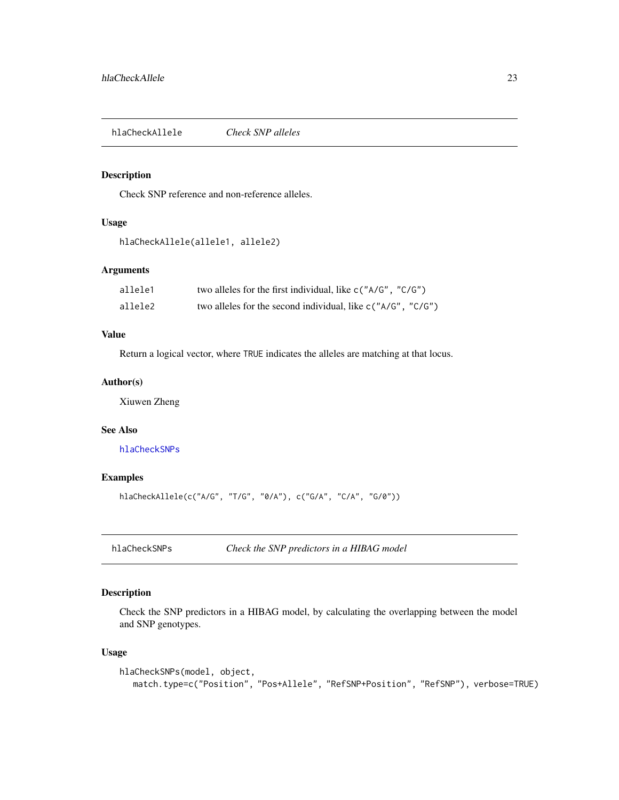<span id="page-22-0"></span>hlaCheckAllele *Check SNP alleles*

### Description

Check SNP reference and non-reference alleles.

# Usage

```
hlaCheckAllele(allele1, allele2)
```
# Arguments

| allele1 | two alleles for the first individual, like $c("A/G", "C/G")$ |
|---------|--------------------------------------------------------------|
| allele2 | two alleles for the second individual, like c("A/G", "C/G")  |

# Value

Return a logical vector, where TRUE indicates the alleles are matching at that locus.

#### Author(s)

Xiuwen Zheng

# See Also

[hlaCheckSNPs](#page-22-1)

# Examples

```
hlaCheckAllele(c("A/G", "T/G", "0/A"), c("G/A", "C/A", "G/0"))
```
<span id="page-22-1"></span>hlaCheckSNPs *Check the SNP predictors in a HIBAG model*

# Description

Check the SNP predictors in a HIBAG model, by calculating the overlapping between the model and SNP genotypes.

#### Usage

```
hlaCheckSNPs(model, object,
  match.type=c("Position", "Pos+Allele", "RefSNP+Position", "RefSNP"), verbose=TRUE)
```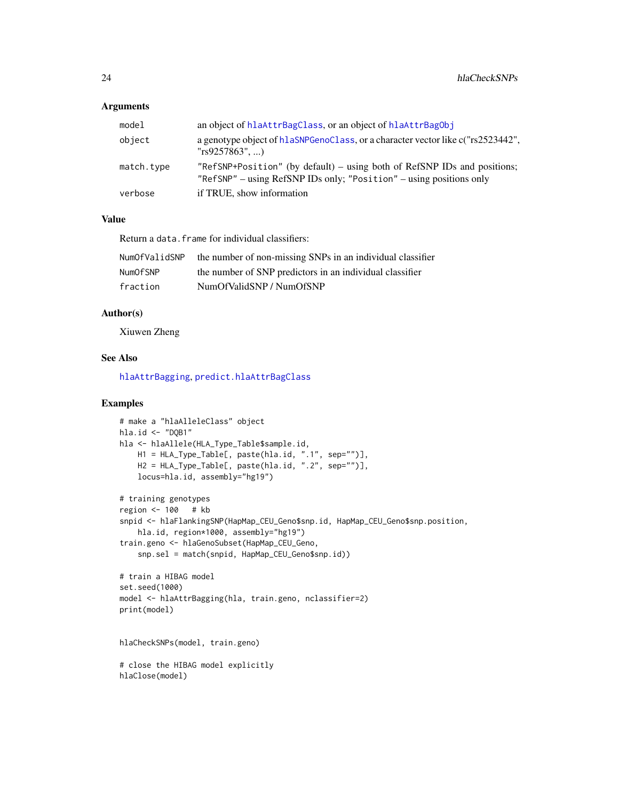#### **Arguments**

| model      | an object of hlaAttrBagClass, or an object of hlaAttrBagObj                                                                                             |
|------------|---------------------------------------------------------------------------------------------------------------------------------------------------------|
| object     | a genotype object of hlaSNPGenoClass, or a character vector like c("rs2523442",<br>"rs9257863", )                                                       |
| match.type | "RefSNP+Position" (by default) – using both of RefSNP IDs and positions;<br>" $RefSNP"$ – using $RefSNP$ IDs only; " $Position"$ – using positions only |
| verbose    | if TRUE, show information                                                                                                                               |

# Value

Return a data.frame for individual classifiers:

| NumOfValidSNP | the number of non-missing SNPs in an individual classifier |
|---------------|------------------------------------------------------------|
| NumOfSNP      | the number of SNP predictors in an individual classifier   |
| fraction      | NumOfValidSNP / NumOfSNP                                   |

#### Author(s)

Xiuwen Zheng

#### See Also

[hlaAttrBagging](#page-16-1), [predict.hlaAttrBagClass](#page-54-1)

```
# make a "hlaAlleleClass" object
hla.id <- "DQB1"
hla <- hlaAllele(HLA_Type_Table$sample.id,
   H1 = HLA_Type_Table[, paste(hla.id, ".1", sep="")],
   H2 = HLA_Type_Table[, paste(hla.id, ".2", sep="")],
    locus=hla.id, assembly="hg19")
# training genotypes
region <- 100 # kb
snpid <- hlaFlankingSNP(HapMap_CEU_Geno$snp.id, HapMap_CEU_Geno$snp.position,
   hla.id, region*1000, assembly="hg19")
train.geno <- hlaGenoSubset(HapMap_CEU_Geno,
    snp.sel = match(snpid, HapMap_CEU_Geno$snp.id))
# train a HIBAG model
set.seed(1000)
model <- hlaAttrBagging(hla, train.geno, nclassifier=2)
print(model)
hlaCheckSNPs(model, train.geno)
# close the HIBAG model explicitly
hlaClose(model)
```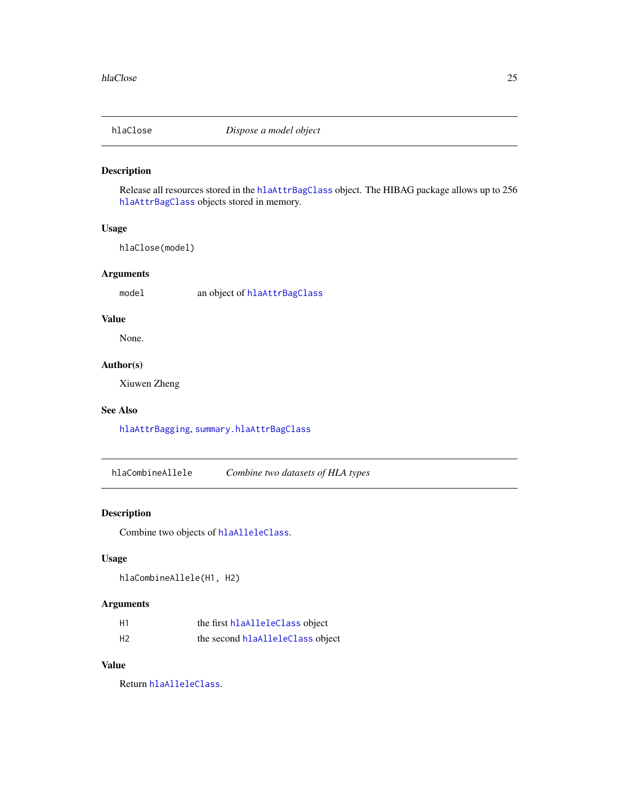<span id="page-24-1"></span><span id="page-24-0"></span>

# Description

Release all resources stored in the [hlaAttrBagClass](#page-15-1) object. The HIBAG package allows up to 256 [hlaAttrBagClass](#page-15-1) objects stored in memory.

# Usage

hlaClose(model)

#### Arguments

model an object of [hlaAttrBagClass](#page-15-1)

# Value

None.

# Author(s)

Xiuwen Zheng

#### See Also

[hlaAttrBagging](#page-16-1), [summary.hlaAttrBagClass](#page-73-1)

hlaCombineAllele *Combine two datasets of HLA types*

# Description

Combine two objects of [hlaAlleleClass](#page-8-1).

# Usage

hlaCombineAllele(H1, H2)

# Arguments

| H1             | the first hlaAlleleClass object  |
|----------------|----------------------------------|
| H <sub>2</sub> | the second hlaAlleleClass object |

# Value

Return [hlaAlleleClass](#page-8-1).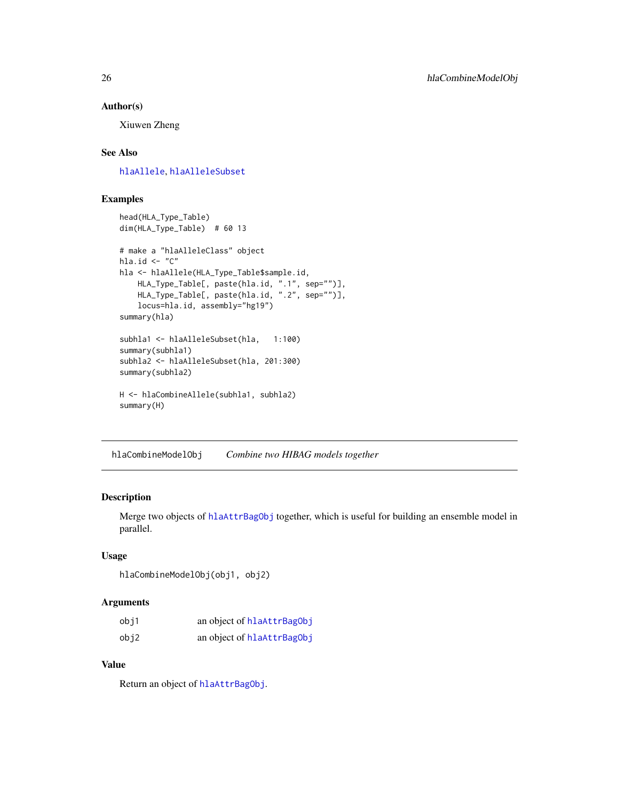#### <span id="page-25-0"></span>Author(s)

Xiuwen Zheng

# See Also

[hlaAllele](#page-7-1), [hlaAlleleSubset](#page-10-1)

# Examples

```
head(HLA_Type_Table)
dim(HLA_Type_Table) # 60 13
# make a "hlaAlleleClass" object
hla.id \leq "C"
hla <- hlaAllele(HLA_Type_Table$sample.id,
   HLA_Type_Table[, paste(hla.id, ".1", sep="")],
   HLA_Type_Table[, paste(hla.id, ".2", sep="")],
   locus=hla.id, assembly="hg19")
summary(hla)
subhla1 <- hlaAlleleSubset(hla, 1:100)
summary(subhla1)
subhla2 <- hlaAlleleSubset(hla, 201:300)
summary(subhla2)
H <- hlaCombineAllele(subhla1, subhla2)
summary(H)
```
hlaCombineModelObj *Combine two HIBAG models together*

# Description

Merge two objects of [hlaAttrBagObj](#page-19-1) together, which is useful for building an ensemble model in parallel.

# Usage

```
hlaCombineModelObj(obj1, obj2)
```
#### Arguments

| obi1 | an object of hlaAttrBagObj |
|------|----------------------------|
| obj2 | an object of hlaAttrBagObj |

# Value

Return an object of [hlaAttrBagObj](#page-19-1).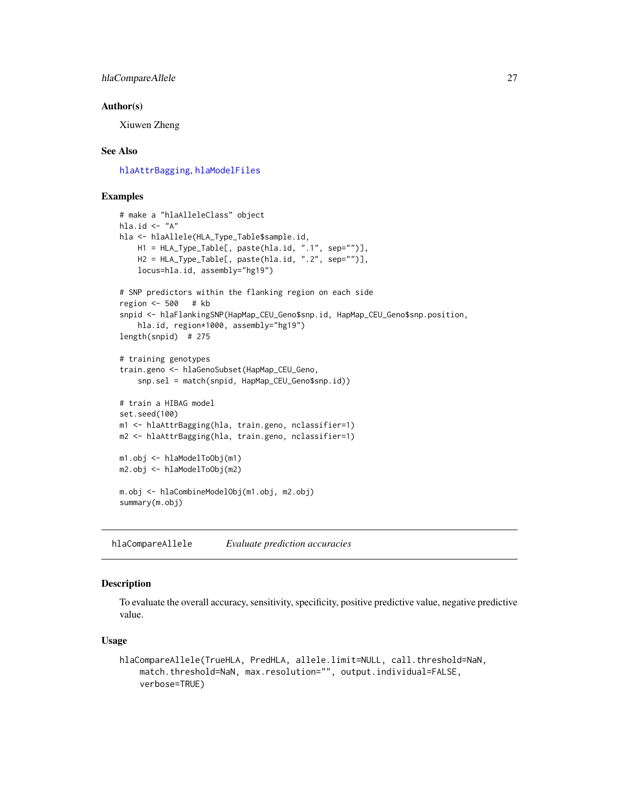<span id="page-26-0"></span>hlaCompareAllele 27

#### Author(s)

Xiuwen Zheng

#### See Also

[hlaAttrBagging](#page-16-1), [hlaModelFiles](#page-47-1)

#### Examples

```
# make a "hlaAlleleClass" object
hla.id \leftarrow "A"
hla <- hlaAllele(HLA_Type_Table$sample.id,
   H1 = HLA_Type_Table[, paste(hla.id, ".1", sep="")],
   H2 = HLA_Type_Table[, paste(hla.id, ".2", sep="")],
   locus=hla.id, assembly="hg19")
# SNP predictors within the flanking region on each side
region <- 500 # kb
snpid <- hlaFlankingSNP(HapMap_CEU_Geno$snp.id, HapMap_CEU_Geno$snp.position,
    hla.id, region*1000, assembly="hg19")
length(snpid) # 275
# training genotypes
train.geno <- hlaGenoSubset(HapMap_CEU_Geno,
    snp.sel = match(snpid, HapMap_CEU_Geno$snp.id))
# train a HIBAG model
set.seed(100)
m1 <- hlaAttrBagging(hla, train.geno, nclassifier=1)
m2 <- hlaAttrBagging(hla, train.geno, nclassifier=1)
m1.obj <- hlaModelToObj(m1)
m2.obj <- hlaModelToObj(m2)
m.obj <- hlaCombineModelObj(m1.obj, m2.obj)
summary(m.obj)
```
hlaCompareAllele *Evaluate prediction accuracies*

#### Description

To evaluate the overall accuracy, sensitivity, specificity, positive predictive value, negative predictive value.

#### Usage

```
hlaCompareAllele(TrueHLA, PredHLA, allele.limit=NULL, call.threshold=NaN,
   match.threshold=NaN, max.resolution="", output.individual=FALSE,
   verbose=TRUE)
```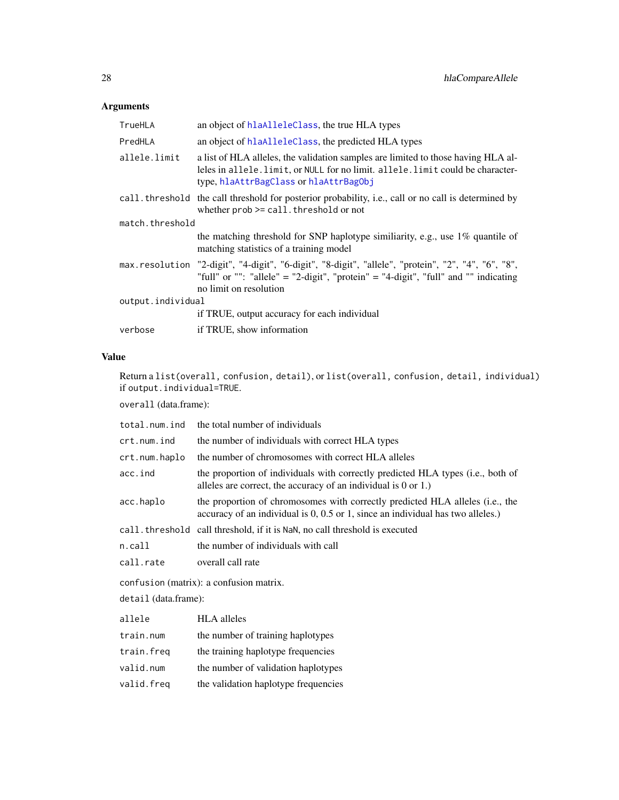# Arguments

| TrueHLA           | an object of hlaAlleleClass, the true HLA types                                                                                                                                                                      |  |
|-------------------|----------------------------------------------------------------------------------------------------------------------------------------------------------------------------------------------------------------------|--|
| PredHLA           | an object of hlaAlleleClass, the predicted HLA types                                                                                                                                                                 |  |
| allele.limit      | a list of HLA alleles, the validation samples are limited to those having HLA al-<br>leles in allele. limit, or NULL for no limit. allele. limit could be character-<br>type, hlaAttrBagClass or hlaAttrBagObj       |  |
|                   | call. threshold the call threshold for posterior probability, i.e., call or no call is determined by<br>whether $prob \geq cal1$ . threshold or not                                                                  |  |
| match.threshold   |                                                                                                                                                                                                                      |  |
|                   | the matching threshold for SNP haplotype similiarity, e.g., use 1% quantile of<br>matching statistics of a training model                                                                                            |  |
|                   | max.resolution "2-digit", "4-digit", "6-digit", "8-digit", "allele", "protein", "2", "4", "6", "8",<br>"full" or "": "allele" = "2-digit", "protein" = "4-digit", "full" and "" indicating<br>no limit on resolution |  |
| output.individual |                                                                                                                                                                                                                      |  |
|                   | if TRUE, output accuracy for each individual                                                                                                                                                                         |  |
| verbose           | if TRUE, show information                                                                                                                                                                                            |  |

# Value

Return a list(overall, confusion, detail), or list(overall, confusion, detail, individual) if output.individual=TRUE.

overall (data.frame):

| total.num.ind                           | the total number of individuals                                                                                                                                  |  |
|-----------------------------------------|------------------------------------------------------------------------------------------------------------------------------------------------------------------|--|
| crt.num.ind                             | the number of individuals with correct HLA types                                                                                                                 |  |
| crt.num.haplo                           | the number of chromosomes with correct HLA alleles                                                                                                               |  |
| acc.ind                                 | the proportion of individuals with correctly predicted HLA types (i.e., both of<br>alleles are correct, the accuracy of an individual is $0$ or 1.)              |  |
| acc.haplo                               | the proportion of chromosomes with correctly predicted HLA alleles (i.e., the<br>accuracy of an individual is 0, 0.5 or 1, since an individual has two alleles.) |  |
|                                         | call. threshold call threshold, if it is NaN, no call threshold is executed                                                                                      |  |
| n.call                                  | the number of individuals with call                                                                                                                              |  |
| call.rate                               | overall call rate                                                                                                                                                |  |
| confusion (matrix): a confusion matrix. |                                                                                                                                                                  |  |
| $detail$ (data.frame):                  |                                                                                                                                                                  |  |
| allele                                  | <b>HLA</b> alleles                                                                                                                                               |  |
| train.num                               | the number of training haplotypes                                                                                                                                |  |
| train.freq                              | the training haplotype frequencies                                                                                                                               |  |

valid.num the number of validation haplotypes

valid.freq the validation haplotype frequencies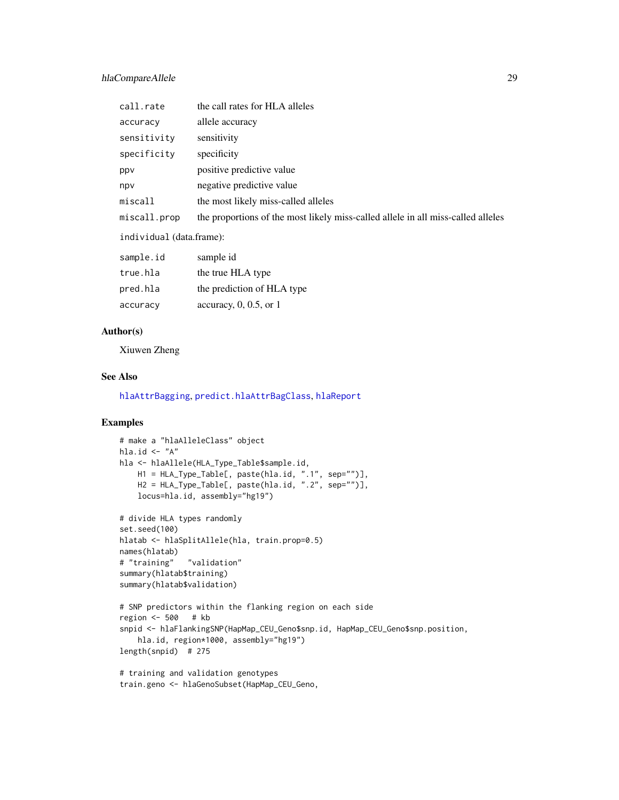#### hlaCompareAllele 29

| call.rate                | the call rates for HLA alleles                                                   |  |
|--------------------------|----------------------------------------------------------------------------------|--|
| accuracy                 | allele accuracy                                                                  |  |
| sensitivity              | sensitivity                                                                      |  |
| specificity              | specificity                                                                      |  |
| ppy                      | positive predictive value                                                        |  |
| npv                      | negative predictive value                                                        |  |
| miscall                  | the most likely miss-called alleles                                              |  |
| miscall.prop             | the proportions of the most likely miss-called allele in all miss-called alleles |  |
| individual (data.frame): |                                                                                  |  |
| sample.id                | sample id                                                                        |  |
| true.hla                 | the true HLA type                                                                |  |
| pred.hla                 | the prediction of HLA type                                                       |  |

#### Author(s)

Xiuwen Zheng

accuracy accuracy, 0, 0.5, or 1

# See Also

[hlaAttrBagging](#page-16-1), [predict.hlaAttrBagClass](#page-54-1), [hlaReport](#page-60-1)

```
# make a "hlaAlleleClass" object
hla.id \leftarrow "A"
hla <- hlaAllele(HLA_Type_Table$sample.id,
   H1 = HLA_Type_Table[, paste(hla.id, ".1", sep="")],
   H2 = HLA_Type_Table[, paste(hla.id, ".2", sep="")],
   locus=hla.id, assembly="hg19")
# divide HLA types randomly
set.seed(100)
hlatab <- hlaSplitAllele(hla, train.prop=0.5)
names(hlatab)
# "training" "validation"
summary(hlatab$training)
summary(hlatab$validation)
# SNP predictors within the flanking region on each side
region <- 500 # kb
snpid <- hlaFlankingSNP(HapMap_CEU_Geno$snp.id, HapMap_CEU_Geno$snp.position,
   hla.id, region*1000, assembly="hg19")
length(snpid) # 275
# training and validation genotypes
```

```
train.geno <- hlaGenoSubset(HapMap_CEU_Geno,
```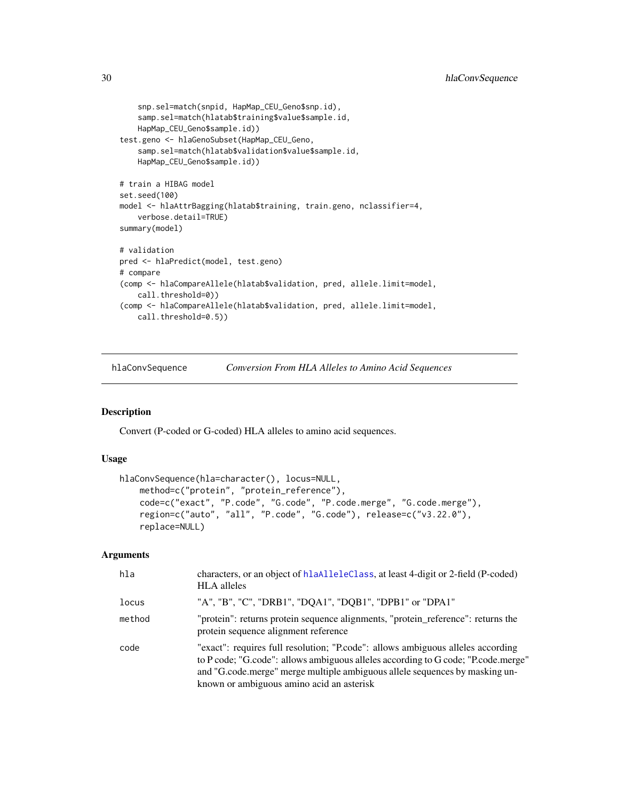```
snp.sel=match(snpid, HapMap_CEU_Geno$snp.id),
    samp.sel=match(hlatab$training$value$sample.id,
   HapMap_CEU_Geno$sample.id))
test.geno <- hlaGenoSubset(HapMap_CEU_Geno,
    samp.sel=match(hlatab$validation$value$sample.id,
   HapMap_CEU_Geno$sample.id))
# train a HIBAG model
set.seed(100)
model <- hlaAttrBagging(hlatab$training, train.geno, nclassifier=4,
    verbose.detail=TRUE)
summary(model)
# validation
pred <- hlaPredict(model, test.geno)
# compare
(comp <- hlaCompareAllele(hlatab$validation, pred, allele.limit=model,
   call.threshold=0))
(comp <- hlaCompareAllele(hlatab$validation, pred, allele.limit=model,
   call.threshold=0.5))
```
<span id="page-29-1"></span>hlaConvSequence *Conversion From HLA Alleles to Amino Acid Sequences*

#### Description

Convert (P-coded or G-coded) HLA alleles to amino acid sequences.

#### Usage

```
hlaConvSequence(hla=character(), locus=NULL,
   method=c("protein", "protein_reference"),
   code=c("exact", "P.code", "G.code", "P.code.merge", "G.code.merge"),
    region=c("auto", "all", "P.code", "G.code"), release=c("v3.22.0"),
   replace=NULL)
```
# Arguments

| hla    | characters, or an object of h1aA11e1eC1ass, at least 4-digit or 2-field (P-coded)<br><b>HLA</b> alleles                                                                                                                                                                                          |
|--------|--------------------------------------------------------------------------------------------------------------------------------------------------------------------------------------------------------------------------------------------------------------------------------------------------|
| locus  | "A", "B", "C", "DRB1", "DQA1", "DQB1", "DPB1" or "DPA1"                                                                                                                                                                                                                                          |
| method | "protein": returns protein sequence alignments, "protein reference": returns the<br>protein sequence alignment reference                                                                                                                                                                         |
| code   | "exact": requires full resolution; "P.code": allows ambiguous alleles according<br>to P code; "G code": allows ambiguous alleles according to G code; "P code merge"<br>and "G.code.merge" merge multiple ambiguous allele sequences by masking un-<br>known or ambiguous amino acid an asterisk |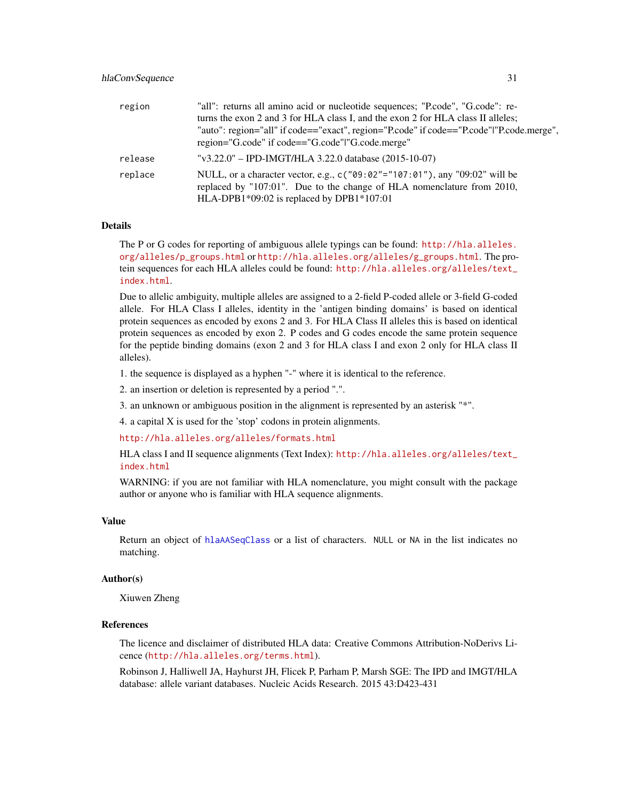| region  | "all": returns all amino acid or nucleotide sequences; "P.code", "G.code": re-                 |
|---------|------------------------------------------------------------------------------------------------|
|         | turns the exon 2 and 3 for HLA class I, and the exon 2 for HLA class II alleles;               |
|         | "auto": region="all" if code=="exact", region="P.code" if code=="P.code" "P.code.merge",       |
|         | region="G.code" if code=="G.code" "G.code.merge"                                               |
| release | "v3.22.0" – IPD-IMGT/HLA 3.22.0 database $(2015-10-07)$                                        |
| replace | NULL, or a character vector, e.g., c( $\degree$ 09:02"="107:01"), any $\degree$ 09:02" will be |
|         | replaced by "107:01". Due to the change of HLA nomenclature from 2010,                         |
|         | HLA-DPB1*09:02 is replaced by DPB1*107:01                                                      |

#### Details

The P or G codes for reporting of ambiguous allele typings can be found: [http://hla.alleles.](http://hla.alleles.org/alleles/p_groups.html) [org/alleles/p\\_groups.html](http://hla.alleles.org/alleles/p_groups.html) or [http://hla.alleles.org/alleles/g\\_groups.html](http://hla.alleles.org/alleles/g_groups.html). The protein sequences for each HLA alleles could be found: [http://hla.alleles.org/alleles/text\\_](http://hla.alleles.org/alleles/text_index.html) [index.html](http://hla.alleles.org/alleles/text_index.html).

Due to allelic ambiguity, multiple alleles are assigned to a 2-field P-coded allele or 3-field G-coded allele. For HLA Class I alleles, identity in the 'antigen binding domains' is based on identical protein sequences as encoded by exons 2 and 3. For HLA Class II alleles this is based on identical protein sequences as encoded by exon 2. P codes and G codes encode the same protein sequence for the peptide binding domains (exon 2 and 3 for HLA class I and exon 2 only for HLA class II alleles).

1. the sequence is displayed as a hyphen "-" where it is identical to the reference.

2. an insertion or deletion is represented by a period ".".

3. an unknown or ambiguous position in the alignment is represented by an asterisk "\*".

4. a capital X is used for the 'stop' codons in protein alignments.

<http://hla.alleles.org/alleles/formats.html>

HLA class I and II sequence alignments (Text Index): [http://hla.alleles.org/alleles/text\\_](http://hla.alleles.org/alleles/text_index.html) [index.html](http://hla.alleles.org/alleles/text_index.html)

WARNING: if you are not familiar with HLA nomenclature, you might consult with the package author or anyone who is familiar with HLA sequence alignments.

#### Value

Return an object of [hlaAASeqClass](#page-6-1) or a list of characters. NULL or NA in the list indicates no matching.

#### Author(s)

Xiuwen Zheng

### References

The licence and disclaimer of distributed HLA data: Creative Commons Attribution-NoDerivs Licence (<http://hla.alleles.org/terms.html>).

Robinson J, Halliwell JA, Hayhurst JH, Flicek P, Parham P, Marsh SGE: The IPD and IMGT/HLA database: allele variant databases. Nucleic Acids Research. 2015 43:D423-431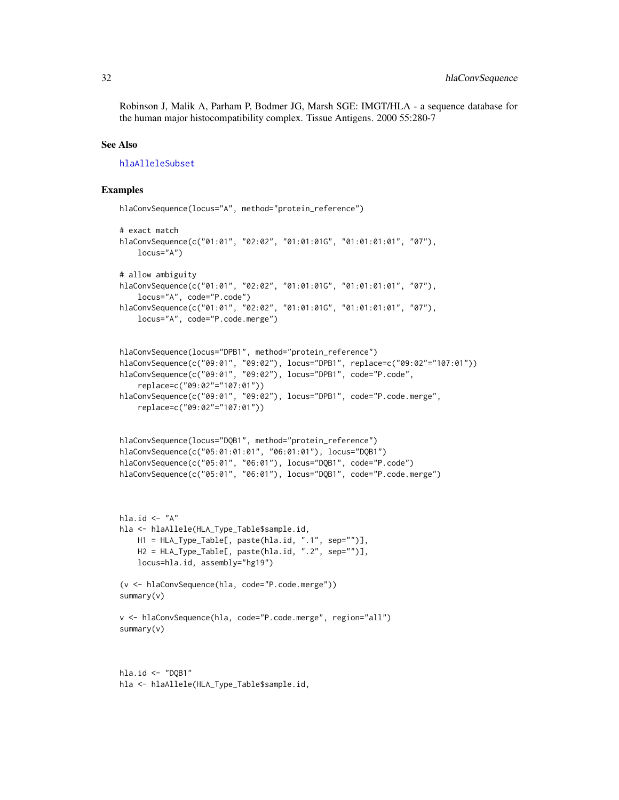Robinson J, Malik A, Parham P, Bodmer JG, Marsh SGE: IMGT/HLA - a sequence database for the human major histocompatibility complex. Tissue Antigens. 2000 55:280-7

#### See Also

[hlaAlleleSubset](#page-10-1)

```
hlaConvSequence(locus="A", method="protein_reference")
# exact match
hlaConvSequence(c("01:01", "02:02", "01:01:01G", "01:01:01:01", "07"),
    locus="A")
# allow ambiguity
hlaConvSequence(c("01:01", "02:02", "01:01:01G", "01:01:01", "07"),
    locus="A", code="P.code")
hlaConvSequence(c("01:01", "02:02", "01:01:01G", "01:01:01:01", "07"),
    locus="A", code="P.code.merge")
hlaConvSequence(locus="DPB1", method="protein_reference")
hlaConvSequence(c("09:01", "09:02"), locus="DPB1", replace=c("09:02"="107:01"))
hlaConvSequence(c("09:01", "09:02"), locus="DPB1", code="P.code",
    replace=c("09:02"="107:01"))
hlaConvSequence(c("09:01", "09:02"), locus="DPB1", code="P.code.merge",
    replace=c("09:02"="107:01"))
hlaConvSequence(locus="DQB1", method="protein_reference")
hlaConvSequence(c("05:01:01:01", "06:01:01"), locus="DQB1")
hlaConvSequence(c("05:01", "06:01"), locus="DQB1", code="P.code")
hlaConvSequence(c("05:01", "06:01"), locus="DQB1", code="P.code.merge")
hla.id \leftarrow "A"
hla <- hlaAllele(HLA_Type_Table$sample.id,
   H1 = HLA_Type_Table[, paste(hla.id, ".1", sep="")],
   H2 = HLA_Type_Table[, paste(hla.id, ".2", sep="")],
    locus=hla.id, assembly="hg19")
(v <- hlaConvSequence(hla, code="P.code.merge"))
summary(v)
v <- hlaConvSequence(hla, code="P.code.merge", region="all")
summary(v)
hla.id <- "DQB1"
hla <- hlaAllele(HLA_Type_Table$sample.id,
```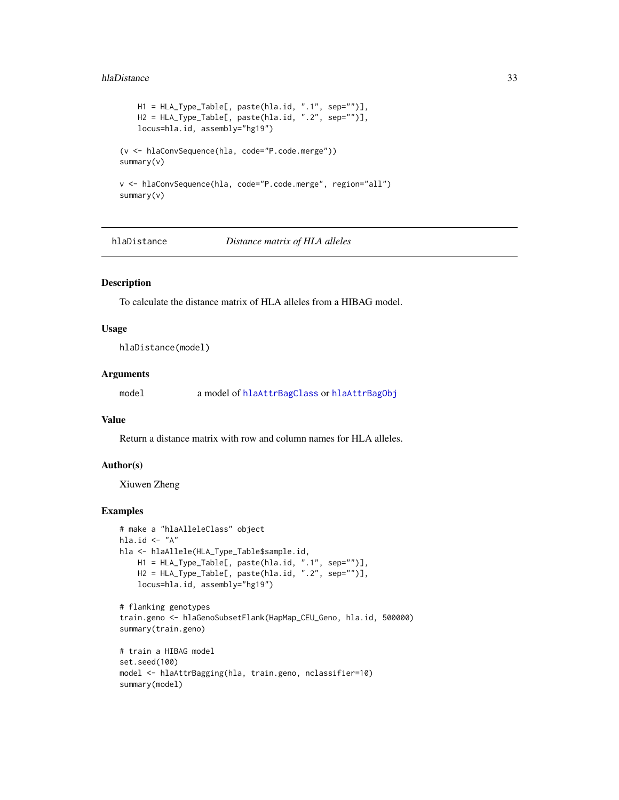#### <span id="page-32-0"></span>hlaDistance 33

```
H1 = HLA_Type_Table[, paste(hla.id, ".1", sep="")],
   H2 = HLA_Type_Table[, paste(hla.id, ".2", sep="")],
   locus=hla.id, assembly="hg19")
(v <- hlaConvSequence(hla, code="P.code.merge"))
summary(v)
v <- hlaConvSequence(hla, code="P.code.merge", region="all")
summary(v)
```
hlaDistance *Distance matrix of HLA alleles*

# Description

To calculate the distance matrix of HLA alleles from a HIBAG model.

# Usage

hlaDistance(model)

#### Arguments

model a model of [hlaAttrBagClass](#page-15-1) or [hlaAttrBagObj](#page-19-1)

#### Value

Return a distance matrix with row and column names for HLA alleles.

#### Author(s)

Xiuwen Zheng

```
# make a "hlaAlleleClass" object
hla.id \leftarrow "A"
hla <- hlaAllele(HLA_Type_Table$sample.id,
    H1 = HLA_Type_Table[, paste(hla.id, ".1", sep="")],
    H2 = HLA_Type_Table[, paste(hla.id, ".2", sep="")],
    locus=hla.id, assembly="hg19")
# flanking genotypes
train.geno <- hlaGenoSubsetFlank(HapMap_CEU_Geno, hla.id, 500000)
summary(train.geno)
# train a HIBAG model
set.seed(100)
model <- hlaAttrBagging(hla, train.geno, nclassifier=10)
summary(model)
```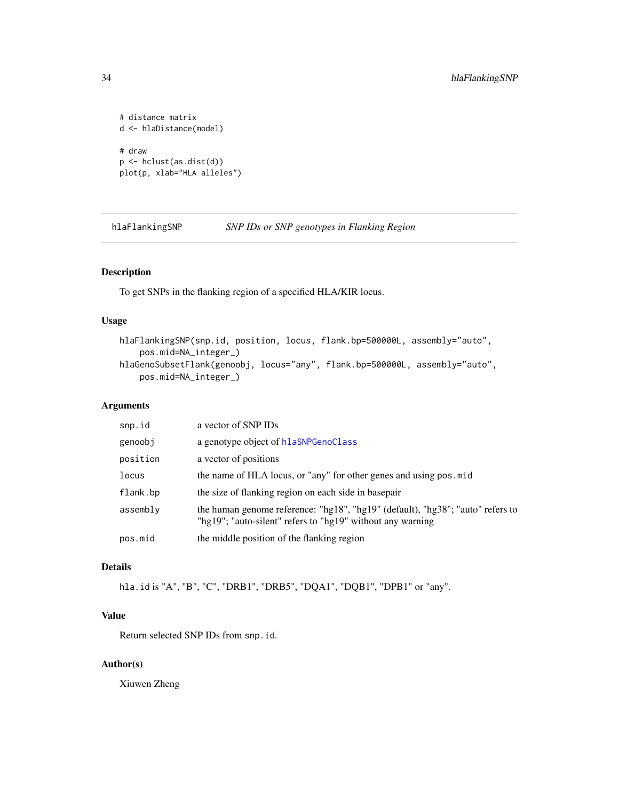```
# distance matrix
d <- hlaDistance(model)
# draw
p <- hclust(as.dist(d))
plot(p, xlab="HLA alleles")
```
hlaFlankingSNP *SNP IDs or SNP genotypes in Flanking Region*

#### Description

To get SNPs in the flanking region of a specified HLA/KIR locus.

#### Usage

```
hlaFlankingSNP(snp.id, position, locus, flank.bp=500000L, assembly="auto",
    pos.mid=NA_integer_)
hlaGenoSubsetFlank(genoobj, locus="any", flank.bp=500000L, assembly="auto",
   pos.mid=NA_integer_)
```
#### Arguments

| snp.id   | a vector of SNP IDs                                                                                                                          |
|----------|----------------------------------------------------------------------------------------------------------------------------------------------|
| genoobj  | a genotype object of hlaSNPGenoClass                                                                                                         |
| position | a vector of positions                                                                                                                        |
| locus    | the name of HLA locus, or "any" for other genes and using pos. mid                                                                           |
| flank.bp | the size of flanking region on each side in basepair                                                                                         |
| assembly | the human genome reference: "hg18", "hg19" (default), "hg38"; "auto" refers to<br>"hg19"; "auto-silent" refers to "hg19" without any warning |
| pos.mid  | the middle position of the flanking region                                                                                                   |

# Details

hla.id is "A", "B", "C", "DRB1", "DRB5", "DQA1", "DQB1", "DPB1" or "any".

# Value

Return selected SNP IDs from snp.id.

# Author(s)

Xiuwen Zheng

<span id="page-33-0"></span>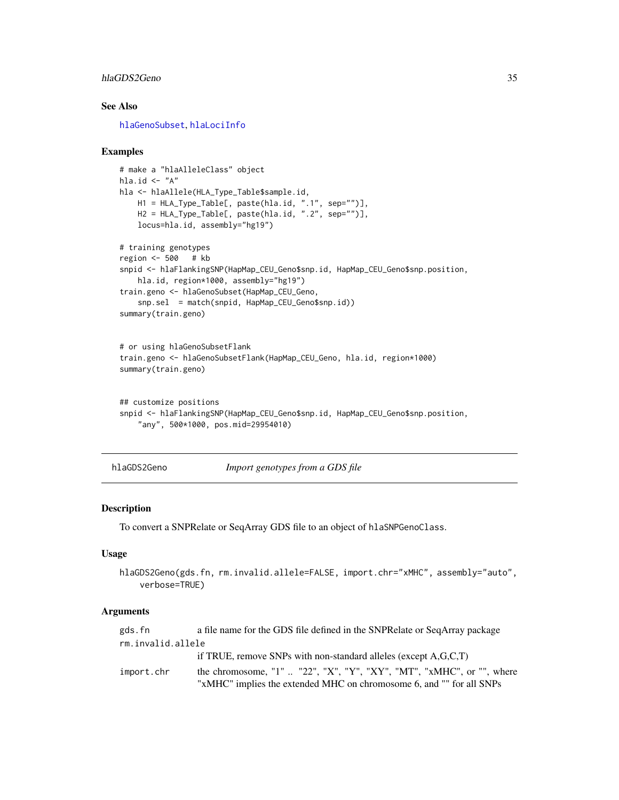#### <span id="page-34-0"></span>hlaGDS2Geno 35

# See Also

[hlaGenoSubset](#page-41-1), [hlaLociInfo](#page-45-1)

#### Examples

```
# make a "hlaAlleleClass" object
hla.id \leftarrow "A"
hla <- hlaAllele(HLA_Type_Table$sample.id,
    H1 = HLA_Type_Table[, paste(hla.id, ".1", sep="")],
    H2 = HLA_Type_Table[, paste(hla.id, ".2", sep="")],
    locus=hla.id, assembly="hg19")
# training genotypes
region <- 500 # kb
snpid <- hlaFlankingSNP(HapMap_CEU_Geno$snp.id, HapMap_CEU_Geno$snp.position,
    hla.id, region*1000, assembly="hg19")
train.geno <- hlaGenoSubset(HapMap_CEU_Geno,
    snp.sel = match(snpid, HapMap_CEU_Geno$snp.id))
summary(train.geno)
# or using hlaGenoSubsetFlank
train.geno <- hlaGenoSubsetFlank(HapMap_CEU_Geno, hla.id, region*1000)
summary(train.geno)
## customize positions
```

```
snpid <- hlaFlankingSNP(HapMap_CEU_Geno$snp.id, HapMap_CEU_Geno$snp.position,
   "any", 500*1000, pos.mid=29954010)
```
<span id="page-34-1"></span>hlaGDS2Geno *Import genotypes from a GDS file*

#### **Description**

To convert a SNPRelate or SeqArray GDS file to an object of hlaSNPGenoClass.

#### Usage

```
hlaGDS2Geno(gds.fn, rm.invalid.allele=FALSE, import.chr="xMHC", assembly="auto",
    verbose=TRUE)
```
#### Arguments

```
gds.fn a file name for the GDS file defined in the SNPRelate or SeqArray package
rm.invalid.allele
                if TRUE, remove SNPs with non-standard alleles (except A,G,C,T)
import.chr the chromosome, "1" .. "22", "X", "Y", "XY", "MT", "xMHC", or "", where
                "xMHC" implies the extended MHC on chromosome 6, and "" for all SNPs
```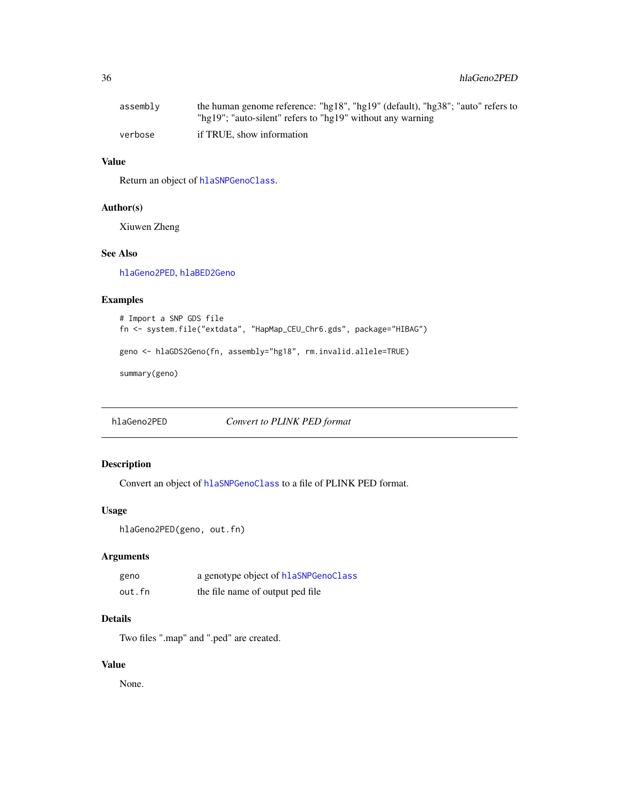<span id="page-35-0"></span>

| assembly | the human genome reference: "hg18", "hg19" (default), "hg38"; "auto" refers to |
|----------|--------------------------------------------------------------------------------|
|          | "hg19"; "auto-silent" refers to "hg19" without any warning                     |
| verbose  | if TRUE, show information                                                      |

# Value

Return an object of [hlaSNPGenoClass](#page-66-1).

#### Author(s)

Xiuwen Zheng

# See Also

[hlaGeno2PED](#page-35-1), [hlaBED2Geno](#page-20-1)

# Examples

```
# Import a SNP GDS file
fn <- system.file("extdata", "HapMap_CEU_Chr6.gds", package="HIBAG")
geno <- hlaGDS2Geno(fn, assembly="hg18", rm.invalid.allele=TRUE)
summary(geno)
```
<span id="page-35-1"></span>hlaGeno2PED *Convert to PLINK PED format*

# Description

Convert an object of [hlaSNPGenoClass](#page-66-1) to a file of PLINK PED format.

# Usage

```
hlaGeno2PED(geno, out.fn)
```
# Arguments

| geno   | a genotype object of hlaSNPGenoClass |
|--------|--------------------------------------|
| out.fn | the file name of output ped file     |

# Details

Two files ".map" and ".ped" are created.

#### Value

None.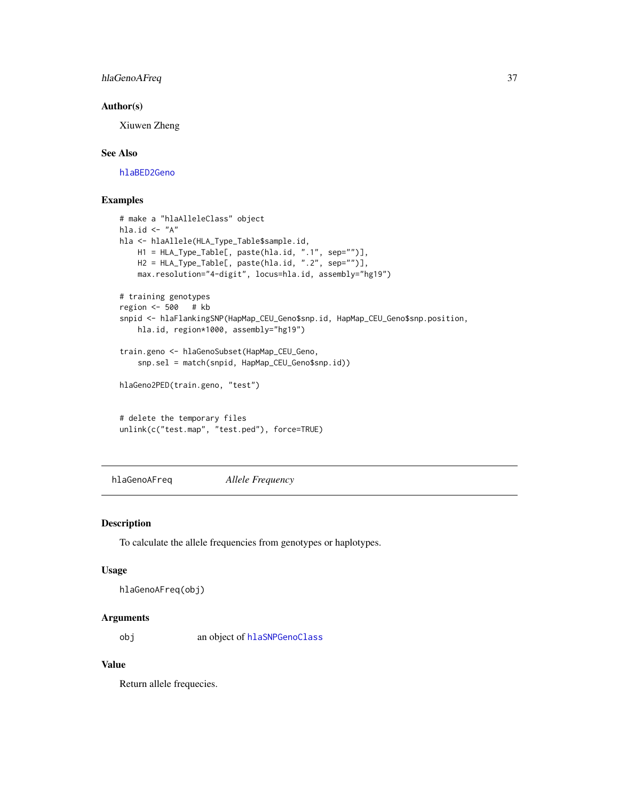## hlaGenoAFreq 37

### Author(s)

Xiuwen Zheng

# See Also

[hlaBED2Geno](#page-20-0)

# Examples

```
# make a "hlaAlleleClass" object
hla.id \leq "A"
hla <- hlaAllele(HLA_Type_Table$sample.id,
   H1 = HLA_Type_Table[, paste(hla.id, ".1", sep="")],
   H2 = HLA_Type_Table[, paste(hla.id, ".2", sep="")],
   max.resolution="4-digit", locus=hla.id, assembly="hg19")
# training genotypes
region <- 500 # kb
snpid <- hlaFlankingSNP(HapMap_CEU_Geno$snp.id, HapMap_CEU_Geno$snp.position,
   hla.id, region*1000, assembly="hg19")
train.geno <- hlaGenoSubset(HapMap_CEU_Geno,
    snp.sel = match(snpid, HapMap_CEU_Geno$snp.id))
hlaGeno2PED(train.geno, "test")
# delete the temporary files
unlink(c("test.map", "test.ped"), force=TRUE)
```
<span id="page-36-0"></span>hlaGenoAFreq *Allele Frequency*

### Description

To calculate the allele frequencies from genotypes or haplotypes.

#### Usage

```
hlaGenoAFreq(obj)
```
#### Arguments

obj an object of [hlaSNPGenoClass](#page-66-0)

## Value

Return allele frequecies.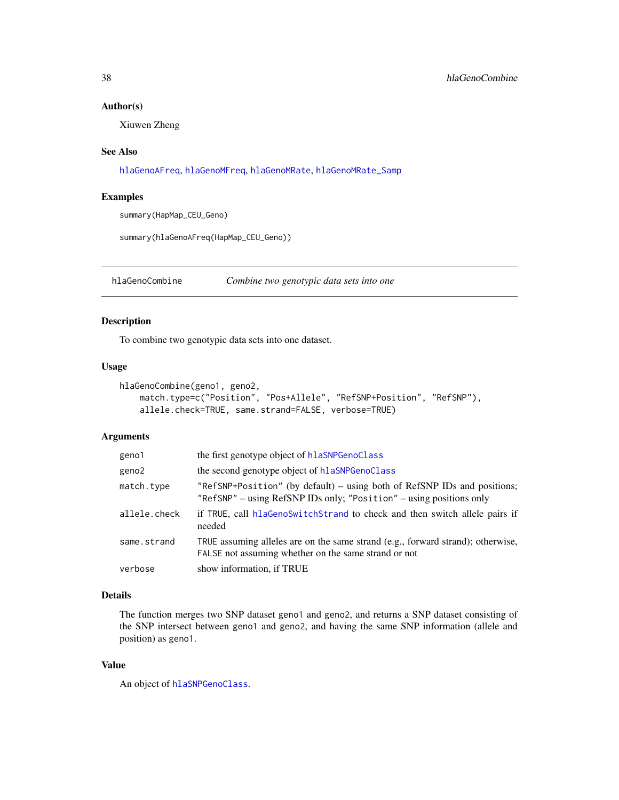### Author(s)

Xiuwen Zheng

### See Also

[hlaGenoAFreq](#page-36-0), [hlaGenoMFreq](#page-39-0), [hlaGenoMRate](#page-40-0), [hlaGenoMRate\\_Samp](#page-41-0)

### Examples

summary(HapMap\_CEU\_Geno)

summary(hlaGenoAFreq(HapMap\_CEU\_Geno))

<span id="page-37-0"></span>hlaGenoCombine *Combine two genotypic data sets into one*

# Description

To combine two genotypic data sets into one dataset.

## Usage

```
hlaGenoCombine(geno1, geno2,
   match.type=c("Position", "Pos+Allele", "RefSNP+Position", "RefSNP"),
    allele.check=TRUE, same.strand=FALSE, verbose=TRUE)
```
# Arguments

| geno1        | the first genotype object of hlaSNPGenoClass                                                                                                    |
|--------------|-------------------------------------------------------------------------------------------------------------------------------------------------|
| geno2        | the second genotype object of hlaSNPGenoClass                                                                                                   |
| match.type   | "RefSNP+Position" (by default) – using both of RefSNP IDs and positions;<br>"RefSNP" – using RefSNP IDs only; "Position" – using positions only |
| allele.check | if TRUE, call hlaGenoSwitchStrand to check and then switch allele pairs if<br>needed                                                            |
| same.strand  | TRUE assuming alleles are on the same strand $(e.g.,$ forward strand); otherwise,<br>FALSE not assuming whether on the same strand or not       |
| verbose      | show information, if TRUE                                                                                                                       |

## Details

The function merges two SNP dataset geno1 and geno2, and returns a SNP dataset consisting of the SNP intersect between geno1 and geno2, and having the same SNP information (allele and position) as geno1.

### Value

An object of [hlaSNPGenoClass](#page-66-0).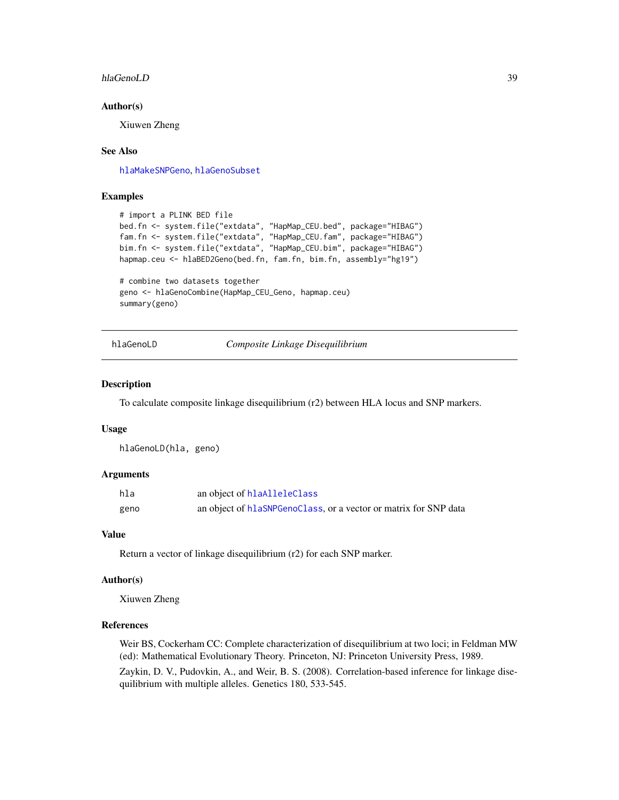#### hlaGenoLD 39

### Author(s)

Xiuwen Zheng

### See Also

[hlaMakeSNPGeno](#page-46-0), [hlaGenoSubset](#page-41-1)

# Examples

```
# import a PLINK BED file
bed.fn <- system.file("extdata", "HapMap_CEU.bed", package="HIBAG")
fam.fn <- system.file("extdata", "HapMap_CEU.fam", package="HIBAG")
bim.fn <- system.file("extdata", "HapMap_CEU.bim", package="HIBAG")
hapmap.ceu <- hlaBED2Geno(bed.fn, fam.fn, bim.fn, assembly="hg19")
```

```
# combine two datasets together
geno <- hlaGenoCombine(HapMap_CEU_Geno, hapmap.ceu)
summary(geno)
```
hlaGenoLD *Composite Linkage Disequilibrium*

#### Description

To calculate composite linkage disequilibrium (r2) between HLA locus and SNP markers.

#### Usage

```
hlaGenoLD(hla, geno)
```
### Arguments

| hla  | an object of hlaAlleleClass                                      |
|------|------------------------------------------------------------------|
| geno | an object of hlaSNPGenoClass, or a vector or matrix for SNP data |

### Value

Return a vector of linkage disequilibrium (r2) for each SNP marker.

### Author(s)

Xiuwen Zheng

### References

Weir BS, Cockerham CC: Complete characterization of disequilibrium at two loci; in Feldman MW (ed): Mathematical Evolutionary Theory. Princeton, NJ: Princeton University Press, 1989. Zaykin, D. V., Pudovkin, A., and Weir, B. S. (2008). Correlation-based inference for linkage disequilibrium with multiple alleles. Genetics 180, 533-545.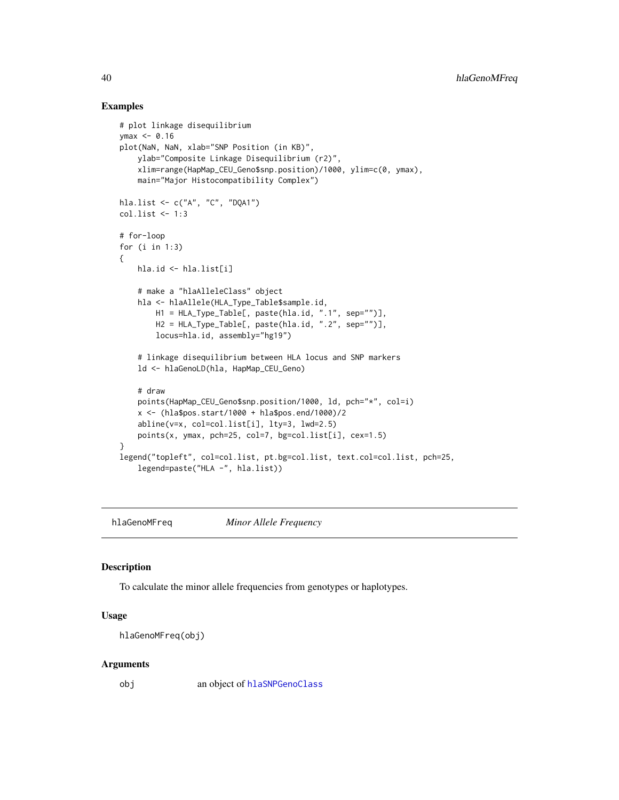### Examples

```
# plot linkage disequilibrium
ymax < -0.16plot(NaN, NaN, xlab="SNP Position (in KB)",
    ylab="Composite Linkage Disequilibrium (r2)",
    xlim=range(HapMap_CEU_Geno$snp.position)/1000, ylim=c(0, ymax),
   main="Major Histocompatibility Complex")
hla.list <- c("A", "C", "DQA1")
col.list <- 1:3
# for-loop
for (i in 1:3)
{
   hla.id <- hla.list[i]
    # make a "hlaAlleleClass" object
   hla <- hlaAllele(HLA_Type_Table$sample.id,
        H1 = HLA_Type_Table[, paste(hla.id, ".1", sep="")],
       H2 = HLA_Type_Table[, paste(hla.id, ".2", sep="")],
        locus=hla.id, assembly="hg19")
    # linkage disequilibrium between HLA locus and SNP markers
    ld <- hlaGenoLD(hla, HapMap_CEU_Geno)
    # draw
   points(HapMap_CEU_Geno$snp.position/1000, ld, pch="*", col=i)
    x <- (hla$pos.start/1000 + hla$pos.end/1000)/2
    abline(v=x, col=col.list[i], lty=3, lwd=2.5)
   points(x, ymax, pch=25, col=7, bg=col.list[i], cex=1.5)
}
legend("topleft", col=col.list, pt.bg=col.list, text.col=col.list, pch=25,
    legend=paste("HLA -", hla.list))
```
<span id="page-39-0"></span>hlaGenoMFreq *Minor Allele Frequency*

#### Description

To calculate the minor allele frequencies from genotypes or haplotypes.

### Usage

```
hlaGenoMFreq(obj)
```
#### Arguments

obj an object of [hlaSNPGenoClass](#page-66-0)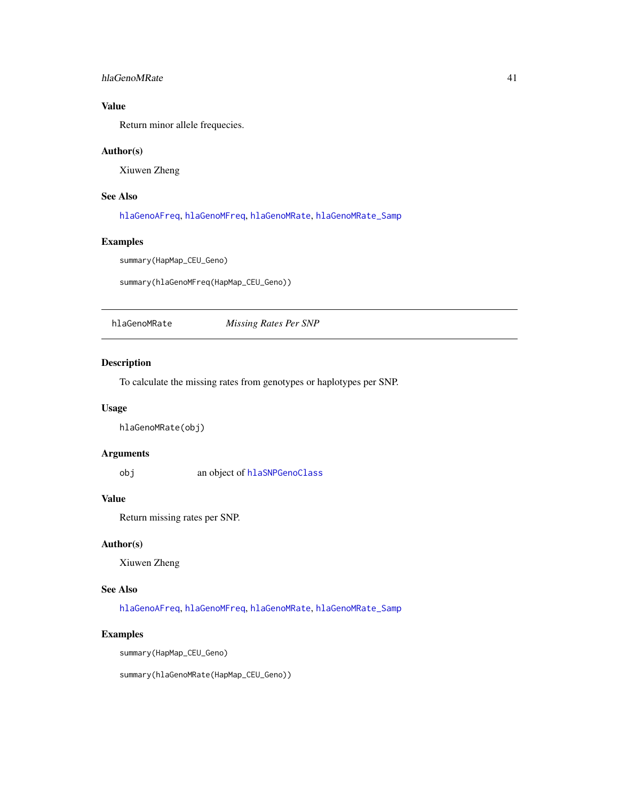## hlaGenoMRate 41

# Value

Return minor allele frequecies.

## Author(s)

Xiuwen Zheng

# See Also

[hlaGenoAFreq](#page-36-0), [hlaGenoMFreq](#page-39-0), [hlaGenoMRate](#page-40-0), [hlaGenoMRate\\_Samp](#page-41-0)

#### Examples

summary(HapMap\_CEU\_Geno)

summary(hlaGenoMFreq(HapMap\_CEU\_Geno))

<span id="page-40-0"></span>hlaGenoMRate *Missing Rates Per SNP*

### Description

To calculate the missing rates from genotypes or haplotypes per SNP.

#### Usage

hlaGenoMRate(obj)

### Arguments

obj an object of [hlaSNPGenoClass](#page-66-0)

### Value

Return missing rates per SNP.

## Author(s)

Xiuwen Zheng

## See Also

[hlaGenoAFreq](#page-36-0), [hlaGenoMFreq](#page-39-0), [hlaGenoMRate](#page-40-0), [hlaGenoMRate\\_Samp](#page-41-0)

### Examples

summary(HapMap\_CEU\_Geno)

summary(hlaGenoMRate(HapMap\_CEU\_Geno))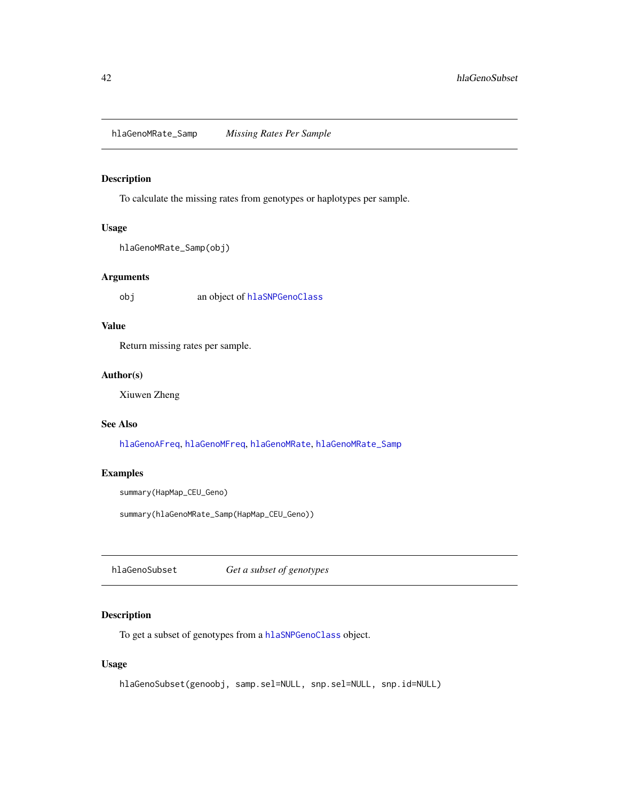<span id="page-41-0"></span>hlaGenoMRate\_Samp *Missing Rates Per Sample*

### Description

To calculate the missing rates from genotypes or haplotypes per sample.

## Usage

```
hlaGenoMRate_Samp(obj)
```
### Arguments

obj an object of [hlaSNPGenoClass](#page-66-0)

## Value

Return missing rates per sample.

## Author(s)

Xiuwen Zheng

## See Also

[hlaGenoAFreq](#page-36-0), [hlaGenoMFreq](#page-39-0), [hlaGenoMRate](#page-40-0), [hlaGenoMRate\\_Samp](#page-41-0)

# Examples

summary(HapMap\_CEU\_Geno)

summary(hlaGenoMRate\_Samp(HapMap\_CEU\_Geno))

<span id="page-41-1"></span>hlaGenoSubset *Get a subset of genotypes*

# Description

To get a subset of genotypes from a [hlaSNPGenoClass](#page-66-0) object.

### Usage

hlaGenoSubset(genoobj, samp.sel=NULL, snp.sel=NULL, snp.id=NULL)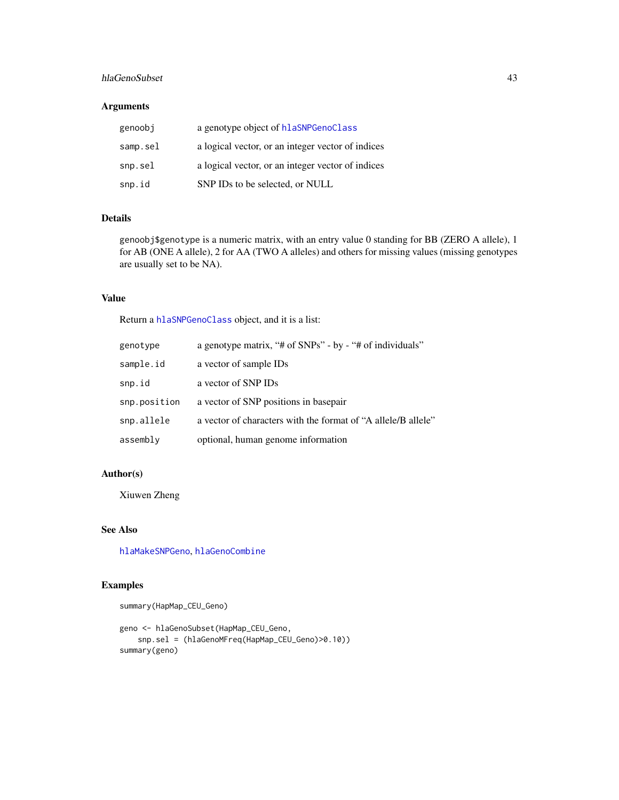## hlaGenoSubset 43

## Arguments

| genoobi  | a genotype object of hlaSNPGenoClass              |
|----------|---------------------------------------------------|
| samp.sel | a logical vector, or an integer vector of indices |
| snp.sel  | a logical vector, or an integer vector of indices |
| snp.id   | SNP IDs to be selected, or NULL                   |

## Details

genoobj\$genotype is a numeric matrix, with an entry value 0 standing for BB (ZERO A allele), 1 for AB (ONE A allele), 2 for AA (TWO A alleles) and others for missing values (missing genotypes are usually set to be NA).

### Value

Return a [hlaSNPGenoClass](#page-66-0) object, and it is a list:

| genotype     | a genotype matrix, "# of SNPs" - by - "# of individuals"      |
|--------------|---------------------------------------------------------------|
| sample.id    | a vector of sample IDs                                        |
| snp.id       | a vector of SNP IDs                                           |
| snp.position | a vector of SNP positions in basepair                         |
| snp.allele   | a vector of characters with the format of "A allele/B allele" |
| assembly     | optional, human genome information                            |

## Author(s)

Xiuwen Zheng

# See Also

[hlaMakeSNPGeno](#page-46-0), [hlaGenoCombine](#page-37-0)

```
summary(HapMap_CEU_Geno)
```

```
geno <- hlaGenoSubset(HapMap_CEU_Geno,
   snp.sel = (hlaGenoMFreq(HapMap_CEU_Geno)>0.10))
summary(geno)
```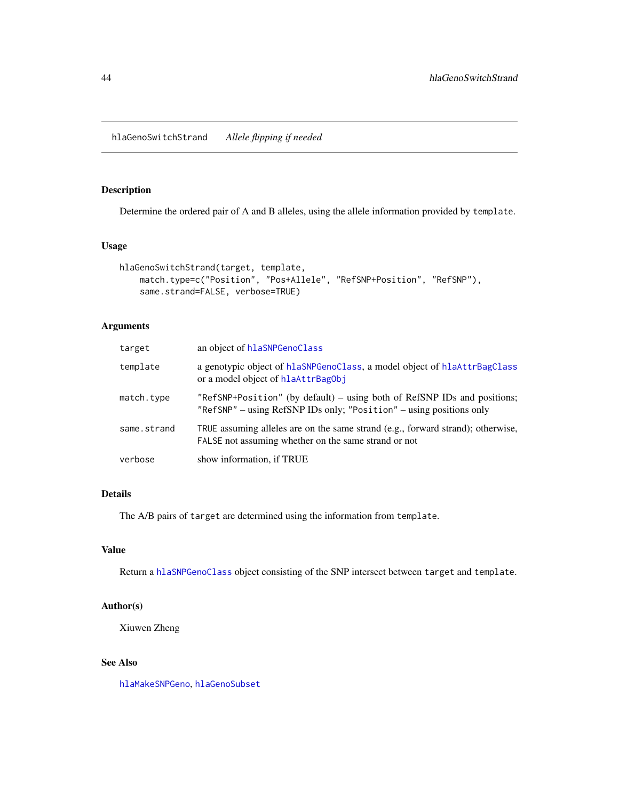<span id="page-43-0"></span>hlaGenoSwitchStrand *Allele flipping if needed*

## Description

Determine the ordered pair of A and B alleles, using the allele information provided by template.

## Usage

```
hlaGenoSwitchStrand(target, template,
   match.type=c("Position", "Pos+Allele", "RefSNP+Position", "RefSNP"),
   same.strand=FALSE, verbose=TRUE)
```
# Arguments

| target      | an object of hlaSNPGenoClass                                                                                                                    |
|-------------|-------------------------------------------------------------------------------------------------------------------------------------------------|
| template    | a genotypic object of hlaSNPGenoClass, a model object of hlaAttrBagClass<br>or a model object of hlaAttrBagObj                                  |
| match.type  | "RefSNP+Position" (by default) – using both of RefSNP IDs and positions;<br>"RefSNP" – using RefSNP IDs only; "Position" – using positions only |
| same.strand | TRUE assuming alleles are on the same strand (e.g., forward strand); otherwise,<br>FALSE not assuming whether on the same strand or not         |
| verbose     | show information, if TRUE                                                                                                                       |

# Details

The A/B pairs of target are determined using the information from template.

# Value

Return a [hlaSNPGenoClass](#page-66-0) object consisting of the SNP intersect between target and template.

# Author(s)

Xiuwen Zheng

## See Also

[hlaMakeSNPGeno](#page-46-0), [hlaGenoSubset](#page-41-1)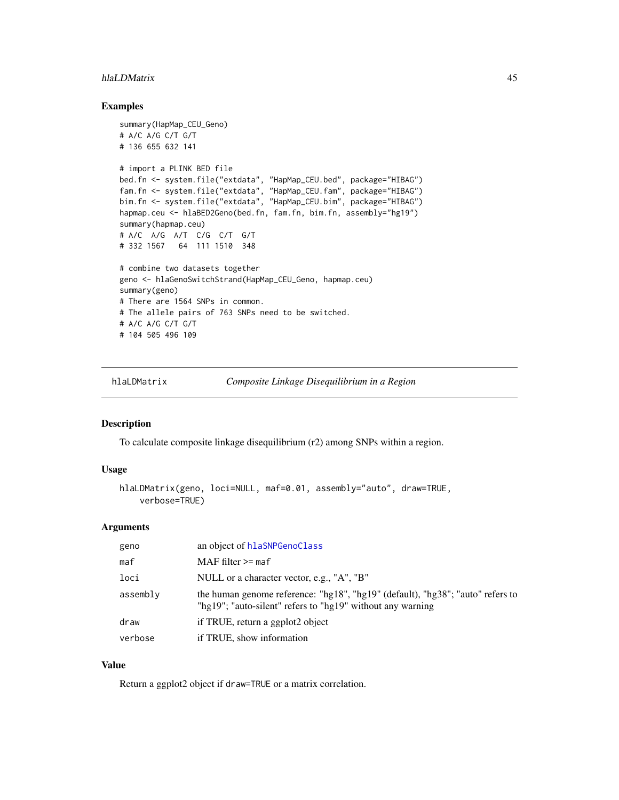#### hlaLDMatrix 45

### Examples

```
summary(HapMap_CEU_Geno)
# A/C A/G C/T G/T
# 136 655 632 141
# import a PLINK BED file
bed.fn <- system.file("extdata", "HapMap_CEU.bed", package="HIBAG")
fam.fn <- system.file("extdata", "HapMap_CEU.fam", package="HIBAG")
bim.fn <- system.file("extdata", "HapMap_CEU.bim", package="HIBAG")
hapmap.ceu <- hlaBED2Geno(bed.fn, fam.fn, bim.fn, assembly="hg19")
summary(hapmap.ceu)
# A/C A/G A/T C/G C/T G/T
# 332 1567 64 111 1510 348
# combine two datasets together
geno <- hlaGenoSwitchStrand(HapMap_CEU_Geno, hapmap.ceu)
summary(geno)
# There are 1564 SNPs in common.
# The allele pairs of 763 SNPs need to be switched.
# A/C A/G C/T G/T
# 104 505 496 109
```
hlaLDMatrix *Composite Linkage Disequilibrium in a Region*

#### Description

To calculate composite linkage disequilibrium (r2) among SNPs within a region.

### Usage

```
hlaLDMatrix(geno, loci=NULL, maf=0.01, assembly="auto", draw=TRUE,
    verbose=TRUE)
```
### Arguments

| geno     | an object of hlaSNPGenoClass                                                                                                                 |
|----------|----------------------------------------------------------------------------------------------------------------------------------------------|
| maf      | $MAF$ filter $>=$ maf                                                                                                                        |
| loci     | NULL or a character vector, e.g., "A", "B"                                                                                                   |
| assembly | the human genome reference: "hg18", "hg19" (default), "hg38"; "auto" refers to<br>"hg19"; "auto-silent" refers to "hg19" without any warning |
| draw     | if TRUE, return a ggplot2 object                                                                                                             |
| verbose  | if TRUE, show information                                                                                                                    |

## Value

Return a ggplot2 object if draw=TRUE or a matrix correlation.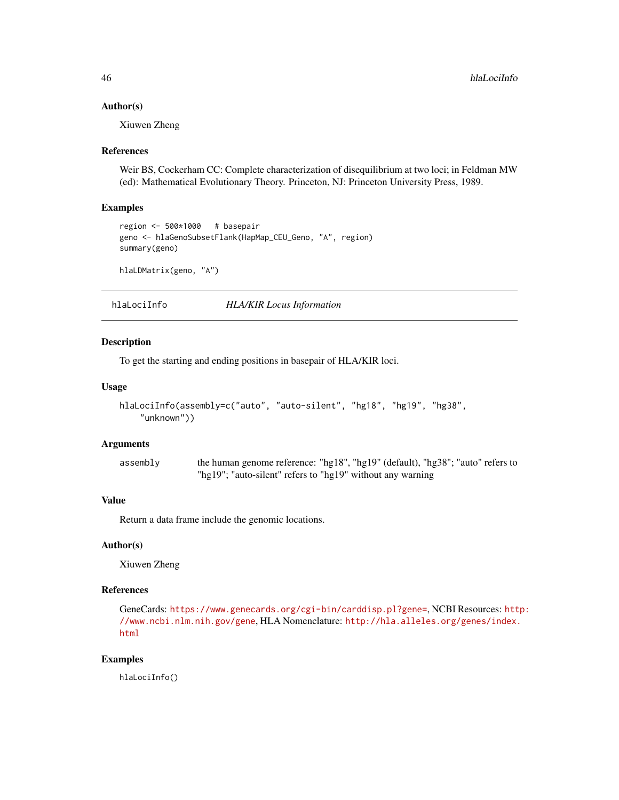### Author(s)

Xiuwen Zheng

#### References

Weir BS, Cockerham CC: Complete characterization of disequilibrium at two loci; in Feldman MW (ed): Mathematical Evolutionary Theory. Princeton, NJ: Princeton University Press, 1989.

#### Examples

```
region <- 500*1000 # basepair
geno <- hlaGenoSubsetFlank(HapMap_CEU_Geno, "A", region)
summary(geno)
```
hlaLDMatrix(geno, "A")

hlaLociInfo *HLA/KIR Locus Information*

#### Description

To get the starting and ending positions in basepair of HLA/KIR loci.

### Usage

```
hlaLociInfo(assembly=c("auto", "auto-silent", "hg18", "hg19", "hg38",
    "unknown"))
```
### Arguments

assembly the human genome reference: "hg18", "hg19" (default), "hg38"; "auto" refers to "hg19"; "auto-silent" refers to "hg19" without any warning

## Value

Return a data frame include the genomic locations.

## Author(s)

Xiuwen Zheng

# References

GeneCards: <https://www.genecards.org/cgi-bin/carddisp.pl?gene=>, NCBI Resources: [htt](http://www.ncbi.nlm.nih.gov/gene)p: [//www.ncbi.nlm.nih.gov/gene](http://www.ncbi.nlm.nih.gov/gene), HLA Nomenclature: [http://hla.alleles.org/genes/index.](http://hla.alleles.org/genes/index.html) [html](http://hla.alleles.org/genes/index.html)

## Examples

hlaLociInfo()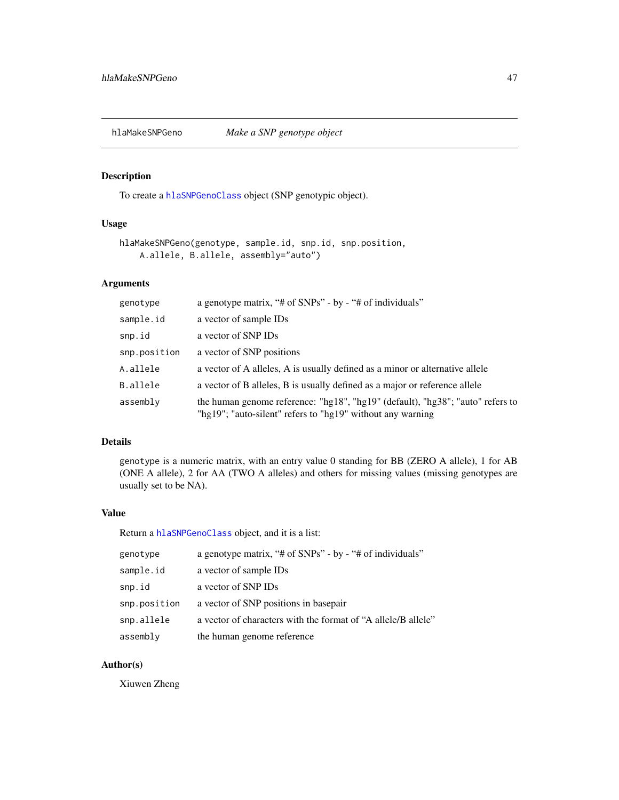<span id="page-46-0"></span>hlaMakeSNPGeno *Make a SNP genotype object*

# Description

To create a [hlaSNPGenoClass](#page-66-0) object (SNP genotypic object).

## Usage

```
hlaMakeSNPGeno(genotype, sample.id, snp.id, snp.position,
   A.allele, B.allele, assembly="auto")
```
# Arguments

| genotype     | a genotype matrix, "# of SNPs" - by - "# of individuals"                                                                                     |
|--------------|----------------------------------------------------------------------------------------------------------------------------------------------|
| sample.id    | a vector of sample IDs                                                                                                                       |
| snp.id       | a vector of SNP IDs                                                                                                                          |
| snp.position | a vector of SNP positions                                                                                                                    |
| A.allele     | a vector of A alleles, A is usually defined as a minor or alternative allele                                                                 |
| B.allele     | a vector of B alleles, B is usually defined as a major or reference allele                                                                   |
| assembly     | the human genome reference: "hg18", "hg19" (default), "hg38"; "auto" refers to<br>"hg19"; "auto-silent" refers to "hg19" without any warning |

#### Details

genotype is a numeric matrix, with an entry value 0 standing for BB (ZERO A allele), 1 for AB (ONE A allele), 2 for AA (TWO A alleles) and others for missing values (missing genotypes are usually set to be NA).

# Value

Return a [hlaSNPGenoClass](#page-66-0) object, and it is a list:

| genotype     | a genotype matrix, "# of SNPs" - by - "# of individuals"      |
|--------------|---------------------------------------------------------------|
| sample.id    | a vector of sample IDs                                        |
| snp.id       | a vector of SNP IDs                                           |
| snp.position | a vector of SNP positions in basepair                         |
| snp.allele   | a vector of characters with the format of "A allele/B allele" |
| assembly     | the human genome reference                                    |

# Author(s)

Xiuwen Zheng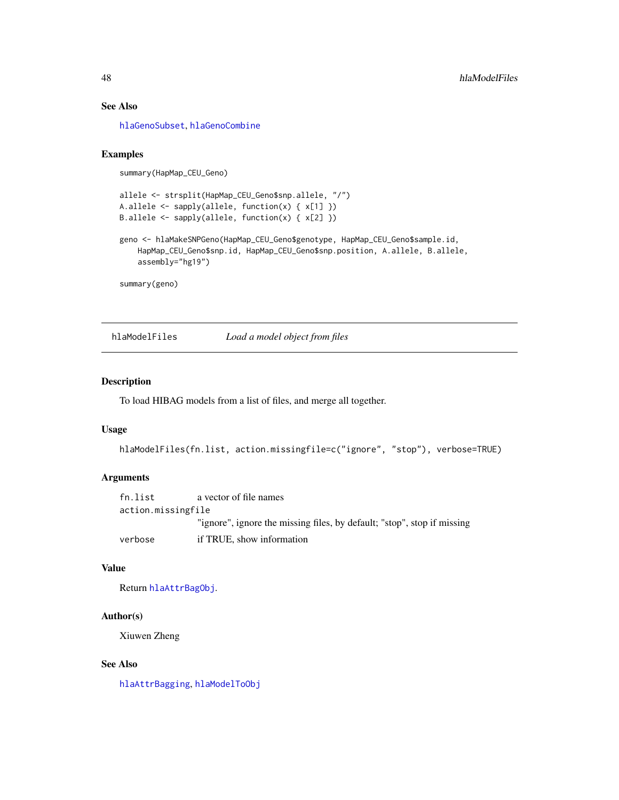## See Also

[hlaGenoSubset](#page-41-1), [hlaGenoCombine](#page-37-0)

### Examples

```
summary(HapMap_CEU_Geno)
```

```
allele <- strsplit(HapMap_CEU_Geno$snp.allele, "/")
A.allele <- sapply(allele, function(x) { x[1] })
B.allele <- sapply(allele, function(x) { x[2] })
```

```
geno <- hlaMakeSNPGeno(HapMap_CEU_Geno$genotype, HapMap_CEU_Geno$sample.id,
    HapMap_CEU_Geno$snp.id, HapMap_CEU_Geno$snp.position, A.allele, B.allele,
   assembly="hg19")
```
summary(geno)

hlaModelFiles *Load a model object from files*

### Description

To load HIBAG models from a list of files, and merge all together.

#### Usage

```
hlaModelFiles(fn.list, action.missingfile=c("ignore", "stop"), verbose=TRUE)
```
## Arguments

```
fn.list a vector of file names
action.missingfile
                "ignore", ignore the missing files, by default; "stop", stop if missing
verbose if TRUE, show information
```
#### Value

Return [hlaAttrBagObj](#page-19-0).

### Author(s)

Xiuwen Zheng

### See Also

[hlaAttrBagging](#page-16-0), [hlaModelToObj](#page-48-0)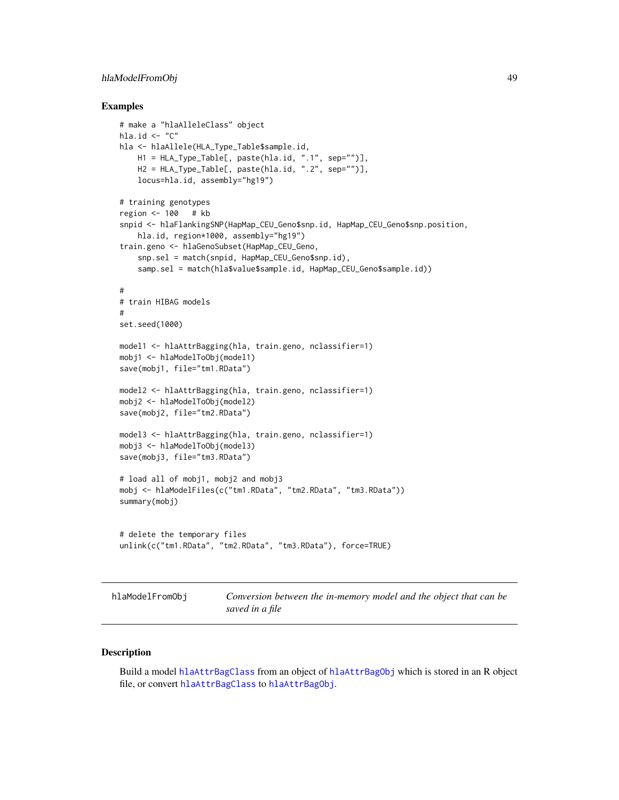# hlaModelFromObj 49

### Examples

```
# make a "hlaAlleleClass" object
hla.id \leq "C"
hla <- hlaAllele(HLA_Type_Table$sample.id,
    H1 = HLA_Type_Table[, paste(hla.id, ".1", sep="")],
    H2 = HLA_Type_Table[, paste(hla.id, ".2", sep="")],
    locus=hla.id, assembly="hg19")
# training genotypes
region <- 100 # kb
snpid <- hlaFlankingSNP(HapMap_CEU_Geno$snp.id, HapMap_CEU_Geno$snp.position,
    hla.id, region*1000, assembly="hg19")
train.geno <- hlaGenoSubset(HapMap_CEU_Geno,
   snp.sel = match(snpid, HapMap_CEU_Geno$snp.id),
    samp.sel = match(hla$value$sample.id, HapMap_CEU_Geno$sample.id))
#
# train HIBAG models
#
set.seed(1000)
model1 <- hlaAttrBagging(hla, train.geno, nclassifier=1)
mobj1 <- hlaModelToObj(model1)
save(mobj1, file="tm1.RData")
model2 <- hlaAttrBagging(hla, train.geno, nclassifier=1)
mobj2 <- hlaModelToObj(model2)
save(mobj2, file="tm2.RData")
model3 <- hlaAttrBagging(hla, train.geno, nclassifier=1)
mobj3 <- hlaModelToObj(model3)
save(mobj3, file="tm3.RData")
# load all of mobj1, mobj2 and mobj3
mobj <- hlaModelFiles(c("tm1.RData", "tm2.RData", "tm3.RData"))
summary(mobj)
# delete the temporary files
unlink(c("tm1.RData", "tm2.RData", "tm3.RData"), force=TRUE)
```
<span id="page-48-1"></span>

| hlaModelFromObj |  |
|-----------------|--|
|                 |  |

*bnversion between the in-memory model and the object that can be saved in a file*

### <span id="page-48-0"></span>Description

Build a model [hlaAttrBagClass](#page-15-0) from an object of [hlaAttrBagObj](#page-19-0) which is stored in an R object file, or convert [hlaAttrBagClass](#page-15-0) to [hlaAttrBagObj](#page-19-0).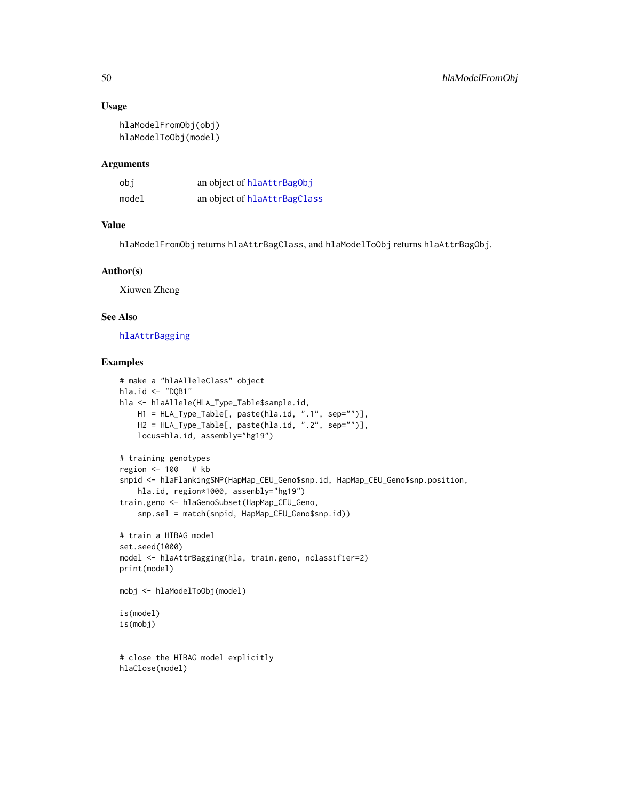### Usage

```
hlaModelFromObj(obj)
hlaModelToObj(model)
```
### Arguments

| obi   | an object of hlaAttrBagObj   |
|-------|------------------------------|
| model | an object of hlaAttrBagClass |

# Value

hlaModelFromObj returns hlaAttrBagClass, and hlaModelToObj returns hlaAttrBagObj.

### Author(s)

Xiuwen Zheng

# See Also

### [hlaAttrBagging](#page-16-0)

```
# make a "hlaAlleleClass" object
hla.id <- "DQB1"
hla <- hlaAllele(HLA_Type_Table$sample.id,
    H1 = HLA_Type_Table[, paste(hla.id, ".1", sep="")],
    H2 = HLA_Type_Table[, paste(hla.id, ".2", sep="")],
    locus=hla.id, assembly="hg19")
# training genotypes
region <- 100 # kb
snpid <- hlaFlankingSNP(HapMap_CEU_Geno$snp.id, HapMap_CEU_Geno$snp.position,
    hla.id, region*1000, assembly="hg19")
train.geno <- hlaGenoSubset(HapMap_CEU_Geno,
    snp.sel = match(snpid, HapMap_CEU_Geno$snp.id))
# train a HIBAG model
set.seed(1000)
model <- hlaAttrBagging(hla, train.geno, nclassifier=2)
print(model)
mobj <- hlaModelToObj(model)
is(model)
is(mobj)
# close the HIBAG model explicitly
hlaClose(model)
```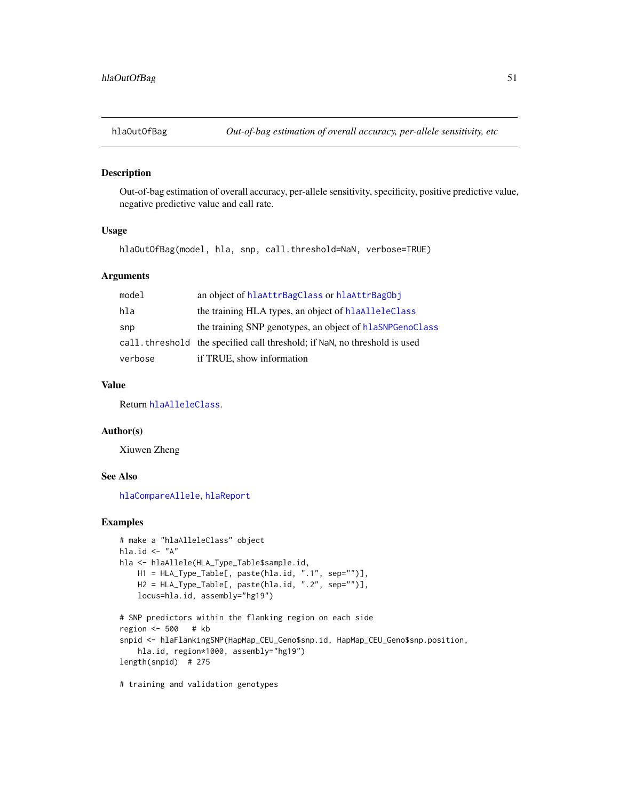### Description

Out-of-bag estimation of overall accuracy, per-allele sensitivity, specificity, positive predictive value, negative predictive value and call rate.

## Usage

hlaOutOfBag(model, hla, snp, call.threshold=NaN, verbose=TRUE)

### Arguments

| model   | an object of hlaAttrBagClass or hlaAttrBagObj                              |
|---------|----------------------------------------------------------------------------|
| hla     | the training HLA types, an object of hlaAlleleClass                        |
| snp     | the training SNP genotypes, an object of hlaSNPGenoClass                   |
|         | call, threshold the specified call threshold; if NaN, no threshold is used |
| verbose | if TRUE, show information                                                  |

## Value

Return [hlaAlleleClass](#page-8-0).

### Author(s)

Xiuwen Zheng

# See Also

[hlaCompareAllele](#page-26-0), [hlaReport](#page-60-0)

# Examples

```
# make a "hlaAlleleClass" object
hla.id \leftarrow "A"
hla <- hlaAllele(HLA_Type_Table$sample.id,
   H1 = HLA_Type_Table[, paste(hla.id, ".1", sep="")],
   H2 = HLA_Type_Table[, paste(hla.id, ".2", sep="")],
    locus=hla.id, assembly="hg19")
# SNP predictors within the flanking region on each side
region <- 500 # kb
snpid <- hlaFlankingSNP(HapMap_CEU_Geno$snp.id, HapMap_CEU_Geno$snp.position,
    hla.id, region*1000, assembly="hg19")
length(snpid) # 275
```
# training and validation genotypes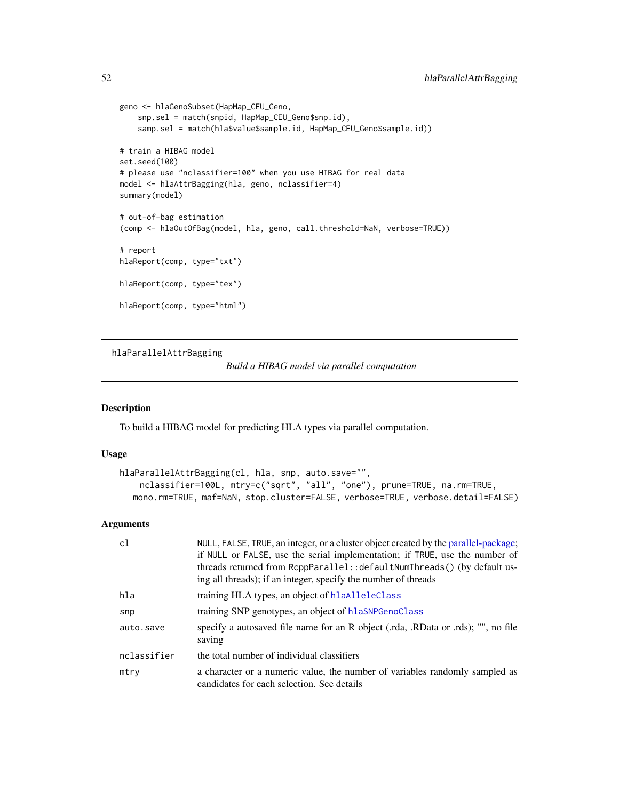```
geno <- hlaGenoSubset(HapMap_CEU_Geno,
   snp.sel = match(snpid, HapMap_CEU_Geno$snp.id),
   samp.sel = match(hla$value$sample.id, HapMap_CEU_Geno$sample.id))
# train a HIBAG model
set.seed(100)
# please use "nclassifier=100" when you use HIBAG for real data
model <- hlaAttrBagging(hla, geno, nclassifier=4)
summary(model)
# out-of-bag estimation
(comp <- hlaOutOfBag(model, hla, geno, call.threshold=NaN, verbose=TRUE))
# report
hlaReport(comp, type="txt")
hlaReport(comp, type="tex")
hlaReport(comp, type="html")
```
<span id="page-51-0"></span>hlaParallelAttrBagging

*Build a HIBAG model via parallel computation*

#### Description

To build a HIBAG model for predicting HLA types via parallel computation.

### Usage

```
hlaParallelAttrBagging(cl, hla, snp, auto.save="",
    nclassifier=100L, mtry=c("sqrt", "all", "one"), prune=TRUE, na.rm=TRUE,
  mono.rm=TRUE, maf=NaN, stop.cluster=FALSE, verbose=TRUE, verbose.detail=FALSE)
```
# Arguments

| c1          | NULL, FALSE, TRUE, an integer, or a cluster object created by the parallel-package;<br>if NULL or FALSE, use the serial implementation; if TRUE, use the number of<br>threads returned from RcppParallel:: defaultNumThreads() (by default us-<br>ing all threads); if an integer, specify the number of threads |
|-------------|------------------------------------------------------------------------------------------------------------------------------------------------------------------------------------------------------------------------------------------------------------------------------------------------------------------|
| hla         | training HLA types, an object of hlaAlleleClass                                                                                                                                                                                                                                                                  |
| snp         | training SNP genotypes, an object of hlaSNPGenoClass                                                                                                                                                                                                                                                             |
| auto.save   | specify a autosaved file name for an R object (.rda, .RData or .rds); "", no file<br>saving                                                                                                                                                                                                                      |
| nclassifier | the total number of individual classifiers                                                                                                                                                                                                                                                                       |
| mtry        | a character or a numeric value, the number of variables randomly sampled as<br>candidates for each selection. See details                                                                                                                                                                                        |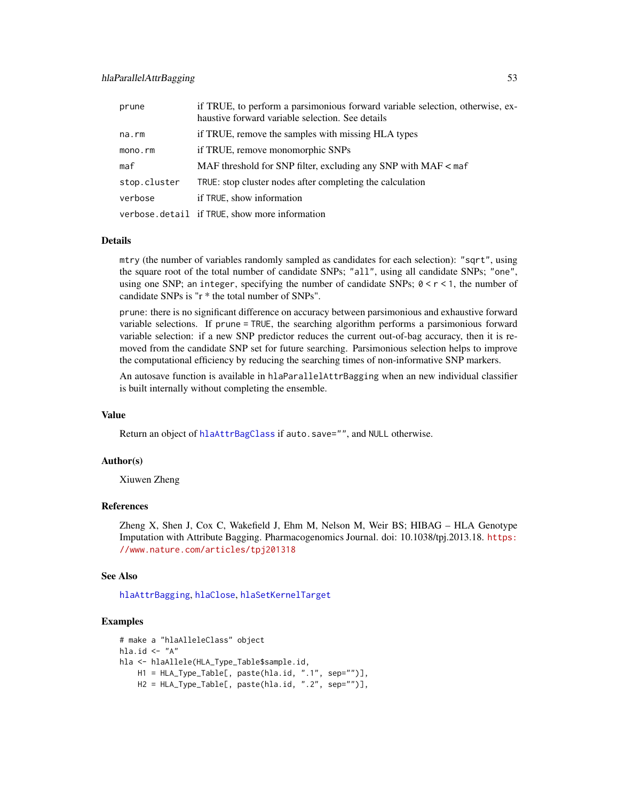| prune        | if TRUE, to perform a parsimonious forward variable selection, otherwise, ex-<br>haustive forward variable selection. See details |
|--------------|-----------------------------------------------------------------------------------------------------------------------------------|
| na.rm        | if TRUE, remove the samples with missing HLA types                                                                                |
| mono.rm      | if TRUE, remove monomorphic SNPs                                                                                                  |
| maf          | MAF threshold for SNP filter, excluding any SNP with MAF < maf                                                                    |
| stop.cluster | TRUE: stop cluster nodes after completing the calculation                                                                         |
| verbose      | if TRUE, show information                                                                                                         |
|              | verbose.detail if TRUE, show more information                                                                                     |

### Details

mtry (the number of variables randomly sampled as candidates for each selection): "sqrt", using the square root of the total number of candidate SNPs; "all", using all candidate SNPs; "one", using one SNP; an integer, specifying the number of candidate SNPs;  $0 < r < 1$ , the number of candidate SNPs is "r \* the total number of SNPs".

prune: there is no significant difference on accuracy between parsimonious and exhaustive forward variable selections. If prune = TRUE, the searching algorithm performs a parsimonious forward variable selection: if a new SNP predictor reduces the current out-of-bag accuracy, then it is removed from the candidate SNP set for future searching. Parsimonious selection helps to improve the computational efficiency by reducing the searching times of non-informative SNP markers.

An autosave function is available in hlaParallelAttrBagging when an new individual classifier is built internally without completing the ensemble.

### Value

Return an object of [hlaAttrBagClass](#page-15-0) if auto.save="", and NULL otherwise.

### Author(s)

Xiuwen Zheng

## References

Zheng X, Shen J, Cox C, Wakefield J, Ehm M, Nelson M, Weir BS; HIBAG – HLA Genotype Imputation with Attribute Bagging. Pharmacogenomics Journal. doi: 10.1038/tpj.2013.18. [https:](https://www.nature.com/articles/tpj201318) [//www.nature.com/articles/tpj201318](https://www.nature.com/articles/tpj201318)

### See Also

[hlaAttrBagging](#page-16-0), [hlaClose](#page-24-0), [hlaSetKernelTarget](#page-65-0)

```
# make a "hlaAlleleClass" object
hla.id \leftarrow "A"
hla <- hlaAllele(HLA_Type_Table$sample.id,
    H1 = HLA_Type_Table[, paste(hla.id, ".1", sep="")],
    H2 = HLA_Type_Table[, paste(hla.id, ".2", sep="")],
```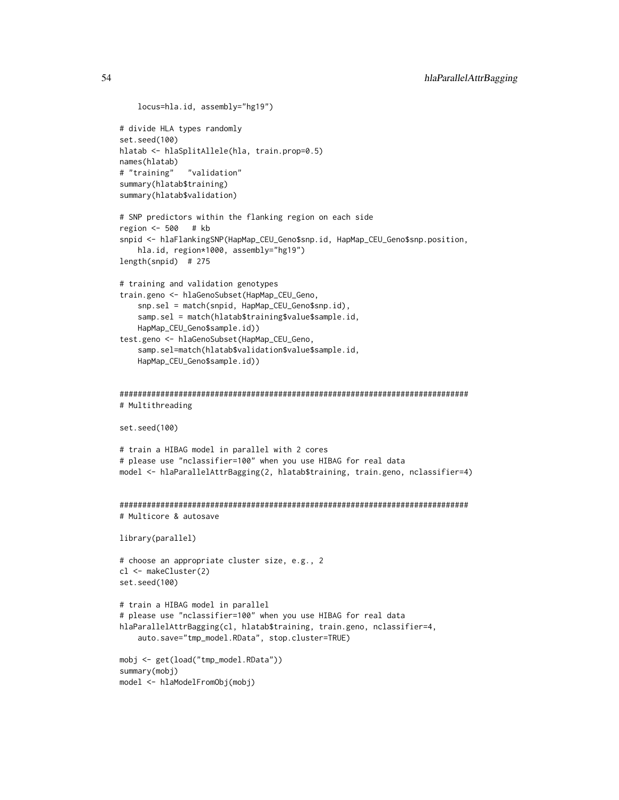```
locus=hla.id, assembly="hg19")
# divide HLA types randomly
set.seed(100)
hlatab <- hlaSplitAllele(hla, train.prop=0.5)
names(hlatab)
# "training" "validation"
summary(hlatab$training)
summary(hlatab$validation)
# SNP predictors within the flanking region on each side
region <- 500 # kb
snpid <- hlaFlankingSNP(HapMap_CEU_Geno$snp.id, HapMap_CEU_Geno$snp.position,
    hla.id, region*1000, assembly="hg19")
length(snpid) # 275
# training and validation genotypes
train.geno <- hlaGenoSubset(HapMap_CEU_Geno,
    snp.sel = match(snpid, HapMap_CEU_Geno$snp.id),
    samp.sel = match(hlatab$training$value$sample.id,
   HapMap_CEU_Geno$sample.id))
test.geno <- hlaGenoSubset(HapMap_CEU_Geno,
    samp.sel=match(hlatab$validation$value$sample.id,
    HapMap_CEU_Geno$sample.id))
#############################################################################
# Multithreading
set.seed(100)
# train a HIBAG model in parallel with 2 cores
# please use "nclassifier=100" when you use HIBAG for real data
model <- hlaParallelAttrBagging(2, hlatab$training, train.geno, nclassifier=4)
#############################################################################
# Multicore & autosave
library(parallel)
# choose an appropriate cluster size, e.g., 2
cl <- makeCluster(2)
set.seed(100)
# train a HIBAG model in parallel
# please use "nclassifier=100" when you use HIBAG for real data
hlaParallelAttrBagging(cl, hlatab$training, train.geno, nclassifier=4,
    auto.save="tmp_model.RData", stop.cluster=TRUE)
mobj <- get(load("tmp_model.RData"))
summary(mobj)
model <- hlaModelFromObj(mobj)
```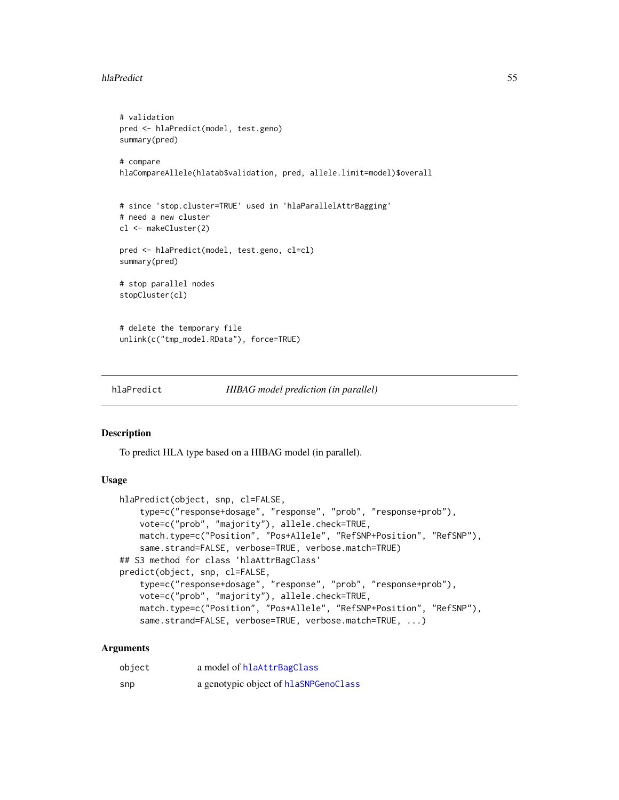### hlaPredict 55

```
# validation
pred <- hlaPredict(model, test.geno)
summary(pred)
# compare
hlaCompareAllele(hlatab$validation, pred, allele.limit=model)$overall
# since 'stop.cluster=TRUE' used in 'hlaParallelAttrBagging'
# need a new cluster
cl <- makeCluster(2)
pred <- hlaPredict(model, test.geno, cl=cl)
summary(pred)
# stop parallel nodes
stopCluster(cl)
# delete the temporary file
unlink(c("tmp_model.RData"), force=TRUE)
```
<span id="page-54-1"></span>hlaPredict *HIBAG model prediction (in parallel)*

## <span id="page-54-0"></span>Description

To predict HLA type based on a HIBAG model (in parallel).

## Usage

```
hlaPredict(object, snp, cl=FALSE,
    type=c("response+dosage", "response", "prob", "response+prob"),
   vote=c("prob", "majority"), allele.check=TRUE,
   match.type=c("Position", "Pos+Allele", "RefSNP+Position", "RefSNP"),
   same.strand=FALSE, verbose=TRUE, verbose.match=TRUE)
## S3 method for class 'hlaAttrBagClass'
predict(object, snp, cl=FALSE,
    type=c("response+dosage", "response", "prob", "response+prob"),
    vote=c("prob", "majority"), allele.check=TRUE,
   match.type=c("Position", "Pos+Allele", "RefSNP+Position", "RefSNP"),
   same.strand=FALSE, verbose=TRUE, verbose.match=TRUE, ...)
```
#### Arguments

| object | a model of hlaAttrBagClass            |
|--------|---------------------------------------|
| snp    | a genotypic object of hlaSNPGenoClass |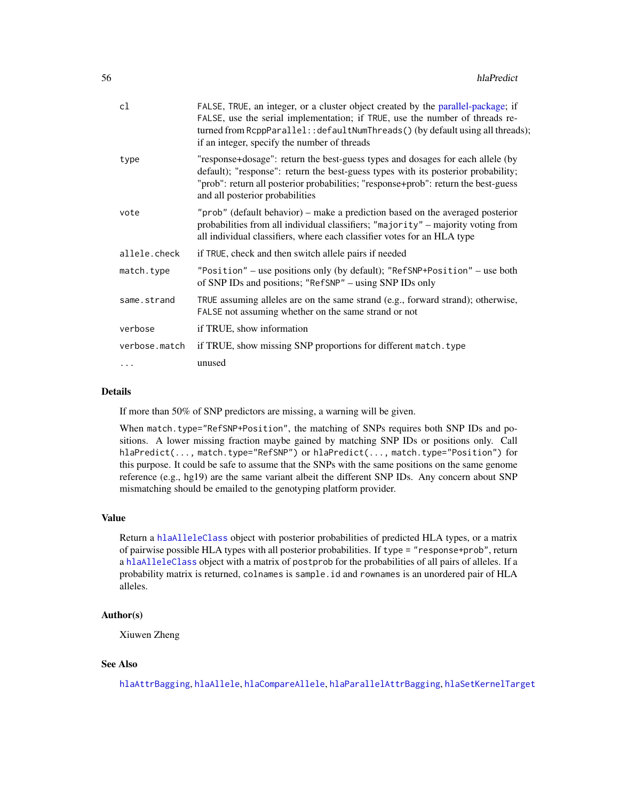| cl            | FALSE, TRUE, an integer, or a cluster object created by the parallel-package; if<br>FALSE, use the serial implementation; if TRUE, use the number of threads re-<br>turned from RcppParallel:: defaultNumThreads() (by default using all threads);<br>if an integer, specify the number of threads |
|---------------|----------------------------------------------------------------------------------------------------------------------------------------------------------------------------------------------------------------------------------------------------------------------------------------------------|
| type          | "response+dosage": return the best-guess types and dosages for each allele (by<br>default); "response": return the best-guess types with its posterior probability;<br>"prob": return all posterior probabilities; "response+prob": return the best-guess<br>and all posterior probabilities       |
| vote          | "prob" (default behavior) – make a prediction based on the averaged posterior<br>probabilities from all individual classifiers; "majority" - majority voting from<br>all individual classifiers, where each classifier votes for an HLA type                                                       |
| allele.check  | if TRUE, check and then switch allele pairs if needed                                                                                                                                                                                                                                              |
| match.type    | "Position" - use positions only (by default); "RefSNP+Position" - use both<br>of SNP IDs and positions; "RefSNP" – using SNP IDs only                                                                                                                                                              |
| same.strand   | TRUE assuming alleles are on the same strand (e.g., forward strand); otherwise,<br>FALSE not assuming whether on the same strand or not                                                                                                                                                            |
| verbose       | if TRUE, show information                                                                                                                                                                                                                                                                          |
| verbose.match | if TRUE, show missing SNP proportions for different match. type                                                                                                                                                                                                                                    |
| .             | unused                                                                                                                                                                                                                                                                                             |

#### Details

If more than 50% of SNP predictors are missing, a warning will be given.

When match.type="RefSNP+Position", the matching of SNPs requires both SNP IDs and positions. A lower missing fraction maybe gained by matching SNP IDs or positions only. Call hlaPredict(..., match.type="RefSNP") or hlaPredict(..., match.type="Position") for this purpose. It could be safe to assume that the SNPs with the same positions on the same genome reference (e.g., hg19) are the same variant albeit the different SNP IDs. Any concern about SNP mismatching should be emailed to the genotyping platform provider.

## Value

Return a [hlaAlleleClass](#page-8-0) object with posterior probabilities of predicted HLA types, or a matrix of pairwise possible HLA types with all posterior probabilities. If type = "response+prob", return a [hlaAlleleClass](#page-8-0) object with a matrix of postprob for the probabilities of all pairs of alleles. If a probability matrix is returned, colnames is sample.id and rownames is an unordered pair of HLA alleles.

### Author(s)

Xiuwen Zheng

### See Also

[hlaAttrBagging](#page-16-0), [hlaAllele](#page-7-0), [hlaCompareAllele](#page-26-0), [hlaParallelAttrBagging](#page-51-0), [hlaSetKernelTarget](#page-65-0)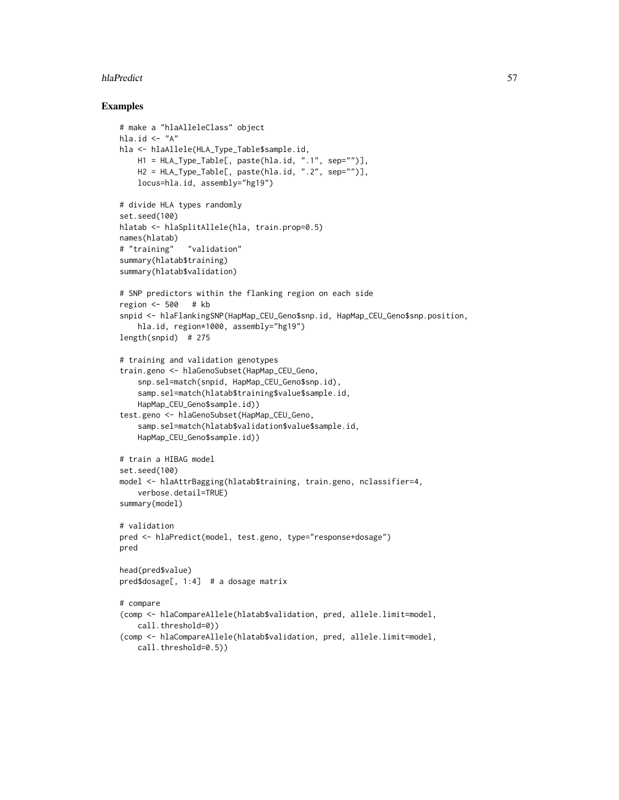### hlaPredict 57

```
# make a "hlaAlleleClass" object
hla.id \leftarrow "A"
hla <- hlaAllele(HLA_Type_Table$sample.id,
   H1 = HLA_Type_Table[, paste(hla.id, ".1", sep="")],
    H2 = HLA_Type_Table[, paste(hla.id, ".2", sep="")],
    locus=hla.id, assembly="hg19")
# divide HLA types randomly
set.seed(100)
hlatab <- hlaSplitAllele(hla, train.prop=0.5)
names(hlatab)
# "training" "validation"
summary(hlatab$training)
summary(hlatab$validation)
# SNP predictors within the flanking region on each side
region <- 500 # kb
snpid <- hlaFlankingSNP(HapMap_CEU_Geno$snp.id, HapMap_CEU_Geno$snp.position,
    hla.id, region*1000, assembly="hg19")
length(snpid) # 275
# training and validation genotypes
train.geno <- hlaGenoSubset(HapMap_CEU_Geno,
    snp.sel=match(snpid, HapMap_CEU_Geno$snp.id),
    samp.sel=match(hlatab$training$value$sample.id,
    HapMap_CEU_Geno$sample.id))
test.geno <- hlaGenoSubset(HapMap_CEU_Geno,
    samp.sel=match(hlatab$validation$value$sample.id,
    HapMap_CEU_Geno$sample.id))
# train a HIBAG model
set.seed(100)
model <- hlaAttrBagging(hlatab$training, train.geno, nclassifier=4,
    verbose.detail=TRUE)
summary(model)
# validation
pred <- hlaPredict(model, test.geno, type="response+dosage")
pred
head(pred$value)
pred$dosage[, 1:4] # a dosage matrix
# compare
(comp <- hlaCompareAllele(hlatab$validation, pred, allele.limit=model,
    call.threshold=0))
(comp <- hlaCompareAllele(hlatab$validation, pred, allele.limit=model,
    call.threshold=0.5))
```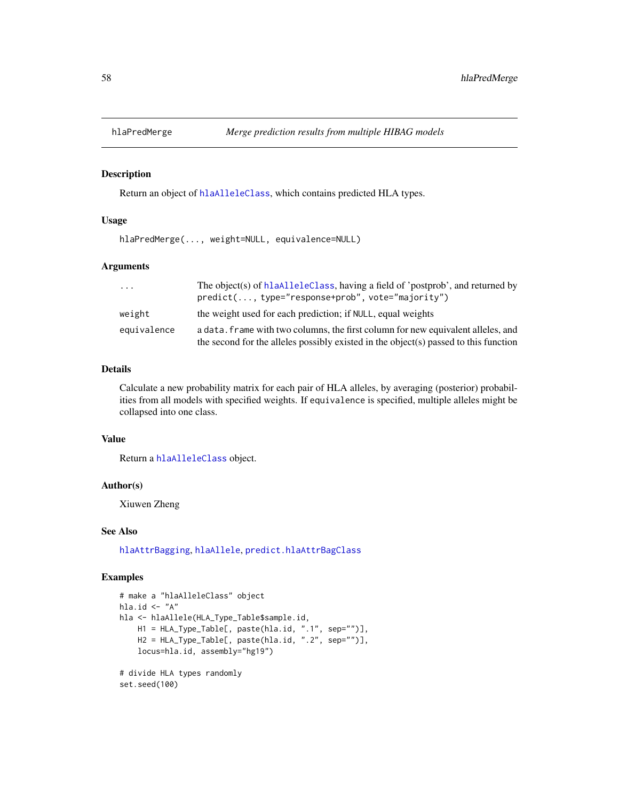## Description

Return an object of [hlaAlleleClass](#page-8-0), which contains predicted HLA types.

### Usage

```
hlaPredMerge(..., weight=NULL, equivalence=NULL)
```
## Arguments

| .           | The object(s) of hlaAlleleClass, having a field of 'postprob', and returned by<br>predict(, type="response+prob", vote="majority")                                       |
|-------------|--------------------------------------------------------------------------------------------------------------------------------------------------------------------------|
| weight      | the weight used for each prediction; if NULL, equal weights                                                                                                              |
| equivalence | a data. frame with two columns, the first column for new equivalent alleles, and<br>the second for the alleles possibly existed in the object(s) passed to this function |

### Details

Calculate a new probability matrix for each pair of HLA alleles, by averaging (posterior) probabilities from all models with specified weights. If equivalence is specified, multiple alleles might be collapsed into one class.

### Value

Return a [hlaAlleleClass](#page-8-0) object.

#### Author(s)

Xiuwen Zheng

## See Also

[hlaAttrBagging](#page-16-0), [hlaAllele](#page-7-0), [predict.hlaAttrBagClass](#page-54-0)

```
# make a "hlaAlleleClass" object
hla.id \leftarrow "A"
hla <- hlaAllele(HLA_Type_Table$sample.id,
    H1 = HLA_Type_Table[, paste(hla.id, ".1", sep="")],
    H2 = HLA_Type_Table[, paste(hla.id, ".2", sep="")],
    locus=hla.id, assembly="hg19")
# divide HLA types randomly
set.seed(100)
```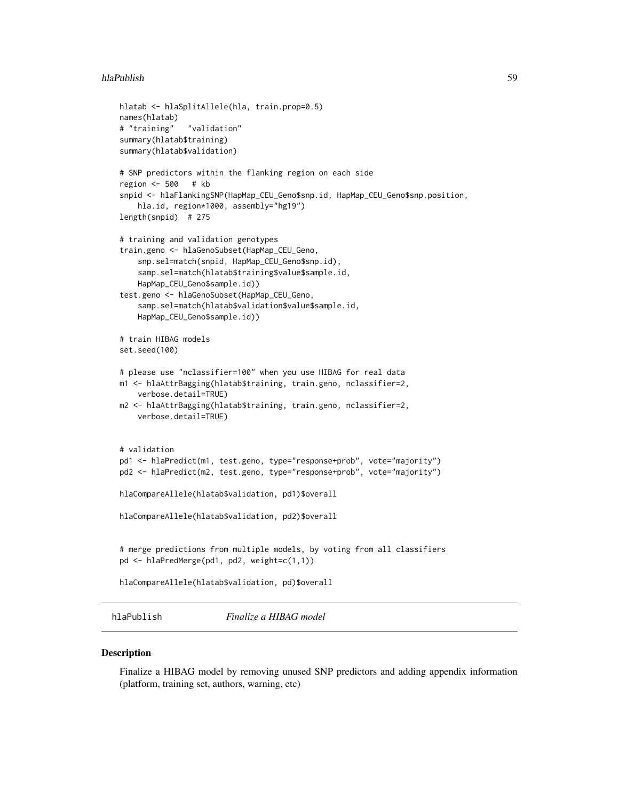#### hlaPublish 59

```
hlatab <- hlaSplitAllele(hla, train.prop=0.5)
names(hlatab)
# "training" "validation"
summary(hlatab$training)
summary(hlatab$validation)
# SNP predictors within the flanking region on each side
region <- 500 # kb
snpid <- hlaFlankingSNP(HapMap_CEU_Geno$snp.id, HapMap_CEU_Geno$snp.position,
    hla.id, region*1000, assembly="hg19")
length(snpid) # 275
# training and validation genotypes
train.geno <- hlaGenoSubset(HapMap_CEU_Geno,
    snp.sel=match(snpid, HapMap_CEU_Geno$snp.id),
    samp.sel=match(hlatab$training$value$sample.id,
   HapMap_CEU_Geno$sample.id))
test.geno <- hlaGenoSubset(HapMap_CEU_Geno,
    samp.sel=match(hlatab$validation$value$sample.id,
   HapMap_CEU_Geno$sample.id))
# train HIBAG models
set.seed(100)
# please use "nclassifier=100" when you use HIBAG for real data
m1 <- hlaAttrBagging(hlatab$training, train.geno, nclassifier=2,
    verbose.detail=TRUE)
m2 <- hlaAttrBagging(hlatab$training, train.geno, nclassifier=2,
   verbose.detail=TRUE)
# validation
pd1 <- hlaPredict(m1, test.geno, type="response+prob", vote="majority")
pd2 <- hlaPredict(m2, test.geno, type="response+prob", vote="majority")
hlaCompareAllele(hlatab$validation, pd1)$overall
hlaCompareAllele(hlatab$validation, pd2)$overall
# merge predictions from multiple models, by voting from all classifiers
pd <- hlaPredMerge(pd1, pd2, weight=c(1,1))
hlaCompareAllele(hlatab$validation, pd)$overall
```
hlaPublish *Finalize a HIBAG model*

#### **Description**

Finalize a HIBAG model by removing unused SNP predictors and adding appendix information (platform, training set, authors, warning, etc)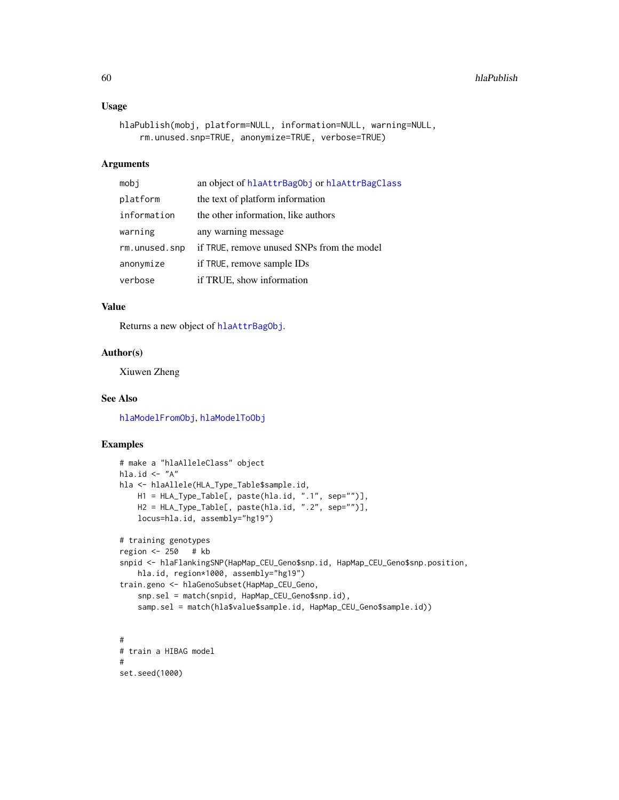### Usage

```
hlaPublish(mobj, platform=NULL, information=NULL, warning=NULL,
    rm.unused.snp=TRUE, anonymize=TRUE, verbose=TRUE)
```
### Arguments

| mobj          | an object of hlaAttrBagObj or hlaAttrBagClass |
|---------------|-----------------------------------------------|
| platform      | the text of platform information              |
| information   | the other information, like authors           |
| warning       | any warning message                           |
| rm.unused.snp | if TRUE, remove unused SNPs from the model    |
| anonymize     | if TRUE, remove sample IDs                    |
| verbose       | if TRUE, show information                     |

# Value

Returns a new object of [hlaAttrBagObj](#page-19-0).

## Author(s)

Xiuwen Zheng

### See Also

[hlaModelFromObj](#page-48-1), [hlaModelToObj](#page-48-0)

```
# make a "hlaAlleleClass" object
hla.id \leftarrow "A"
hla <- hlaAllele(HLA_Type_Table$sample.id,
    H1 = HLA_Type_Table[, paste(hla.id, ".1", sep="")],
    H2 = HLA_Type_Table[, paste(hla.id, ".2", sep="")],
    locus=hla.id, assembly="hg19")
# training genotypes
region <- 250 # kb
snpid <- hlaFlankingSNP(HapMap_CEU_Geno$snp.id, HapMap_CEU_Geno$snp.position,
   hla.id, region*1000, assembly="hg19")
train.geno <- hlaGenoSubset(HapMap_CEU_Geno,
    snp.sel = match(snpid, HapMap_CEU_Geno$snp.id),
    samp.sel = match(hla$value$sample.id, HapMap_CEU_Geno$sample.id))
#
# train a HIBAG model
#
set.seed(1000)
```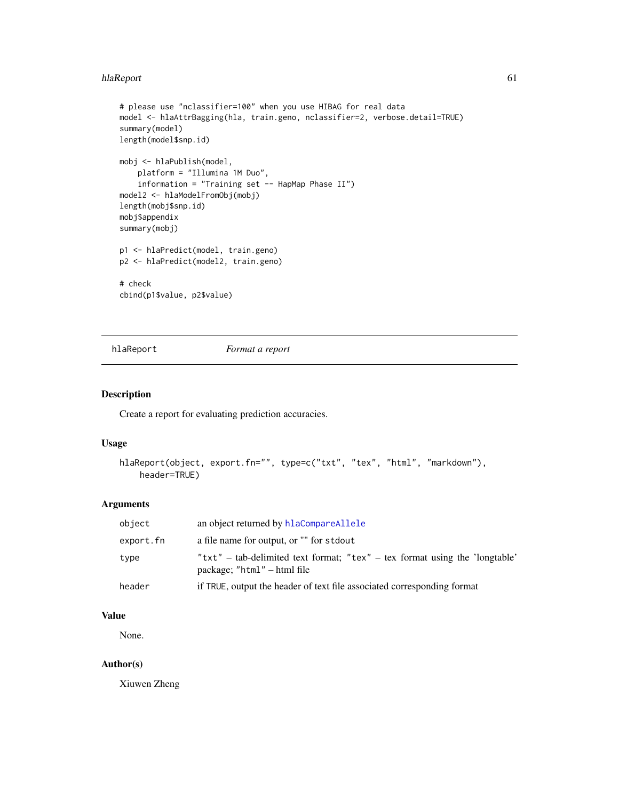#### hlaReport 61 and 51 and 51 and 51 and 51 and 51 and 51 and 51 and 51 and 51 and 51 and 51 and 51 and 51 and 51

```
# please use "nclassifier=100" when you use HIBAG for real data
model <- hlaAttrBagging(hla, train.geno, nclassifier=2, verbose.detail=TRUE)
summary(model)
length(model$snp.id)
mobj <- hlaPublish(model,
   platform = "Illumina 1M Duo",
    information = "Training set -- HapMap Phase II")
model2 <- hlaModelFromObj(mobj)
length(mobj$snp.id)
mobj$appendix
summary(mobj)
p1 <- hlaPredict(model, train.geno)
p2 <- hlaPredict(model2, train.geno)
# check
cbind(p1$value, p2$value)
```
<span id="page-60-0"></span>

hlaReport *Format a report*

### Description

Create a report for evaluating prediction accuracies.

#### Usage

```
hlaReport(object, export.fn="", type=c("txt", "tex", "html", "markdown"),
    header=TRUE)
```
#### Arguments

| object    | an object returned by hlaCompareAllele                                                                        |
|-----------|---------------------------------------------------------------------------------------------------------------|
| export.fn | a file name for output, or "" for stdout                                                                      |
| type      | " $txt' - tab-delimited text format; "tex" - tex format using the 'longtable'$<br>package; "html" – html file |
| header    | if TRUE, output the header of text file associated corresponding format                                       |

### Value

None.

### Author(s)

Xiuwen Zheng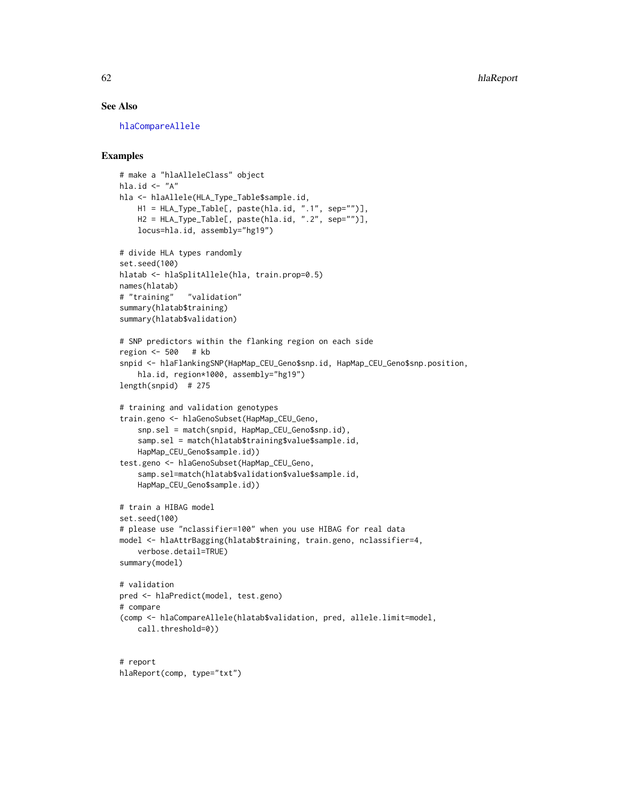# See Also

[hlaCompareAllele](#page-26-0)

```
# make a "hlaAlleleClass" object
hla.id \leftarrow "A"
hla <- hlaAllele(HLA_Type_Table$sample.id,
    H1 = HLA_Type_Table[, paste(hla.id, ".1", sep="")],
    H2 = HLA_Type_Table[, paste(hla.id, ".2", sep="")],
    locus=hla.id, assembly="hg19")
# divide HLA types randomly
set.seed(100)
hlatab <- hlaSplitAllele(hla, train.prop=0.5)
names(hlatab)
# "training" "validation"
summary(hlatab$training)
summary(hlatab$validation)
# SNP predictors within the flanking region on each side
region <- 500 # kb
snpid <- hlaFlankingSNP(HapMap_CEU_Geno$snp.id, HapMap_CEU_Geno$snp.position,
   hla.id, region*1000, assembly="hg19")
length(snpid) # 275
# training and validation genotypes
train.geno <- hlaGenoSubset(HapMap_CEU_Geno,
    snp.sel = match(snpid, HapMap_CEU_Geno$snp.id),
    samp.sel = match(hlatab$training$value$sample.id,
    HapMap_CEU_Geno$sample.id))
test.geno <- hlaGenoSubset(HapMap_CEU_Geno,
    samp.sel=match(hlatab$validation$value$sample.id,
    HapMap_CEU_Geno$sample.id))
# train a HIBAG model
set.seed(100)
# please use "nclassifier=100" when you use HIBAG for real data
model <- hlaAttrBagging(hlatab$training, train.geno, nclassifier=4,
    verbose.detail=TRUE)
summary(model)
# validation
pred <- hlaPredict(model, test.geno)
# compare
(comp <- hlaCompareAllele(hlatab$validation, pred, allele.limit=model,
    call.threshold=0))
# report
```

```
hlaReport(comp, type="txt")
```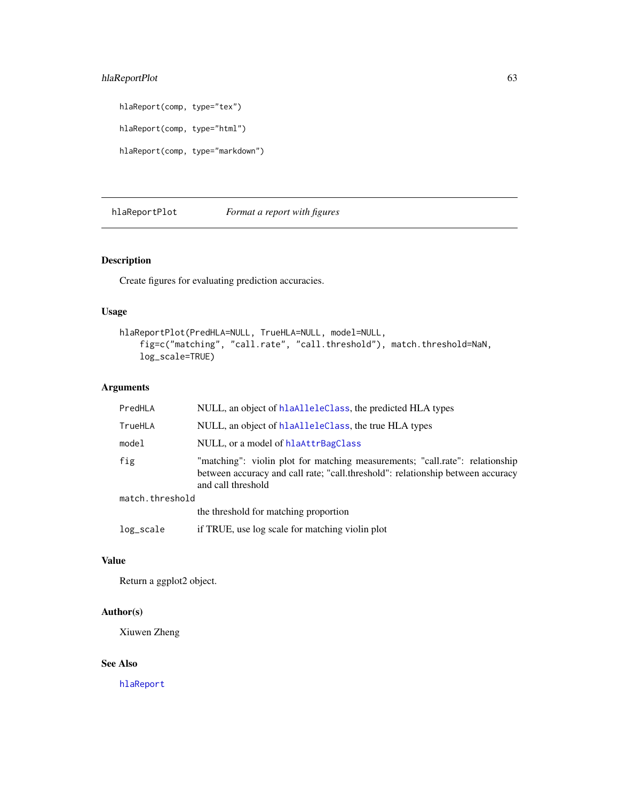# hlaReportPlot 63

hlaReport(comp, type="tex") hlaReport(comp, type="html") hlaReport(comp, type="markdown")

hlaReportPlot *Format a report with figures*

# Description

Create figures for evaluating prediction accuracies.

## Usage

```
hlaReportPlot(PredHLA=NULL, TrueHLA=NULL, model=NULL,
    fig=c("matching", "call.rate", "call.threshold"), match.threshold=NaN,
    log_scale=TRUE)
```
# Arguments

| PredHLA         | NULL, an object of hlaAlleleClass, the predicted HLA types                                                                                                                            |  |
|-----------------|---------------------------------------------------------------------------------------------------------------------------------------------------------------------------------------|--|
| TrueHLA         | NULL, an object of hlaAlleleClass, the true HLA types                                                                                                                                 |  |
| model           | NULL, or a model of hlaAttrBagClass                                                                                                                                                   |  |
| fig             | "matching": violin plot for matching measurements; "call.rate": relationship<br>between accuracy and call rate; "call.threshold": relationship between accuracy<br>and call threshold |  |
| match.threshold |                                                                                                                                                                                       |  |
|                 | the threshold for matching proportion                                                                                                                                                 |  |
| log_scale       | if TRUE, use log scale for matching violin plot                                                                                                                                       |  |

## Value

Return a ggplot2 object.

## Author(s)

Xiuwen Zheng

## See Also

[hlaReport](#page-60-0)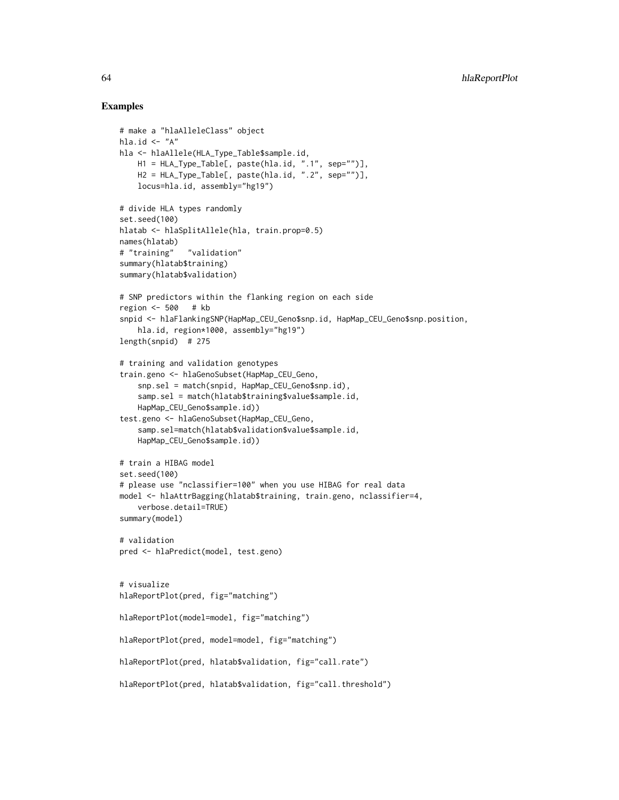```
# make a "hlaAlleleClass" object
hla.id \leq "A"
hla <- hlaAllele(HLA_Type_Table$sample.id,
   H1 = HLA_Type_Table[, paste(hla.id, ".1", sep="")],
    H2 = HLA_Type_Table[, paste(hla.id, ".2", sep="")],
    locus=hla.id, assembly="hg19")
# divide HLA types randomly
set.seed(100)
hlatab <- hlaSplitAllele(hla, train.prop=0.5)
names(hlatab)
# "training" "validation"
summary(hlatab$training)
summary(hlatab$validation)
# SNP predictors within the flanking region on each side
region <- 500 # kb
snpid <- hlaFlankingSNP(HapMap_CEU_Geno$snp.id, HapMap_CEU_Geno$snp.position,
    hla.id, region*1000, assembly="hg19")
length(snpid) # 275
# training and validation genotypes
train.geno <- hlaGenoSubset(HapMap_CEU_Geno,
    snp.sel = match(snpid, HapMap_CEU_Geno$snp.id),
    samp.sel = match(hlatab$training$value$sample.id,
    HapMap_CEU_Geno$sample.id))
test.geno <- hlaGenoSubset(HapMap_CEU_Geno,
    samp.sel=match(hlatab$validation$value$sample.id,
   HapMap_CEU_Geno$sample.id))
# train a HIBAG model
set.seed(100)
# please use "nclassifier=100" when you use HIBAG for real data
model <- hlaAttrBagging(hlatab$training, train.geno, nclassifier=4,
    verbose.detail=TRUE)
summary(model)
# validation
pred <- hlaPredict(model, test.geno)
# visualize
hlaReportPlot(pred, fig="matching")
hlaReportPlot(model=model, fig="matching")
hlaReportPlot(pred, model=model, fig="matching")
hlaReportPlot(pred, hlatab$validation, fig="call.rate")
hlaReportPlot(pred, hlatab$validation, fig="call.threshold")
```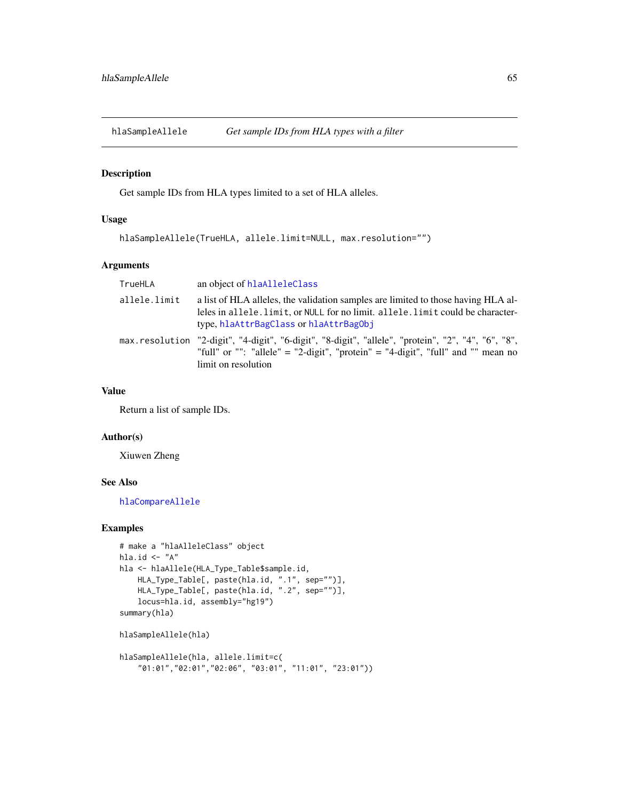# Description

Get sample IDs from HLA types limited to a set of HLA alleles.

### Usage

```
hlaSampleAllele(TrueHLA, allele.limit=NULL, max.resolution="")
```
# Arguments

| TrueHLA      | an object of hlaAlleleClass                                                                                                                                                                                    |
|--------------|----------------------------------------------------------------------------------------------------------------------------------------------------------------------------------------------------------------|
| allele.limit | a list of HLA alleles, the validation samples are limited to those having HLA al-<br>leles in allele. limit, or NULL for no limit. allele. limit could be character-<br>type, hlaAttrBagClass or hlaAttrBagObj |
|              | max.resolution "2-digit", "4-digit", "6-digit", "8-digit", "allele", "protein", "2", "4", "6", "8",<br>"full" or "": "allele" = "2-digit", "protein" = "4-digit", "full" and "" mean no<br>limit on resolution |

### Value

Return a list of sample IDs.

#### Author(s)

Xiuwen Zheng

## See Also

[hlaCompareAllele](#page-26-0)

```
# make a "hlaAlleleClass" object
hla.id \leftarrow "A"
hla <- hlaAllele(HLA_Type_Table$sample.id,
    HLA_Type_Table[, paste(hla.id, ".1", sep="")],
    HLA_Type_Table[, paste(hla.id, ".2", sep="")],
    locus=hla.id, assembly="hg19")
summary(hla)
hlaSampleAllele(hla)
hlaSampleAllele(hla, allele.limit=c(
```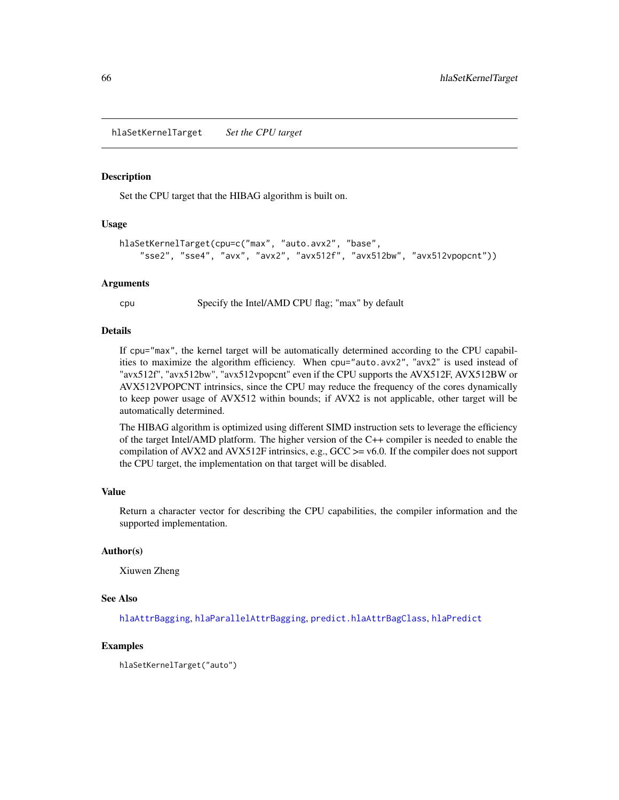<span id="page-65-0"></span>hlaSetKernelTarget *Set the CPU target*

#### Description

Set the CPU target that the HIBAG algorithm is built on.

### Usage

```
hlaSetKernelTarget(cpu=c("max", "auto.avx2", "base",
    "sse2", "sse4", "avx", "avx2", "avx512f", "avx512bw", "avx512vpopcnt"))
```
#### Arguments

cpu Specify the Intel/AMD CPU flag; "max" by default

### Details

If cpu="max", the kernel target will be automatically determined according to the CPU capabilities to maximize the algorithm efficiency. When cpu="auto.avx2", "avx2" is used instead of "avx512f", "avx512bw", "avx512vpopcnt" even if the CPU supports the AVX512F, AVX512BW or AVX512VPOPCNT intrinsics, since the CPU may reduce the frequency of the cores dynamically to keep power usage of AVX512 within bounds; if AVX2 is not applicable, other target will be automatically determined.

The HIBAG algorithm is optimized using different SIMD instruction sets to leverage the efficiency of the target Intel/AMD platform. The higher version of the C++ compiler is needed to enable the compilation of AVX2 and AVX512F intrinsics, e.g.,  $GCC \ge 0.0$ . If the compiler does not support the CPU target, the implementation on that target will be disabled.

# Value

Return a character vector for describing the CPU capabilities, the compiler information and the supported implementation.

#### Author(s)

Xiuwen Zheng

#### See Also

[hlaAttrBagging](#page-16-0), [hlaParallelAttrBagging](#page-51-0), [predict.hlaAttrBagClass](#page-54-0), [hlaPredict](#page-54-1)

#### Examples

hlaSetKernelTarget("auto")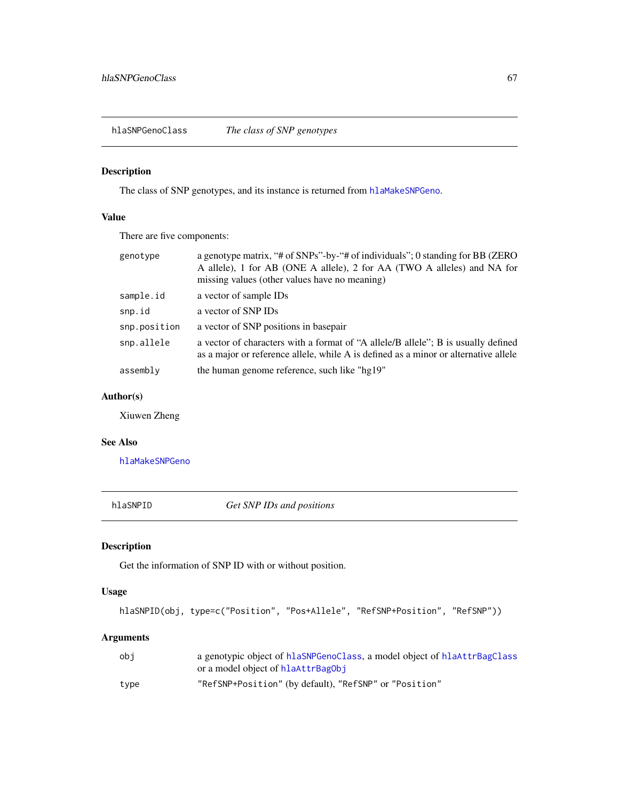<span id="page-66-0"></span>hlaSNPGenoClass *The class of SNP genotypes*

# Description

The class of SNP genotypes, and its instance is returned from [hlaMakeSNPGeno](#page-46-0).

# Value

There are five components:

| genotype     | a genotype matrix, "# of SNPs"-by-"# of individuals"; 0 standing for BB (ZERO<br>A allele), 1 for AB (ONE A allele), 2 for AA (TWO A alleles) and NA for<br>missing values (other values have no meaning) |
|--------------|-----------------------------------------------------------------------------------------------------------------------------------------------------------------------------------------------------------|
| sample.id    | a vector of sample IDs                                                                                                                                                                                    |
| snp.id       | a vector of SNP IDs                                                                                                                                                                                       |
| snp.position | a vector of SNP positions in basepair                                                                                                                                                                     |
| snp.allele   | a vector of characters with a format of "A allele B allele"; B is usually defined<br>as a major or reference allele, while A is defined as a minor or alternative allele                                  |
| assembly     | the human genome reference, such like "hg19"                                                                                                                                                              |

## Author(s)

Xiuwen Zheng

### See Also

[hlaMakeSNPGeno](#page-46-0)

hlaSNPID *Get SNP IDs and positions*

# Description

Get the information of SNP ID with or without position.

## Usage

```
hlaSNPID(obj, type=c("Position", "Pos+Allele", "RefSNP+Position", "RefSNP"))
```
# Arguments

| obi  | a genotypic object of hlaSNPGenoClass, a model object of hlaAttrBagClass |
|------|--------------------------------------------------------------------------|
|      | or a model object of hlaAttrBagObj                                       |
| tvpe | "RefSNP+Position" (by default), "RefSNP" or "Position"                   |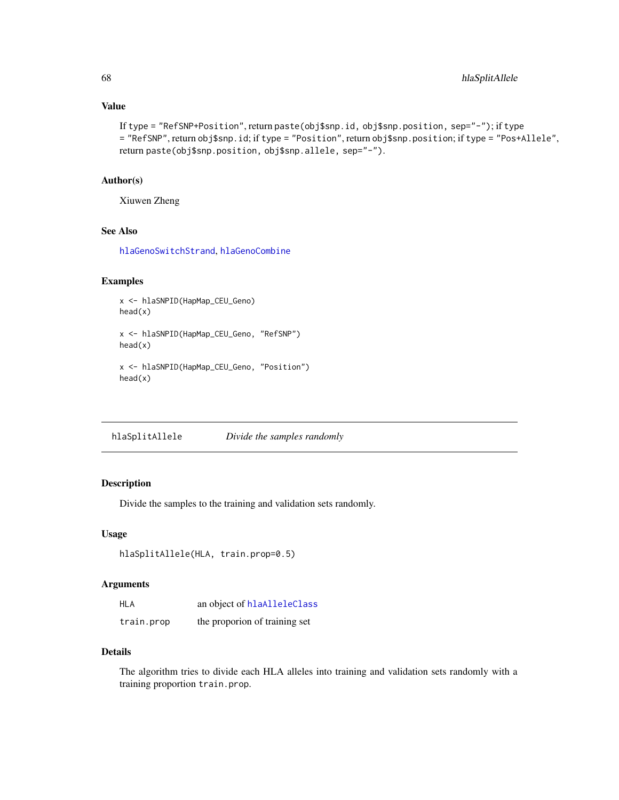## Value

```
If type = "RefSNP+Position", return paste(obj$snp.id, obj$snp.position, sep="-"); if type
= "RefSNP", return obj$snp.id; if type = "Position", return obj$snp.position; if type = "Pos+Allele",
return paste(obj$snp.position, obj$snp.allele, sep="-").
```
### Author(s)

Xiuwen Zheng

# See Also

[hlaGenoSwitchStrand](#page-43-0), [hlaGenoCombine](#page-37-0)

### Examples

```
x <- hlaSNPID(HapMap_CEU_Geno)
head(x)
x <- hlaSNPID(HapMap_CEU_Geno, "RefSNP")
head(x)
x <- hlaSNPID(HapMap_CEU_Geno, "Position")
head(x)
```
hlaSplitAllele *Divide the samples randomly*

# Description

Divide the samples to the training and validation sets randomly.

## Usage

```
hlaSplitAllele(HLA, train.prop=0.5)
```
# Arguments

| <b>HLA</b> | an object of hlaAlleleClass   |
|------------|-------------------------------|
| train.prop | the proporion of training set |

## Details

The algorithm tries to divide each HLA alleles into training and validation sets randomly with a training proportion train.prop.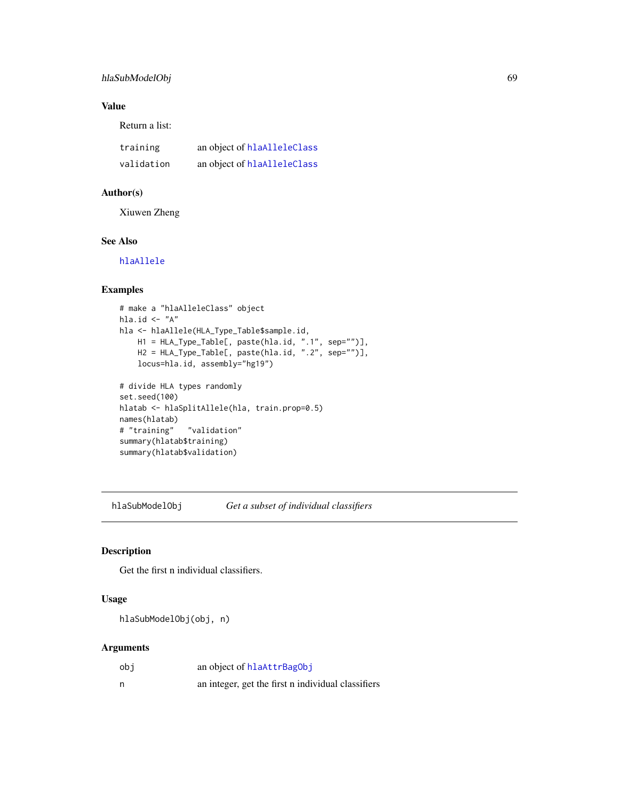# hlaSubModelObj 69

# Value

Return a list:

| training   | an object of hlaAlleleClass |
|------------|-----------------------------|
| validation | an object of hlaAlleleClass |

# Author(s)

Xiuwen Zheng

## See Also

[hlaAllele](#page-7-0)

# Examples

```
# make a "hlaAlleleClass" object
hla.id \leftarrow "A"
hla <- hlaAllele(HLA_Type_Table$sample.id,
    H1 = HLA_Type_Table[, paste(hla.id, ".1", sep="")],
    H2 = HLA_Type_Table[, paste(hla.id, ".2", sep="")],
   locus=hla.id, assembly="hg19")
# divide HLA types randomly
set.seed(100)
hlatab <- hlaSplitAllele(hla, train.prop=0.5)
names(hlatab)
# "training" "validation"
summary(hlatab$training)
summary(hlatab$validation)
```
hlaSubModelObj *Get a subset of individual classifiers*

# Description

Get the first n individual classifiers.

## Usage

hlaSubModelObj(obj, n)

## Arguments

| obi | an object of hlaAttrBagObj                         |
|-----|----------------------------------------------------|
| n   | an integer, get the first n individual classifiers |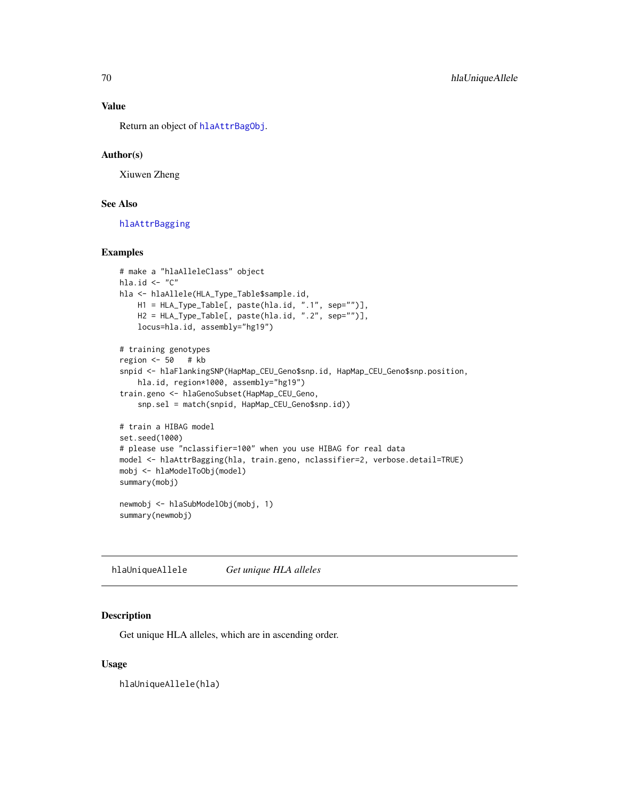#### Value

Return an object of [hlaAttrBagObj](#page-19-0).

## Author(s)

Xiuwen Zheng

### See Also

[hlaAttrBagging](#page-16-0)

### Examples

```
# make a "hlaAlleleClass" object
hla.id \leq "C"
hla <- hlaAllele(HLA_Type_Table$sample.id,
   H1 = HLA_Type_Table[, paste(hla.id, ".1", sep="")],
   H2 = HLA_Type_Table[, paste(hla.id, ".2", sep="")],
    locus=hla.id, assembly="hg19")
# training genotypes
region <-50 # kb
snpid <- hlaFlankingSNP(HapMap_CEU_Geno$snp.id, HapMap_CEU_Geno$snp.position,
    hla.id, region*1000, assembly="hg19")
train.geno <- hlaGenoSubset(HapMap_CEU_Geno,
    snp.sel = match(snpid, HapMap_CEU_Geno$snp.id))
# train a HIBAG model
set.seed(1000)
# please use "nclassifier=100" when you use HIBAG for real data
model <- hlaAttrBagging(hla, train.geno, nclassifier=2, verbose.detail=TRUE)
mobj <- hlaModelToObj(model)
summary(mobj)
newmobj <- hlaSubModelObj(mobj, 1)
summary(newmobj)
```
hlaUniqueAllele *Get unique HLA alleles*

## Description

Get unique HLA alleles, which are in ascending order.

### Usage

hlaUniqueAllele(hla)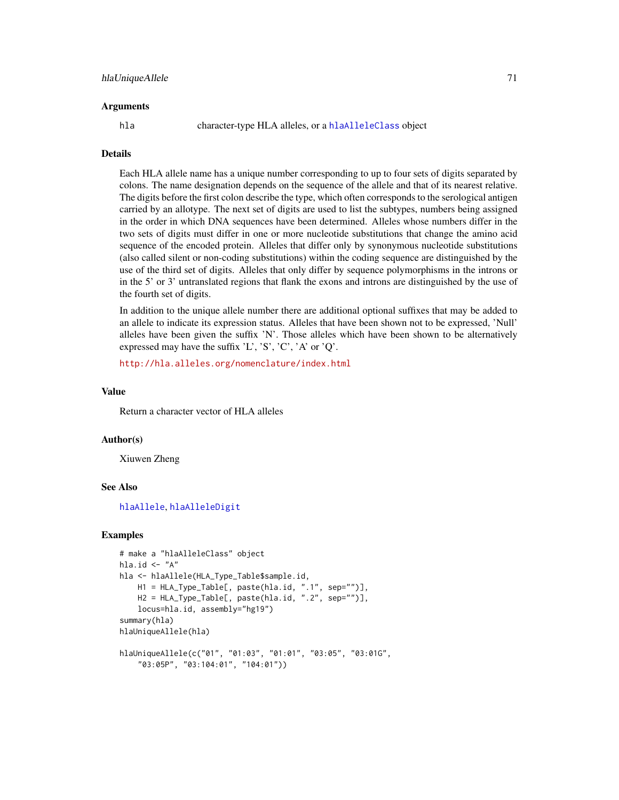#### Arguments

hla character-type HLA alleles, or a [hlaAlleleClass](#page-8-0) object

## **Details**

Each HLA allele name has a unique number corresponding to up to four sets of digits separated by colons. The name designation depends on the sequence of the allele and that of its nearest relative. The digits before the first colon describe the type, which often corresponds to the serological antigen carried by an allotype. The next set of digits are used to list the subtypes, numbers being assigned in the order in which DNA sequences have been determined. Alleles whose numbers differ in the two sets of digits must differ in one or more nucleotide substitutions that change the amino acid sequence of the encoded protein. Alleles that differ only by synonymous nucleotide substitutions (also called silent or non-coding substitutions) within the coding sequence are distinguished by the use of the third set of digits. Alleles that only differ by sequence polymorphisms in the introns or in the 5' or 3' untranslated regions that flank the exons and introns are distinguished by the use of the fourth set of digits.

In addition to the unique allele number there are additional optional suffixes that may be added to an allele to indicate its expression status. Alleles that have been shown not to be expressed, 'Null' alleles have been given the suffix 'N'. Those alleles which have been shown to be alternatively expressed may have the suffix  $'L'$ ,  $'S'$ ,  $'C'$ ,  $'A'$  or  $'Q'$ .

<http://hla.alleles.org/nomenclature/index.html>

#### Value

Return a character vector of HLA alleles

#### Author(s)

Xiuwen Zheng

### See Also

[hlaAllele](#page-7-0), [hlaAlleleDigit](#page-9-0)

```
# make a "hlaAlleleClass" object
hla.id \leftarrow "A"
hla <- hlaAllele(HLA_Type_Table$sample.id,
    H1 = HLA_Type_Table[, paste(hla.id, ".1", sep="")],
    H2 = HLA_Type_Table[, paste(hla.id, ".2", sep="")],
    locus=hla.id, assembly="hg19")
summary(hla)
hlaUniqueAllele(hla)
hlaUniqueAllele(c("01", "01:03", "01:01", "03:05", "03:01G",
    "03:05P", "03:104:01", "104:01"))
```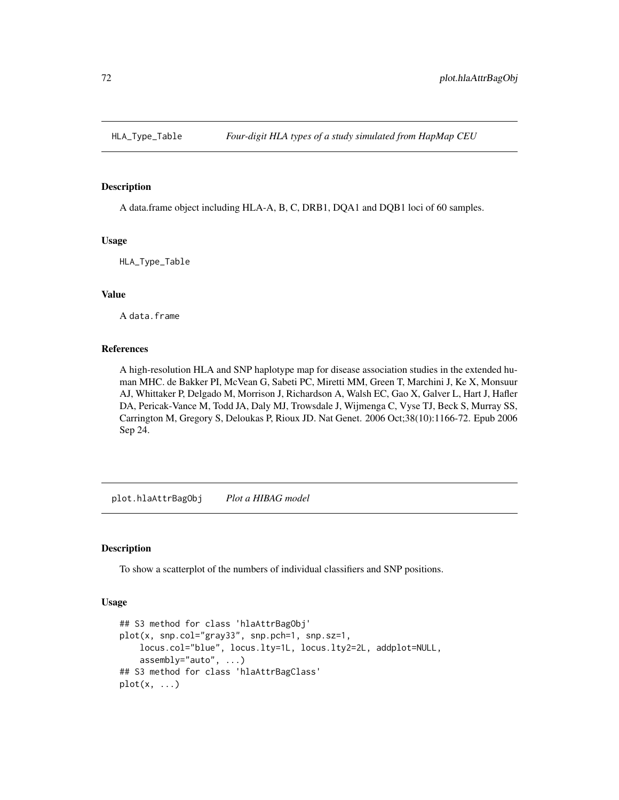### Description

A data.frame object including HLA-A, B, C, DRB1, DQA1 and DQB1 loci of 60 samples.

#### Usage

HLA\_Type\_Table

# Value

A data.frame

#### References

A high-resolution HLA and SNP haplotype map for disease association studies in the extended human MHC. de Bakker PI, McVean G, Sabeti PC, Miretti MM, Green T, Marchini J, Ke X, Monsuur AJ, Whittaker P, Delgado M, Morrison J, Richardson A, Walsh EC, Gao X, Galver L, Hart J, Hafler DA, Pericak-Vance M, Todd JA, Daly MJ, Trowsdale J, Wijmenga C, Vyse TJ, Beck S, Murray SS, Carrington M, Gregory S, Deloukas P, Rioux JD. Nat Genet. 2006 Oct;38(10):1166-72. Epub 2006 Sep 24.

plot.hlaAttrBagObj *Plot a HIBAG model*

### Description

To show a scatterplot of the numbers of individual classifiers and SNP positions.

### Usage

```
## S3 method for class 'hlaAttrBagObj'
plot(x, snp.col="gray33", snp.pch=1, snp.sz=1,
    locus.col="blue", locus.lty=1L, locus.lty2=2L, addplot=NULL,
    assembly="auto", ...)
## S3 method for class 'hlaAttrBagClass'
plot(x, \ldots)
```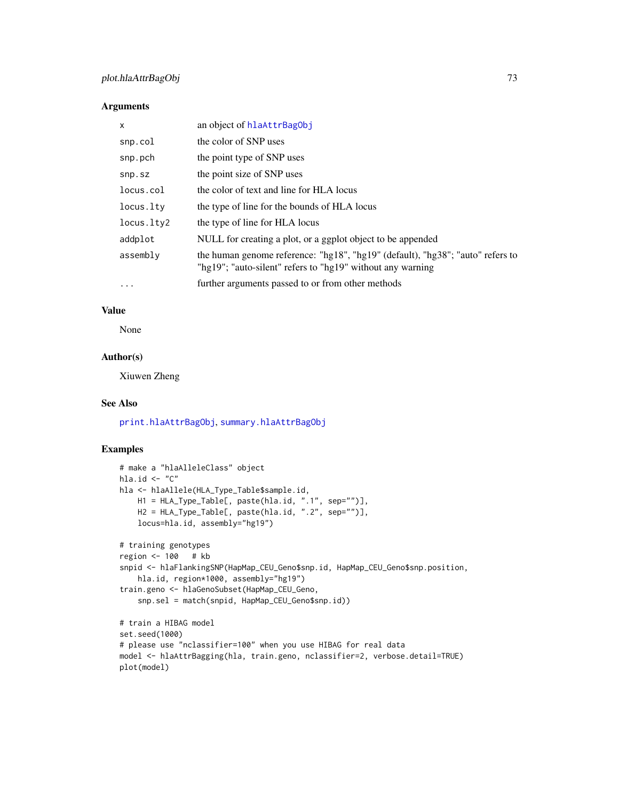# <span id="page-72-0"></span>plot.hlaAttrBagObj 73

## Arguments

| X          | an object of hlaAttrBagObj                                                                                                                   |
|------------|----------------------------------------------------------------------------------------------------------------------------------------------|
| snp.col    | the color of SNP uses                                                                                                                        |
| snp.pch    | the point type of SNP uses                                                                                                                   |
| snp.sz     | the point size of SNP uses                                                                                                                   |
| locus.col  | the color of text and line for HLA locus                                                                                                     |
| locus.lty  | the type of line for the bounds of HLA locus                                                                                                 |
| locus.lty2 | the type of line for HLA locus                                                                                                               |
| addplot    | NULL for creating a plot, or a ggplot object to be appended                                                                                  |
| assembly   | the human genome reference: "hg18", "hg19" (default), "hg38"; "auto" refers to<br>"hg19"; "auto-silent" refers to "hg19" without any warning |
| $\cdots$   | further arguments passed to or from other methods                                                                                            |

# Value

None

## Author(s)

Xiuwen Zheng

## See Also

[print.hlaAttrBagObj](#page-73-0), [summary.hlaAttrBagObj](#page-73-0)

# Examples

```
# make a "hlaAlleleClass" object
hla.id \leq - "C"
hla <- hlaAllele(HLA_Type_Table$sample.id,
    H1 = HLA_Type_Table[, paste(hla.id, ".1", sep="")],
    H2 = HLA_Type_Table[, paste(hla.id, ".2", sep="")],
    locus=hla.id, assembly="hg19")
# training genotypes
region <- 100 # kb
snpid <- hlaFlankingSNP(HapMap_CEU_Geno$snp.id, HapMap_CEU_Geno$snp.position,
    hla.id, region*1000, assembly="hg19")
train.geno <- hlaGenoSubset(HapMap_CEU_Geno,
    snp.sel = match(snpid, HapMap_CEU_Geno$snp.id))
# train a HIBAG model
set.seed(1000)
# please use "nclassifier=100" when you use HIBAG for real data
model <- hlaAttrBagging(hla, train.geno, nclassifier=2, verbose.detail=TRUE)
plot(model)
```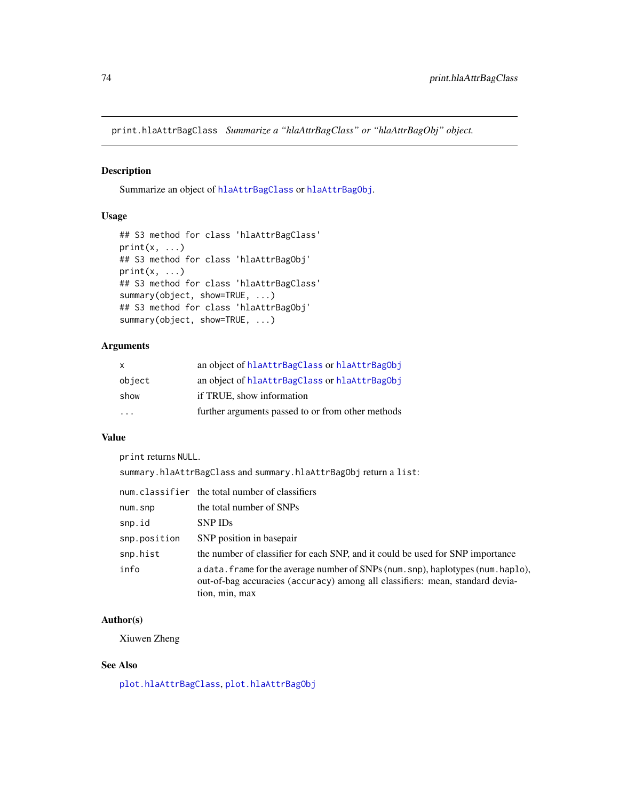<span id="page-73-1"></span>print.hlaAttrBagClass *Summarize a "hlaAttrBagClass" or "hlaAttrBagObj" object.*

## <span id="page-73-0"></span>Description

Summarize an object of [hlaAttrBagClass](#page-15-0) or [hlaAttrBagObj](#page-19-0).

# Usage

```
## S3 method for class 'hlaAttrBagClass'
print(x, \ldots)## S3 method for class 'hlaAttrBagObj'
print(x, \ldots)## S3 method for class 'hlaAttrBagClass'
summary(object, show=TRUE, ...)
## S3 method for class 'hlaAttrBagObj'
summary(object, show=TRUE, ...)
```
## Arguments

| X                       | an object of hlaAttrBagClass or hlaAttrBagObj     |
|-------------------------|---------------------------------------------------|
| object                  | an object of hlaAttrBagClass or hlaAttrBagObj     |
| show                    | if TRUE, show information                         |
| $\cdot$ $\cdot$ $\cdot$ | further arguments passed to or from other methods |

# Value

print returns NULL.

summary.hlaAttrBagClass and summary.hlaAttrBagObj return a list:

|              | num.classifier the total number of classifiers                                                                                                                                       |
|--------------|--------------------------------------------------------------------------------------------------------------------------------------------------------------------------------------|
| num.snp      | the total number of SNPs                                                                                                                                                             |
| snp.id       | SNP ID <sub>s</sub>                                                                                                                                                                  |
| snp.position | SNP position in basepair                                                                                                                                                             |
| snp.hist     | the number of classifier for each SNP, and it could be used for SNP importance                                                                                                       |
| info         | a data. frame for the average number of SNPs (num. snp), haplotypes (num. haplo),<br>out-of-bag accuracies (accuracy) among all classifiers: mean, standard devia-<br>tion, min, max |

# Author(s)

Xiuwen Zheng

# See Also

[plot.hlaAttrBagClass](#page-71-0), [plot.hlaAttrBagObj](#page-71-1)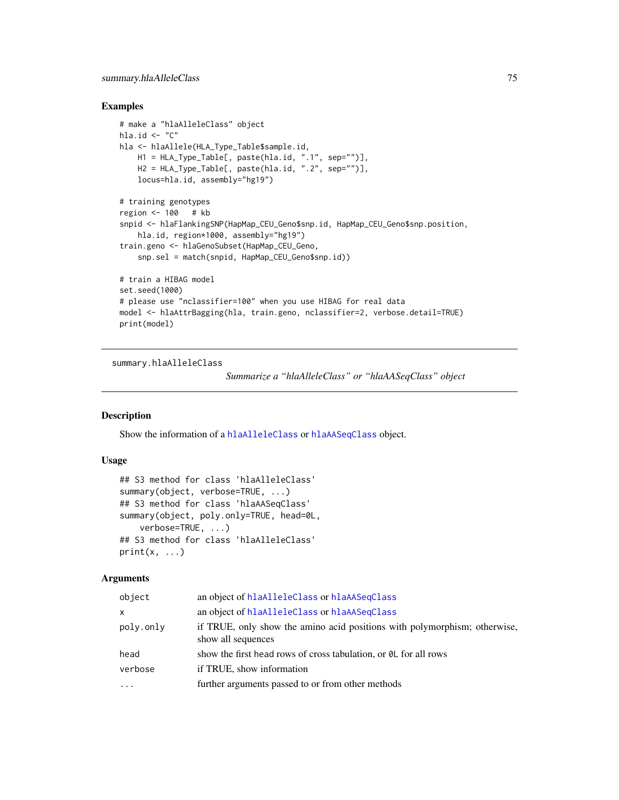## <span id="page-74-0"></span>Examples

```
# make a "hlaAlleleClass" object
hla.id \leq "C"
hla <- hlaAllele(HLA_Type_Table$sample.id,
    H1 = HLA_Type_Table[, paste(hla.id, ".1", sep="")],
    H2 = HLA_Type_Table[, paste(hla.id, ".2", sep="")],
    locus=hla.id, assembly="hg19")
# training genotypes
region <- 100 # kb
snpid <- hlaFlankingSNP(HapMap_CEU_Geno$snp.id, HapMap_CEU_Geno$snp.position,
    hla.id, region*1000, assembly="hg19")
train.geno <- hlaGenoSubset(HapMap_CEU_Geno,
    snp.sel = match(snpid, HapMap_CEU_Geno$snp.id))
# train a HIBAG model
set.seed(1000)
# please use "nclassifier=100" when you use HIBAG for real data
model <- hlaAttrBagging(hla, train.geno, nclassifier=2, verbose.detail=TRUE)
print(model)
```
summary.hlaAlleleClass

*Summarize a "hlaAlleleClass" or "hlaAASeqClass" object*

# Description

Show the information of a [hlaAlleleClass](#page-8-0) or [hlaAASeqClass](#page-6-0) object.

#### Usage

```
## S3 method for class 'hlaAlleleClass'
summary(object, verbose=TRUE, ...)
## S3 method for class 'hlaAASeqClass'
summary(object, poly.only=TRUE, head=0L,
    verbose=TRUE, ...)
## S3 method for class 'hlaAlleleClass'
print(x, \ldots)
```
#### Arguments

| object    | an object of hlaAlleleClass or hlaAASeqClass                                                    |
|-----------|-------------------------------------------------------------------------------------------------|
| x         | an object of hlaAlleleClass or hlaAASeqClass                                                    |
| poly.only | if TRUE, only show the amino acid positions with polymorphism; otherwise,<br>show all sequences |
| head      | show the first head rows of cross tabulation, or $\theta$ L for all rows                        |
| verbose   | if TRUE, show information                                                                       |
| $\ddotsc$ | further arguments passed to or from other methods                                               |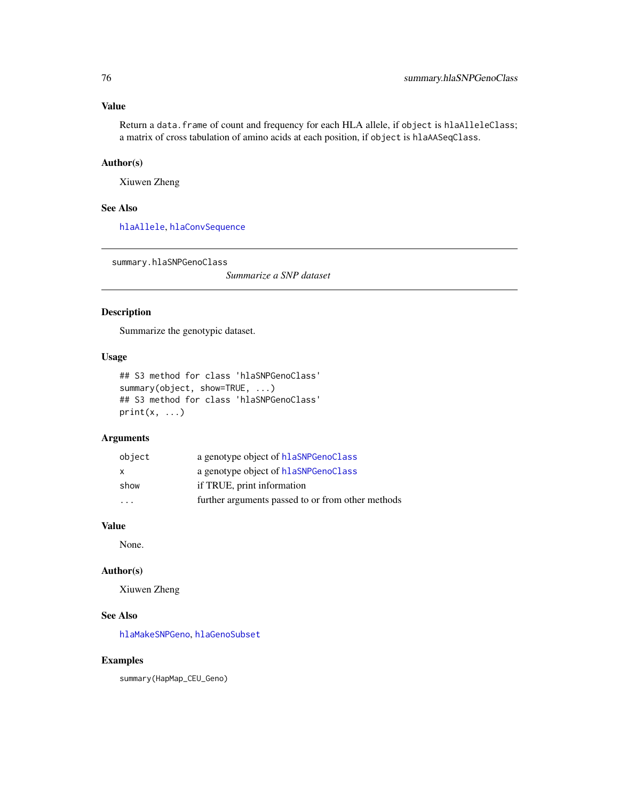# <span id="page-75-0"></span>Value

Return a data. frame of count and frequency for each HLA allele, if object is hlaAlleleClass; a matrix of cross tabulation of amino acids at each position, if object is hlaAASeqClass.

## Author(s)

Xiuwen Zheng

## See Also

[hlaAllele](#page-7-0), [hlaConvSequence](#page-29-0)

summary.hlaSNPGenoClass

*Summarize a SNP dataset*

# Description

Summarize the genotypic dataset.

## Usage

```
## S3 method for class 'hlaSNPGenoClass'
summary(object, show=TRUE, ...)
## S3 method for class 'hlaSNPGenoClass'
print(x, \ldots)
```
## Arguments

| object                  | a genotype object of hlaSNPGenoClass              |
|-------------------------|---------------------------------------------------|
| X                       | a genotype object of hlaSNPGenoClass              |
| show                    | if TRUE, print information                        |
| $\cdot$ $\cdot$ $\cdot$ | further arguments passed to or from other methods |

#### Value

None.

## Author(s)

Xiuwen Zheng

# See Also

[hlaMakeSNPGeno](#page-46-0), [hlaGenoSubset](#page-41-0)

# Examples

summary(HapMap\_CEU\_Geno)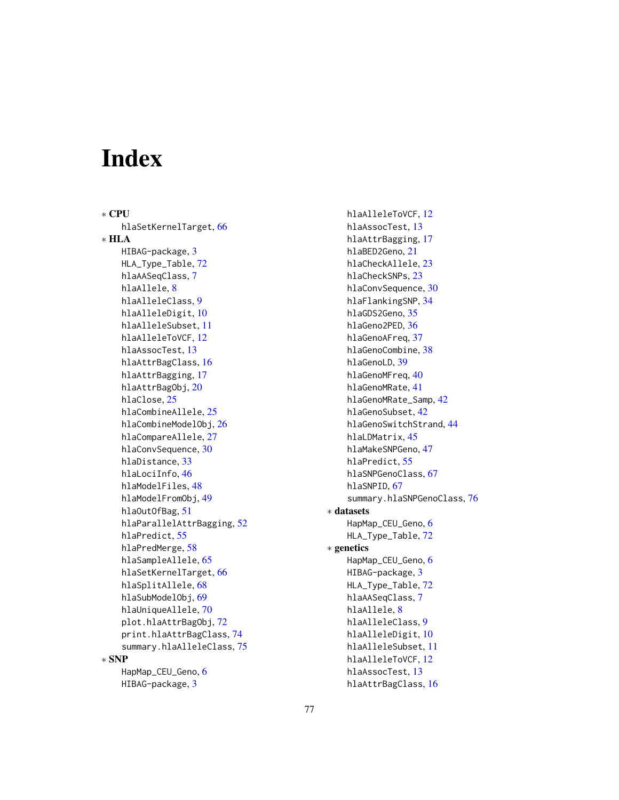# **Index**

∗ CPU hlaSetKernelTarget, [66](#page-65-0) ∗ HLA HIBAG-package, [3](#page-2-0) HLA\_Type\_Table, [72](#page-71-2) hlaAASeqClass, [7](#page-6-1) hlaAllele, [8](#page-7-1) hlaAlleleClass, [9](#page-8-1) hlaAlleleDigit, [10](#page-9-0) hlaAlleleSubset, [11](#page-10-0) hlaAlleleToVCF, [12](#page-11-0) hlaAssocTest, [13](#page-12-0) hlaAttrBagClass, [16](#page-15-1) hlaAttrBagging, [17](#page-16-0) hlaAttrBagObj, [20](#page-19-1) hlaClose, [25](#page-24-0) hlaCombineAllele, [25](#page-24-0) hlaCombineModelObj, [26](#page-25-0) hlaCompareAllele, [27](#page-26-0) hlaConvSequence, [30](#page-29-1) hlaDistance, [33](#page-32-0) hlaLociInfo, [46](#page-45-0) hlaModelFiles, [48](#page-47-0) hlaModelFromObj, [49](#page-48-0) hlaOutOfBag, [51](#page-50-0) hlaParallelAttrBagging, [52](#page-51-0) hlaPredict, [55](#page-54-0) hlaPredMerge, [58](#page-57-0) hlaSampleAllele, [65](#page-64-0) hlaSetKernelTarget, [66](#page-65-0) hlaSplitAllele, [68](#page-67-0) hlaSubModelObj, [69](#page-68-0) hlaUniqueAllele, [70](#page-69-0) plot.hlaAttrBagObj, [72](#page-71-2) print.hlaAttrBagClass, [74](#page-73-1) summary.hlaAlleleClass, [75](#page-74-0) ∗ SNP HapMap\_CEU\_Geno, [6](#page-5-0) HIBAG-package, [3](#page-2-0)

hlaAlleleToVCF, [12](#page-11-0) hlaAssocTest, [13](#page-12-0) hlaAttrBagging, [17](#page-16-0) hlaBED2Geno, [21](#page-20-0) hlaCheckAllele, [23](#page-22-0) hlaCheckSNPs, [23](#page-22-0) hlaConvSequence, [30](#page-29-1) hlaFlankingSNP, [34](#page-33-0) hlaGDS2Geno, [35](#page-34-0) hlaGeno2PED, [36](#page-35-0) hlaGenoAFreq, [37](#page-36-0) hlaGenoCombine, [38](#page-37-0) hlaGenoLD, [39](#page-38-0) hlaGenoMFreq, [40](#page-39-0) hlaGenoMRate, [41](#page-40-0) hlaGenoMRate\_Samp, [42](#page-41-1) hlaGenoSubset, [42](#page-41-1) hlaGenoSwitchStrand, [44](#page-43-0) hlaLDMatrix, [45](#page-44-0) hlaMakeSNPGeno, [47](#page-46-1) hlaPredict, [55](#page-54-0) hlaSNPGenoClass, [67](#page-66-1) hlaSNPID, [67](#page-66-1) summary.hlaSNPGenoClass, [76](#page-75-0) ∗ datasets HapMap\_CEU\_Geno, [6](#page-5-0) HLA\_Type\_Table, [72](#page-71-2) ∗ genetics HapMap\_CEU\_Geno, [6](#page-5-0) HIBAG-package, [3](#page-2-0) HLA\_Type\_Table, [72](#page-71-2) hlaAASeqClass, [7](#page-6-1) hlaAllele, [8](#page-7-1) hlaAlleleClass, [9](#page-8-1) hlaAlleleDigit, [10](#page-9-0) hlaAlleleSubset, [11](#page-10-0) hlaAlleleToVCF, [12](#page-11-0) hlaAssocTest, [13](#page-12-0) hlaAttrBagClass, [16](#page-15-1)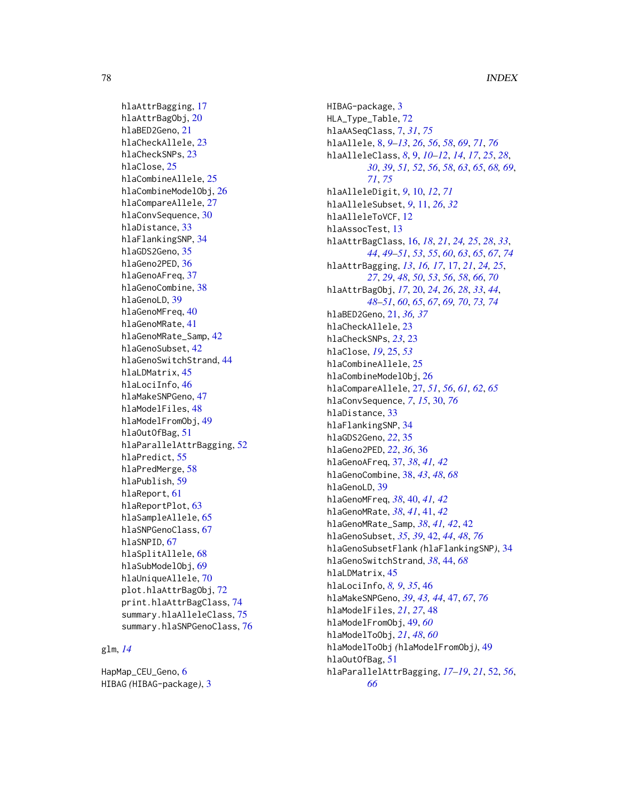hlaAttrBagging, [17](#page-16-0) hlaAttrBagObj, [20](#page-19-1) hlaBED2Geno, [21](#page-20-0) hlaCheckAllele, [23](#page-22-0) hlaCheckSNPs, [23](#page-22-0) hlaClose, [25](#page-24-0) hlaCombineAllele, [25](#page-24-0) hlaCombineModelObj, [26](#page-25-0) hlaCompareAllele, [27](#page-26-0) hlaConvSequence, [30](#page-29-1) hlaDistance, [33](#page-32-0) hlaFlankingSNP, [34](#page-33-0) hlaGDS2Geno, [35](#page-34-0) hlaGeno2PED, [36](#page-35-0) hlaGenoAFreq, [37](#page-36-0) hlaGenoCombine, [38](#page-37-0) hlaGenoLD, [39](#page-38-0) hlaGenoMFreq, [40](#page-39-0) hlaGenoMRate, [41](#page-40-0) hlaGenoMRate\_Samp, [42](#page-41-1) hlaGenoSubset, [42](#page-41-1) hlaGenoSwitchStrand, [44](#page-43-0) hlaLDMatrix, [45](#page-44-0) hlaLociInfo, [46](#page-45-0) hlaMakeSNPGeno, [47](#page-46-1) hlaModelFiles, [48](#page-47-0) hlaModelFromObj, [49](#page-48-0) hlaOutOfBag, [51](#page-50-0) hlaParallelAttrBagging, [52](#page-51-0) hlaPredict, [55](#page-54-0) hlaPredMerge, [58](#page-57-0) hlaPublish, [59](#page-58-0) hlaReport, [61](#page-60-0) hlaReportPlot, [63](#page-62-0) hlaSampleAllele, [65](#page-64-0) hlaSNPGenoClass, [67](#page-66-1) hlaSNPID, [67](#page-66-1) hlaSplitAllele, [68](#page-67-0) hlaSubModelObj, [69](#page-68-0) hlaUniqueAllele, [70](#page-69-0) plot.hlaAttrBagObj, [72](#page-71-2) print.hlaAttrBagClass, [74](#page-73-1) summary.hlaAlleleClass, [75](#page-74-0) summary.hlaSNPGenoClass, [76](#page-75-0)

# glm, *[14](#page-13-0)*

HapMap\_CEU\_Geno, [6](#page-5-0) HIBAG *(*HIBAG-package*)*, [3](#page-2-0) HIBAG-package, [3](#page-2-0) HLA\_Type\_Table, [72](#page-71-2) hlaAASeqClass, [7,](#page-6-1) *[31](#page-30-0)*, *[75](#page-74-0)* hlaAllele, [8,](#page-7-1) *[9](#page-8-1)[–13](#page-12-0)*, *[26](#page-25-0)*, *[56](#page-55-0)*, *[58](#page-57-0)*, *[69](#page-68-0)*, *[71](#page-70-0)*, *[76](#page-75-0)* hlaAlleleClass, *[8](#page-7-1)*, [9,](#page-8-1) *[10](#page-9-0)[–12](#page-11-0)*, *[14](#page-13-0)*, *[17](#page-16-0)*, *[25](#page-24-0)*, *[28](#page-27-0)*, *[30](#page-29-1)*, *[39](#page-38-0)*, *[51,](#page-50-0) [52](#page-51-0)*, *[56](#page-55-0)*, *[58](#page-57-0)*, *[63](#page-62-0)*, *[65](#page-64-0)*, *[68,](#page-67-0) [69](#page-68-0)*, *[71](#page-70-0)*, *[75](#page-74-0)* hlaAlleleDigit, *[9](#page-8-1)*, [10,](#page-9-0) *[12](#page-11-0)*, *[71](#page-70-0)* hlaAlleleSubset, *[9](#page-8-1)*, [11,](#page-10-0) *[26](#page-25-0)*, *[32](#page-31-0)* hlaAlleleToVCF, [12](#page-11-0) hlaAssocTest, [13](#page-12-0) hlaAttrBagClass, [16,](#page-15-1) *[18](#page-17-0)*, *[21](#page-20-0)*, *[24,](#page-23-0) [25](#page-24-0)*, *[28](#page-27-0)*, *[33](#page-32-0)*, *[44](#page-43-0)*, *[49](#page-48-0)[–51](#page-50-0)*, *[53](#page-52-0)*, *[55](#page-54-0)*, *[60](#page-59-0)*, *[63](#page-62-0)*, *[65](#page-64-0)*, *[67](#page-66-1)*, *[74](#page-73-1)* hlaAttrBagging, *[13](#page-12-0)*, *[16,](#page-15-1) [17](#page-16-0)*, [17,](#page-16-0) *[21](#page-20-0)*, *[24,](#page-23-0) [25](#page-24-0)*, *[27](#page-26-0)*, *[29](#page-28-0)*, *[48](#page-47-0)*, *[50](#page-49-0)*, *[53](#page-52-0)*, *[56](#page-55-0)*, *[58](#page-57-0)*, *[66](#page-65-0)*, *[70](#page-69-0)* hlaAttrBagObj, *[17](#page-16-0)*, [20,](#page-19-1) *[24](#page-23-0)*, *[26](#page-25-0)*, *[28](#page-27-0)*, *[33](#page-32-0)*, *[44](#page-43-0)*, *[48](#page-47-0)[–51](#page-50-0)*, *[60](#page-59-0)*, *[65](#page-64-0)*, *[67](#page-66-1)*, *[69,](#page-68-0) [70](#page-69-0)*, *[73,](#page-72-0) [74](#page-73-1)* hlaBED2Geno, [21,](#page-20-0) *[36,](#page-35-0) [37](#page-36-0)* hlaCheckAllele, [23](#page-22-0) hlaCheckSNPs, *[23](#page-22-0)*, [23](#page-22-0) hlaClose, *[19](#page-18-0)*, [25,](#page-24-0) *[53](#page-52-0)* hlaCombineAllele, [25](#page-24-0) hlaCombineModelObj, [26](#page-25-0) hlaCompareAllele, [27,](#page-26-0) *[51](#page-50-0)*, *[56](#page-55-0)*, *[61,](#page-60-0) [62](#page-61-0)*, *[65](#page-64-0)* hlaConvSequence, *[7](#page-6-1)*, *[15](#page-14-0)*, [30,](#page-29-1) *[76](#page-75-0)* hlaDistance, [33](#page-32-0) hlaFlankingSNP, [34](#page-33-0) hlaGDS2Geno, *[22](#page-21-0)*, [35](#page-34-0) hlaGeno2PED, *[22](#page-21-0)*, *[36](#page-35-0)*, [36](#page-35-0) hlaGenoAFreq, [37,](#page-36-0) *[38](#page-37-0)*, *[41,](#page-40-0) [42](#page-41-1)* hlaGenoCombine, [38,](#page-37-0) *[43](#page-42-0)*, *[48](#page-47-0)*, *[68](#page-67-0)* hlaGenoLD, [39](#page-38-0) hlaGenoMFreq, *[38](#page-37-0)*, [40,](#page-39-0) *[41,](#page-40-0) [42](#page-41-1)* hlaGenoMRate, *[38](#page-37-0)*, *[41](#page-40-0)*, [41,](#page-40-0) *[42](#page-41-1)* hlaGenoMRate\_Samp, *[38](#page-37-0)*, *[41,](#page-40-0) [42](#page-41-1)*, [42](#page-41-1) hlaGenoSubset, *[35](#page-34-0)*, *[39](#page-38-0)*, [42,](#page-41-1) *[44](#page-43-0)*, *[48](#page-47-0)*, *[76](#page-75-0)* hlaGenoSubsetFlank *(*hlaFlankingSNP*)*, [34](#page-33-0) hlaGenoSwitchStrand, *[38](#page-37-0)*, [44,](#page-43-0) *[68](#page-67-0)* hlaLDMatrix, [45](#page-44-0) hlaLociInfo, *[8,](#page-7-1) [9](#page-8-1)*, *[35](#page-34-0)*, [46](#page-45-0) hlaMakeSNPGeno, *[39](#page-38-0)*, *[43,](#page-42-0) [44](#page-43-0)*, [47,](#page-46-1) *[67](#page-66-1)*, *[76](#page-75-0)* hlaModelFiles, *[21](#page-20-0)*, *[27](#page-26-0)*, [48](#page-47-0) hlaModelFromObj, [49,](#page-48-0) *[60](#page-59-0)* hlaModelToObj, *[21](#page-20-0)*, *[48](#page-47-0)*, *[60](#page-59-0)* hlaModelToObj *(*hlaModelFromObj*)*, [49](#page-48-0) hlaOutOfBag, [51](#page-50-0) hlaParallelAttrBagging, *[17](#page-16-0)[–19](#page-18-0)*, *[21](#page-20-0)*, [52,](#page-51-0) *[56](#page-55-0)*, *[66](#page-65-0)*